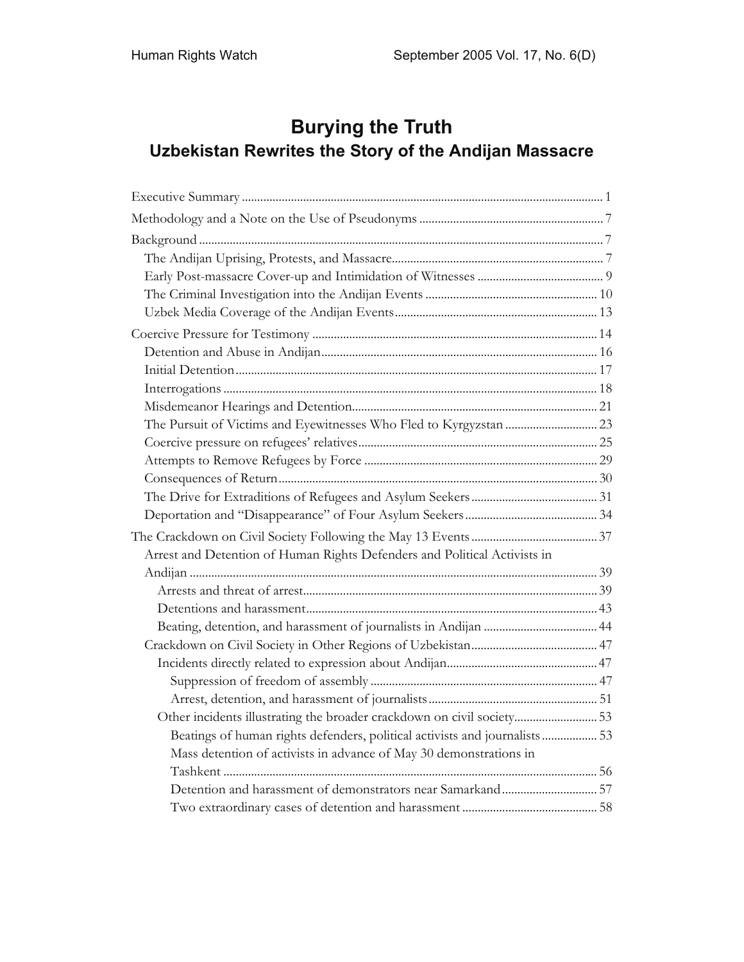# **Burying the Truth Uzbekistan Rewrites the Story of the Andijan Massacre**

| Arrest and Detention of Human Rights Defenders and Political Activists in  |  |
|----------------------------------------------------------------------------|--|
|                                                                            |  |
|                                                                            |  |
|                                                                            |  |
|                                                                            |  |
|                                                                            |  |
|                                                                            |  |
|                                                                            |  |
|                                                                            |  |
| Other incidents illustrating the broader crackdown on civil society53      |  |
| Beatings of human rights defenders, political activists and journalists 53 |  |
| Mass detention of activists in advance of May 30 demonstrations in         |  |
|                                                                            |  |
|                                                                            |  |
|                                                                            |  |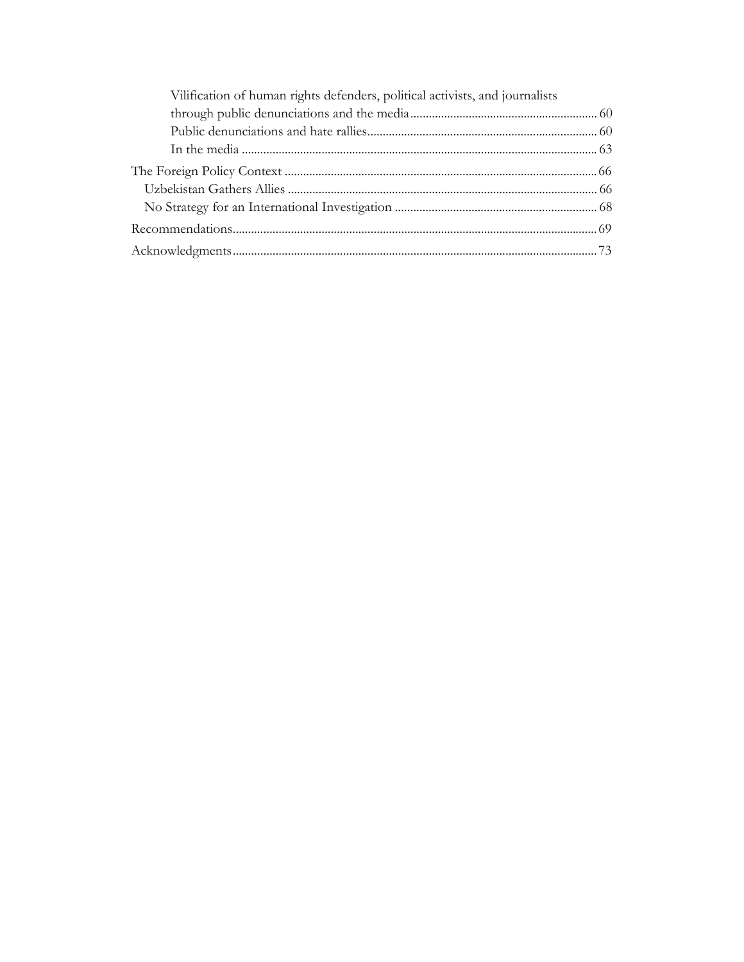| Vilification of human rights defenders, political activists, and journalists |  |
|------------------------------------------------------------------------------|--|
|                                                                              |  |
|                                                                              |  |
|                                                                              |  |
|                                                                              |  |
|                                                                              |  |
|                                                                              |  |
|                                                                              |  |
|                                                                              |  |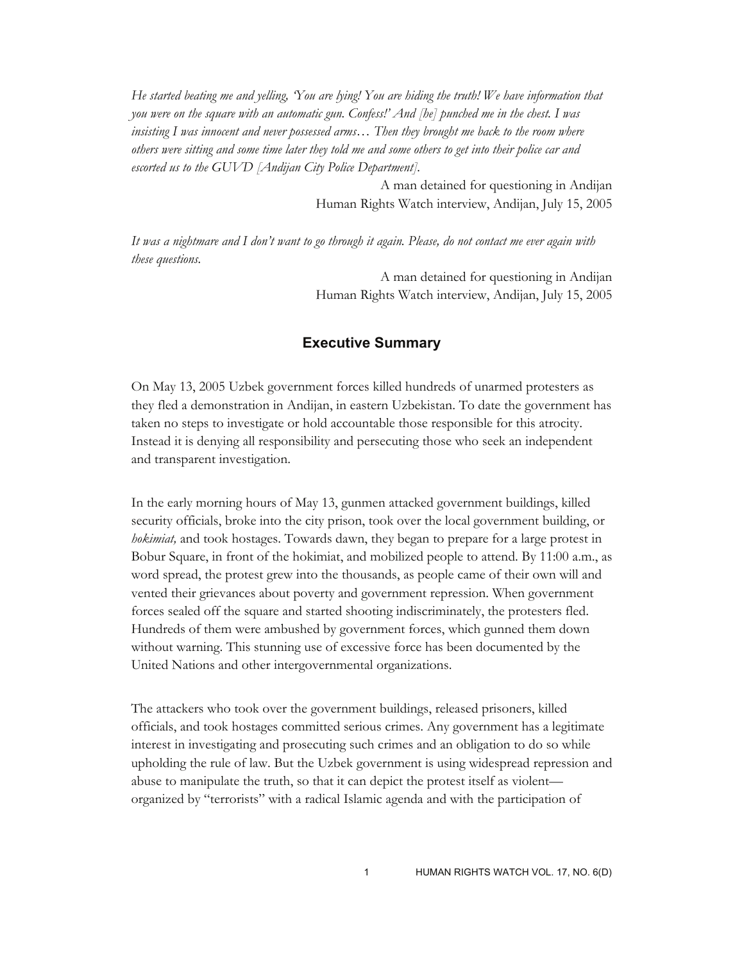*He started beating me and yelling, 'You are lying! You are hiding the truth! We have information that you were on the square with an automatic gun. Confess!' And [he] punched me in the chest. I was insisting I was innocent and never possessed arms… Then they brought me back to the room where others were sitting and some time later they told me and some others to get into their police car and escorted us to the GUVD [Andijan City Police Department].* 

> A man detained for questioning in Andijan Human Rights Watch interview, Andijan, July 15, 2005

*It was a nightmare and I don't want to go through it again. Please, do not contact me ever again with these questions.* 

> A man detained for questioning in Andijan Human Rights Watch interview, Andijan, July 15, 2005

# **Executive Summary**

On May 13, 2005 Uzbek government forces killed hundreds of unarmed protesters as they fled a demonstration in Andijan, in eastern Uzbekistan. To date the government has taken no steps to investigate or hold accountable those responsible for this atrocity. Instead it is denying all responsibility and persecuting those who seek an independent and transparent investigation.

In the early morning hours of May 13, gunmen attacked government buildings, killed security officials, broke into the city prison, took over the local government building, or *hokimiat,* and took hostages. Towards dawn, they began to prepare for a large protest in Bobur Square, in front of the hokimiat, and mobilized people to attend. By 11:00 a.m., as word spread, the protest grew into the thousands, as people came of their own will and vented their grievances about poverty and government repression. When government forces sealed off the square and started shooting indiscriminately, the protesters fled. Hundreds of them were ambushed by government forces, which gunned them down without warning. This stunning use of excessive force has been documented by the United Nations and other intergovernmental organizations.

The attackers who took over the government buildings, released prisoners, killed officials, and took hostages committed serious crimes. Any government has a legitimate interest in investigating and prosecuting such crimes and an obligation to do so while upholding the rule of law. But the Uzbek government is using widespread repression and abuse to manipulate the truth, so that it can depict the protest itself as violent organized by "terrorists" with a radical Islamic agenda and with the participation of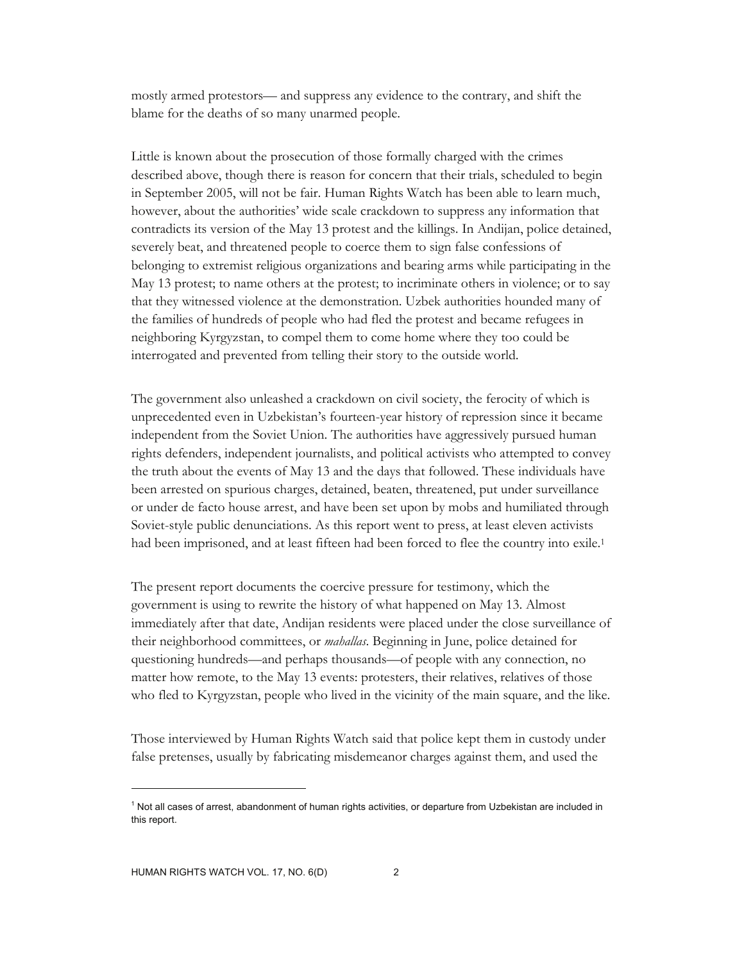mostly armed protestors— and suppress any evidence to the contrary, and shift the blame for the deaths of so many unarmed people.

Little is known about the prosecution of those formally charged with the crimes described above, though there is reason for concern that their trials, scheduled to begin in September 2005, will not be fair. Human Rights Watch has been able to learn much, however, about the authorities' wide scale crackdown to suppress any information that contradicts its version of the May 13 protest and the killings. In Andijan, police detained, severely beat, and threatened people to coerce them to sign false confessions of belonging to extremist religious organizations and bearing arms while participating in the May 13 protest; to name others at the protest; to incriminate others in violence; or to say that they witnessed violence at the demonstration. Uzbek authorities hounded many of the families of hundreds of people who had fled the protest and became refugees in neighboring Kyrgyzstan, to compel them to come home where they too could be interrogated and prevented from telling their story to the outside world.

The government also unleashed a crackdown on civil society, the ferocity of which is unprecedented even in Uzbekistan's fourteen-year history of repression since it became independent from the Soviet Union. The authorities have aggressively pursued human rights defenders, independent journalists, and political activists who attempted to convey the truth about the events of May 13 and the days that followed. These individuals have been arrested on spurious charges, detained, beaten, threatened, put under surveillance or under de facto house arrest, and have been set upon by mobs and humiliated through Soviet-style public denunciations. As this report went to press, at least eleven activists had been imprisoned, and at least fifteen had been forced to flee the country into exile.1

The present report documents the coercive pressure for testimony, which the government is using to rewrite the history of what happened on May 13. Almost immediately after that date, Andijan residents were placed under the close surveillance of their neighborhood committees, or *mahallas*. Beginning in June, police detained for questioning hundreds—and perhaps thousands—of people with any connection, no matter how remote, to the May 13 events: protesters, their relatives, relatives of those who fled to Kyrgyzstan, people who lived in the vicinity of the main square, and the like.

Those interviewed by Human Rights Watch said that police kept them in custody under false pretenses, usually by fabricating misdemeanor charges against them, and used the

<sup>&</sup>lt;sup>1</sup> Not all cases of arrest, abandonment of human rights activities, or departure from Uzbekistan are included in this report.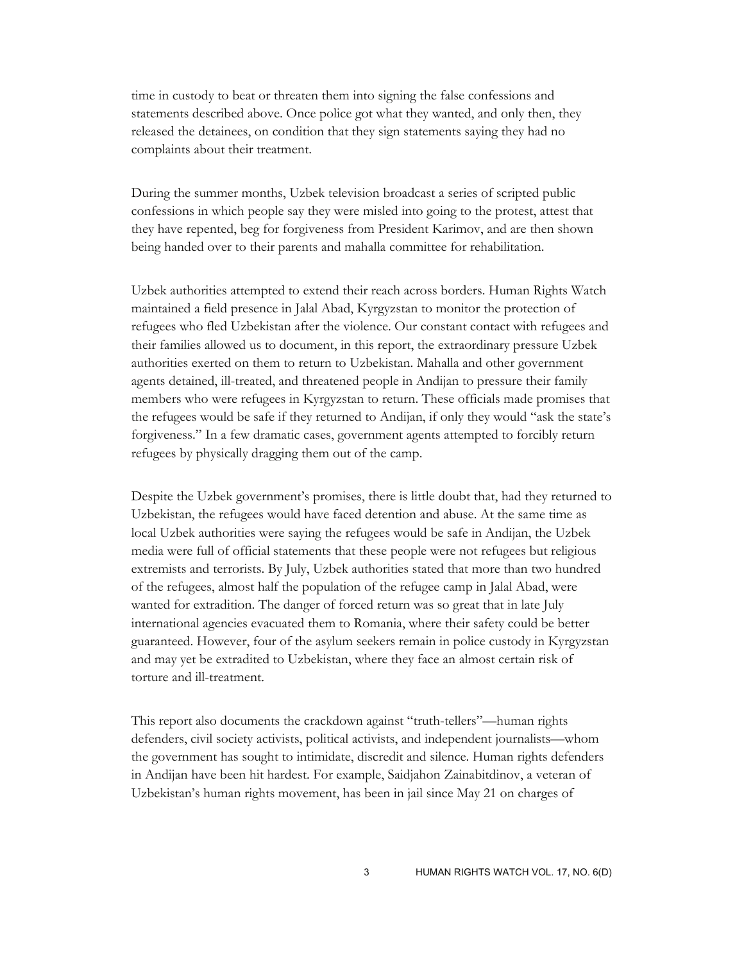time in custody to beat or threaten them into signing the false confessions and statements described above. Once police got what they wanted, and only then, they released the detainees, on condition that they sign statements saying they had no complaints about their treatment.

During the summer months, Uzbek television broadcast a series of scripted public confessions in which people say they were misled into going to the protest, attest that they have repented, beg for forgiveness from President Karimov, and are then shown being handed over to their parents and mahalla committee for rehabilitation.

Uzbek authorities attempted to extend their reach across borders. Human Rights Watch maintained a field presence in Jalal Abad, Kyrgyzstan to monitor the protection of refugees who fled Uzbekistan after the violence. Our constant contact with refugees and their families allowed us to document, in this report, the extraordinary pressure Uzbek authorities exerted on them to return to Uzbekistan. Mahalla and other government agents detained, ill-treated, and threatened people in Andijan to pressure their family members who were refugees in Kyrgyzstan to return. These officials made promises that the refugees would be safe if they returned to Andijan, if only they would "ask the state's forgiveness." In a few dramatic cases, government agents attempted to forcibly return refugees by physically dragging them out of the camp.

Despite the Uzbek government's promises, there is little doubt that, had they returned to Uzbekistan, the refugees would have faced detention and abuse. At the same time as local Uzbek authorities were saying the refugees would be safe in Andijan, the Uzbek media were full of official statements that these people were not refugees but religious extremists and terrorists. By July, Uzbek authorities stated that more than two hundred of the refugees, almost half the population of the refugee camp in Jalal Abad, were wanted for extradition. The danger of forced return was so great that in late July international agencies evacuated them to Romania, where their safety could be better guaranteed. However, four of the asylum seekers remain in police custody in Kyrgyzstan and may yet be extradited to Uzbekistan, where they face an almost certain risk of torture and ill-treatment.

This report also documents the crackdown against "truth-tellers"—human rights defenders, civil society activists, political activists, and independent journalists—whom the government has sought to intimidate, discredit and silence. Human rights defenders in Andijan have been hit hardest. For example, Saidjahon Zainabitdinov, a veteran of Uzbekistan's human rights movement, has been in jail since May 21 on charges of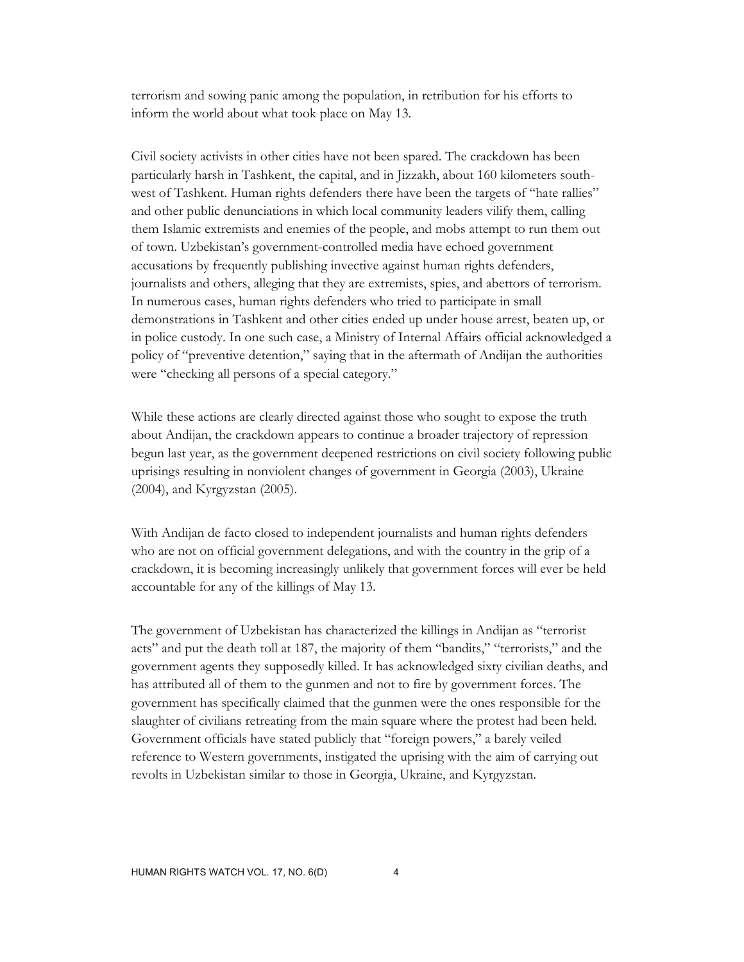terrorism and sowing panic among the population, in retribution for his efforts to inform the world about what took place on May 13.

Civil society activists in other cities have not been spared. The crackdown has been particularly harsh in Tashkent, the capital, and in Jizzakh, about 160 kilometers southwest of Tashkent. Human rights defenders there have been the targets of "hate rallies" and other public denunciations in which local community leaders vilify them, calling them Islamic extremists and enemies of the people, and mobs attempt to run them out of town. Uzbekistan's government-controlled media have echoed government accusations by frequently publishing invective against human rights defenders, journalists and others, alleging that they are extremists, spies, and abettors of terrorism. In numerous cases, human rights defenders who tried to participate in small demonstrations in Tashkent and other cities ended up under house arrest, beaten up, or in police custody. In one such case, a Ministry of Internal Affairs official acknowledged a policy of "preventive detention," saying that in the aftermath of Andijan the authorities were "checking all persons of a special category."

While these actions are clearly directed against those who sought to expose the truth about Andijan, the crackdown appears to continue a broader trajectory of repression begun last year, as the government deepened restrictions on civil society following public uprisings resulting in nonviolent changes of government in Georgia (2003), Ukraine (2004), and Kyrgyzstan (2005).

With Andijan de facto closed to independent journalists and human rights defenders who are not on official government delegations, and with the country in the grip of a crackdown, it is becoming increasingly unlikely that government forces will ever be held accountable for any of the killings of May 13.

The government of Uzbekistan has characterized the killings in Andijan as "terrorist acts" and put the death toll at 187, the majority of them "bandits," "terrorists," and the government agents they supposedly killed. It has acknowledged sixty civilian deaths, and has attributed all of them to the gunmen and not to fire by government forces. The government has specifically claimed that the gunmen were the ones responsible for the slaughter of civilians retreating from the main square where the protest had been held. Government officials have stated publicly that "foreign powers," a barely veiled reference to Western governments, instigated the uprising with the aim of carrying out revolts in Uzbekistan similar to those in Georgia, Ukraine, and Kyrgyzstan.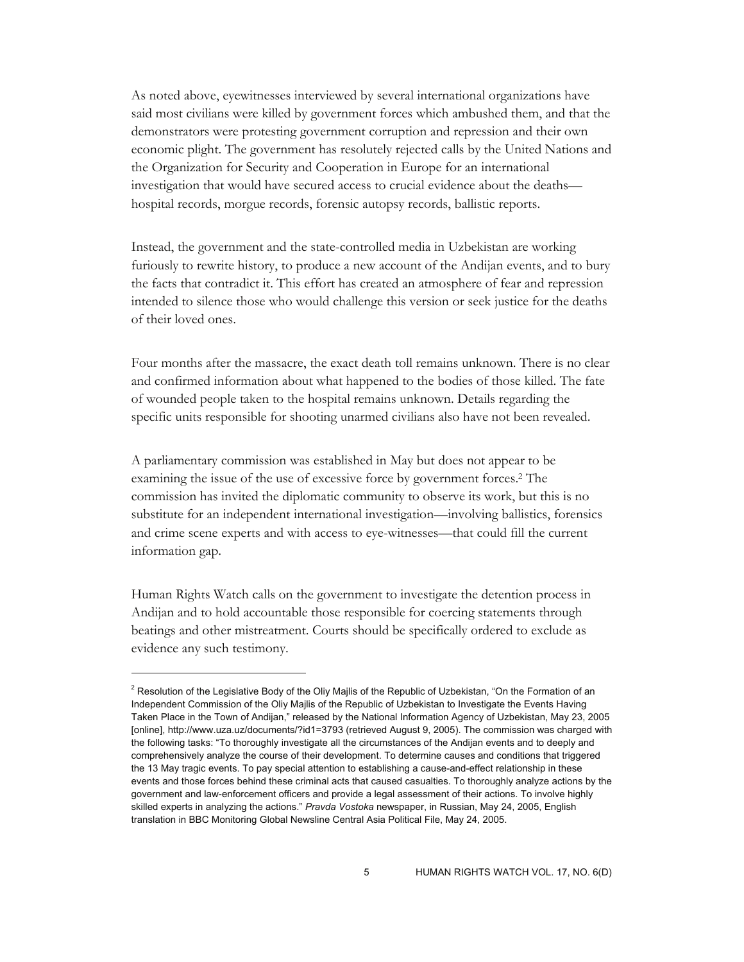As noted above, eyewitnesses interviewed by several international organizations have said most civilians were killed by government forces which ambushed them, and that the demonstrators were protesting government corruption and repression and their own economic plight. The government has resolutely rejected calls by the United Nations and the Organization for Security and Cooperation in Europe for an international investigation that would have secured access to crucial evidence about the deaths hospital records, morgue records, forensic autopsy records, ballistic reports.

Instead, the government and the state-controlled media in Uzbekistan are working furiously to rewrite history, to produce a new account of the Andijan events, and to bury the facts that contradict it. This effort has created an atmosphere of fear and repression intended to silence those who would challenge this version or seek justice for the deaths of their loved ones.

Four months after the massacre, the exact death toll remains unknown. There is no clear and confirmed information about what happened to the bodies of those killed. The fate of wounded people taken to the hospital remains unknown. Details regarding the specific units responsible for shooting unarmed civilians also have not been revealed.

A parliamentary commission was established in May but does not appear to be examining the issue of the use of excessive force by government forces.<sup>2</sup> The commission has invited the diplomatic community to observe its work, but this is no substitute for an independent international investigation—involving ballistics, forensics and crime scene experts and with access to eye-witnesses—that could fill the current information gap.

Human Rights Watch calls on the government to investigate the detention process in Andijan and to hold accountable those responsible for coercing statements through beatings and other mistreatment. Courts should be specifically ordered to exclude as evidence any such testimony.

<sup>&</sup>lt;sup>2</sup> Resolution of the Legislative Body of the Oliy Majlis of the Republic of Uzbekistan, "On the Formation of an Independent Commission of the Oliy Majlis of the Republic of Uzbekistan to Investigate the Events Having Taken Place in the Town of Andijan," released by the National Information Agency of Uzbekistan, May 23, 2005 [online], http://www.uza.uz/documents/?id1=3793 (retrieved August 9, 2005). The commission was charged with the following tasks: "To thoroughly investigate all the circumstances of the Andijan events and to deeply and comprehensively analyze the course of their development. To determine causes and conditions that triggered the 13 May tragic events. To pay special attention to establishing a cause-and-effect relationship in these events and those forces behind these criminal acts that caused casualties. To thoroughly analyze actions by the government and law-enforcement officers and provide a legal assessment of their actions. To involve highly skilled experts in analyzing the actions." *Pravda Vostoka* newspaper, in Russian, May 24, 2005, English translation in BBC Monitoring Global Newsline Central Asia Political File, May 24, 2005.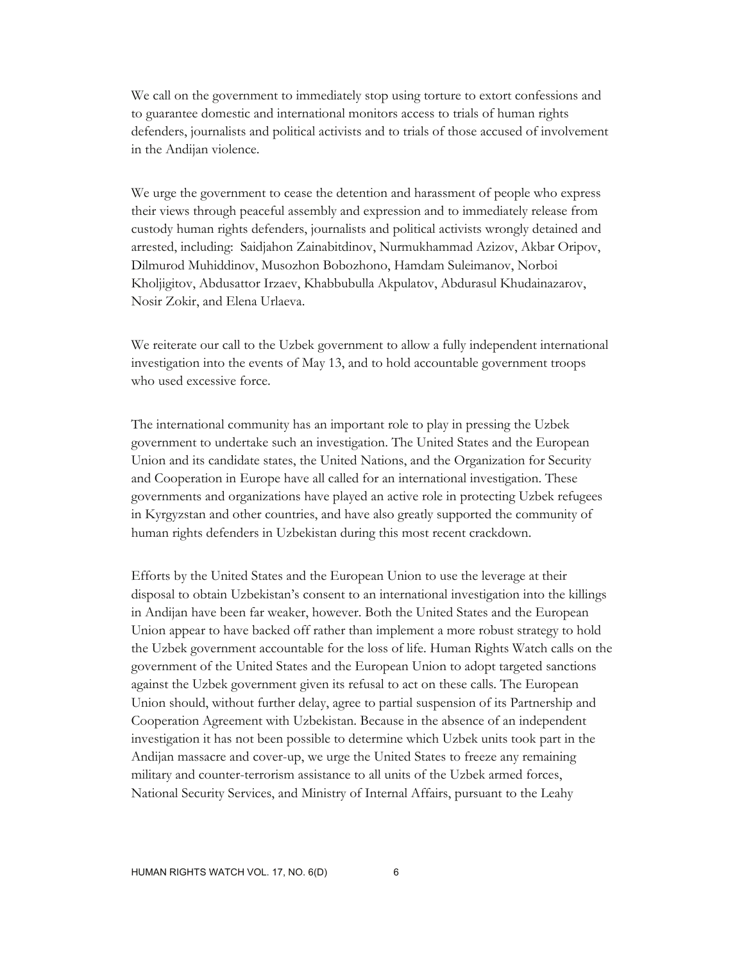We call on the government to immediately stop using torture to extort confessions and to guarantee domestic and international monitors access to trials of human rights defenders, journalists and political activists and to trials of those accused of involvement in the Andijan violence.

We urge the government to cease the detention and harassment of people who express their views through peaceful assembly and expression and to immediately release from custody human rights defenders, journalists and political activists wrongly detained and arrested, including: Saidjahon Zainabitdinov, Nurmukhammad Azizov, Akbar Oripov, Dilmurod Muhiddinov, Musozhon Bobozhono, Hamdam Suleimanov, Norboi Kholjigitov, Abdusattor Irzaev, Khabbubulla Akpulatov, Abdurasul Khudainazarov, Nosir Zokir, and Elena Urlaeva.

We reiterate our call to the Uzbek government to allow a fully independent international investigation into the events of May 13, and to hold accountable government troops who used excessive force.

The international community has an important role to play in pressing the Uzbek government to undertake such an investigation. The United States and the European Union and its candidate states, the United Nations, and the Organization for Security and Cooperation in Europe have all called for an international investigation. These governments and organizations have played an active role in protecting Uzbek refugees in Kyrgyzstan and other countries, and have also greatly supported the community of human rights defenders in Uzbekistan during this most recent crackdown.

Efforts by the United States and the European Union to use the leverage at their disposal to obtain Uzbekistan's consent to an international investigation into the killings in Andijan have been far weaker, however. Both the United States and the European Union appear to have backed off rather than implement a more robust strategy to hold the Uzbek government accountable for the loss of life. Human Rights Watch calls on the government of the United States and the European Union to adopt targeted sanctions against the Uzbek government given its refusal to act on these calls. The European Union should, without further delay, agree to partial suspension of its Partnership and Cooperation Agreement with Uzbekistan. Because in the absence of an independent investigation it has not been possible to determine which Uzbek units took part in the Andijan massacre and cover-up, we urge the United States to freeze any remaining military and counter-terrorism assistance to all units of the Uzbek armed forces, National Security Services, and Ministry of Internal Affairs, pursuant to the Leahy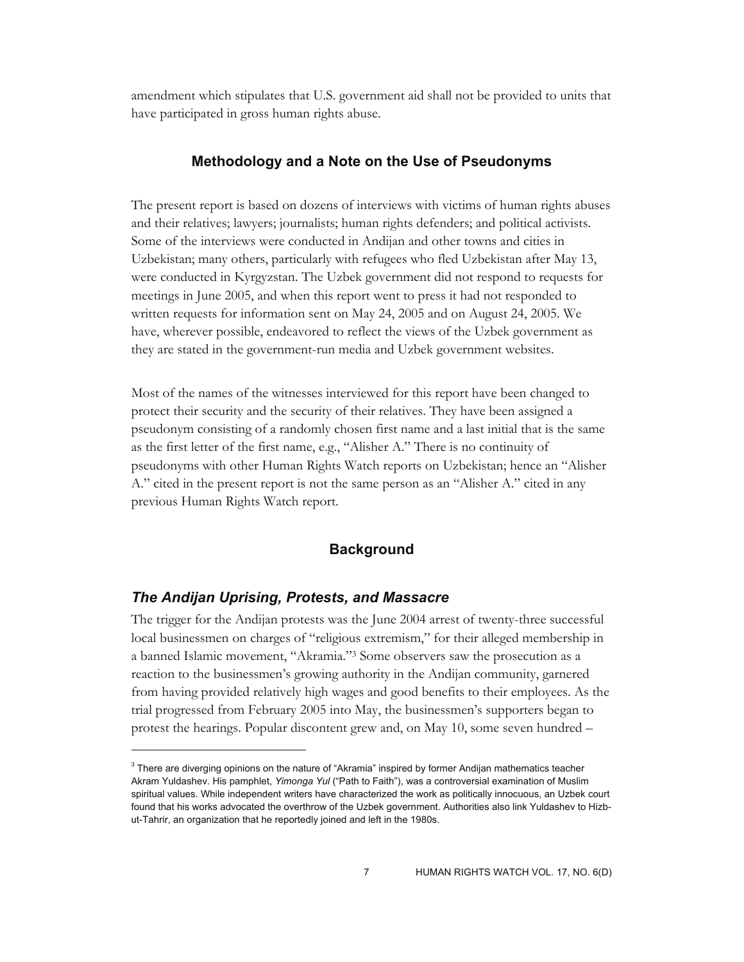amendment which stipulates that U.S. government aid shall not be provided to units that have participated in gross human rights abuse.

## **Methodology and a Note on the Use of Pseudonyms**

The present report is based on dozens of interviews with victims of human rights abuses and their relatives; lawyers; journalists; human rights defenders; and political activists. Some of the interviews were conducted in Andijan and other towns and cities in Uzbekistan; many others, particularly with refugees who fled Uzbekistan after May 13, were conducted in Kyrgyzstan. The Uzbek government did not respond to requests for meetings in June 2005, and when this report went to press it had not responded to written requests for information sent on May 24, 2005 and on August 24, 2005. We have, wherever possible, endeavored to reflect the views of the Uzbek government as they are stated in the government-run media and Uzbek government websites.

Most of the names of the witnesses interviewed for this report have been changed to protect their security and the security of their relatives. They have been assigned a pseudonym consisting of a randomly chosen first name and a last initial that is the same as the first letter of the first name, e.g., "Alisher A." There is no continuity of pseudonyms with other Human Rights Watch reports on Uzbekistan; hence an "Alisher A." cited in the present report is not the same person as an "Alisher A." cited in any previous Human Rights Watch report.

## **Background**

#### *The Andijan Uprising, Protests, and Massacre*

 $\overline{a}$ 

The trigger for the Andijan protests was the June 2004 arrest of twenty-three successful local businessmen on charges of "religious extremism," for their alleged membership in a banned Islamic movement, "Akramia."3 Some observers saw the prosecution as a reaction to the businessmen's growing authority in the Andijan community, garnered from having provided relatively high wages and good benefits to their employees. As the trial progressed from February 2005 into May, the businessmen's supporters began to protest the hearings. Popular discontent grew and, on May 10, some seven hundred –

 $3$  There are diverging opinions on the nature of "Akramia" inspired by former Andijan mathematics teacher Akram Yuldashev. His pamphlet, *Yimonga Yul* ("Path to Faith"), was a controversial examination of Muslim spiritual values. While independent writers have characterized the work as politically innocuous, an Uzbek court found that his works advocated the overthrow of the Uzbek government. Authorities also link Yuldashev to Hizbut-Tahrir, an organization that he reportedly joined and left in the 1980s.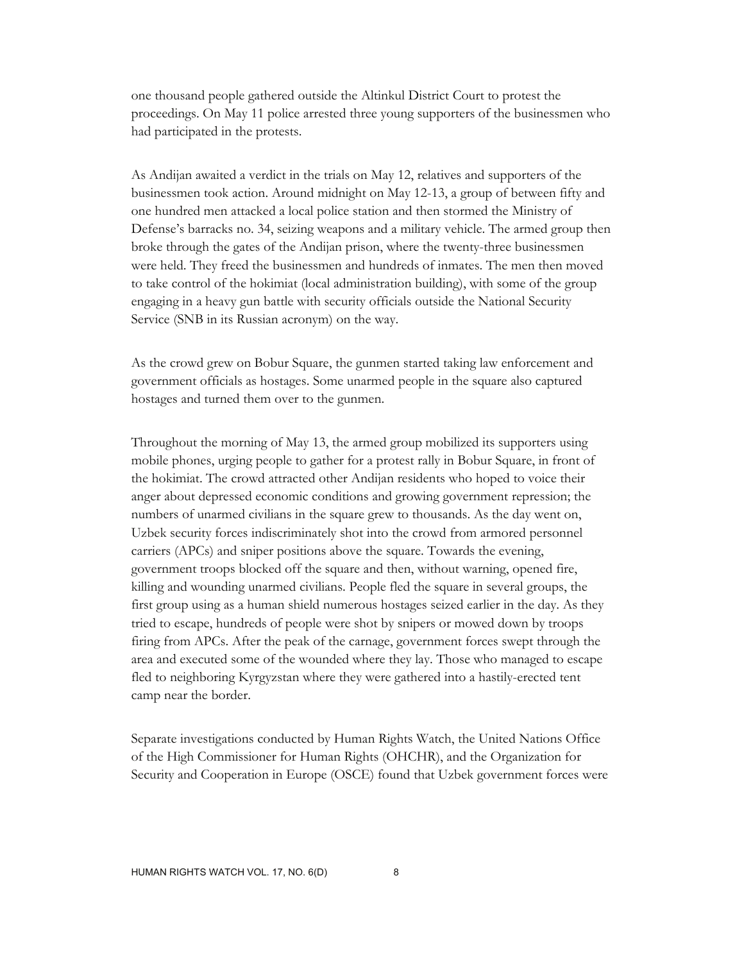one thousand people gathered outside the Altinkul District Court to protest the proceedings. On May 11 police arrested three young supporters of the businessmen who had participated in the protests.

As Andijan awaited a verdict in the trials on May 12, relatives and supporters of the businessmen took action. Around midnight on May 12-13, a group of between fifty and one hundred men attacked a local police station and then stormed the Ministry of Defense's barracks no. 34, seizing weapons and a military vehicle. The armed group then broke through the gates of the Andijan prison, where the twenty-three businessmen were held. They freed the businessmen and hundreds of inmates. The men then moved to take control of the hokimiat (local administration building), with some of the group engaging in a heavy gun battle with security officials outside the National Security Service (SNB in its Russian acronym) on the way.

As the crowd grew on Bobur Square, the gunmen started taking law enforcement and government officials as hostages. Some unarmed people in the square also captured hostages and turned them over to the gunmen.

Throughout the morning of May 13, the armed group mobilized its supporters using mobile phones, urging people to gather for a protest rally in Bobur Square, in front of the hokimiat. The crowd attracted other Andijan residents who hoped to voice their anger about depressed economic conditions and growing government repression; the numbers of unarmed civilians in the square grew to thousands. As the day went on, Uzbek security forces indiscriminately shot into the crowd from armored personnel carriers (APCs) and sniper positions above the square. Towards the evening, government troops blocked off the square and then, without warning, opened fire, killing and wounding unarmed civilians. People fled the square in several groups, the first group using as a human shield numerous hostages seized earlier in the day. As they tried to escape, hundreds of people were shot by snipers or mowed down by troops firing from APCs. After the peak of the carnage, government forces swept through the area and executed some of the wounded where they lay. Those who managed to escape fled to neighboring Kyrgyzstan where they were gathered into a hastily-erected tent camp near the border.

Separate investigations conducted by Human Rights Watch, the United Nations Office of the High Commissioner for Human Rights (OHCHR), and the Organization for Security and Cooperation in Europe (OSCE) found that Uzbek government forces were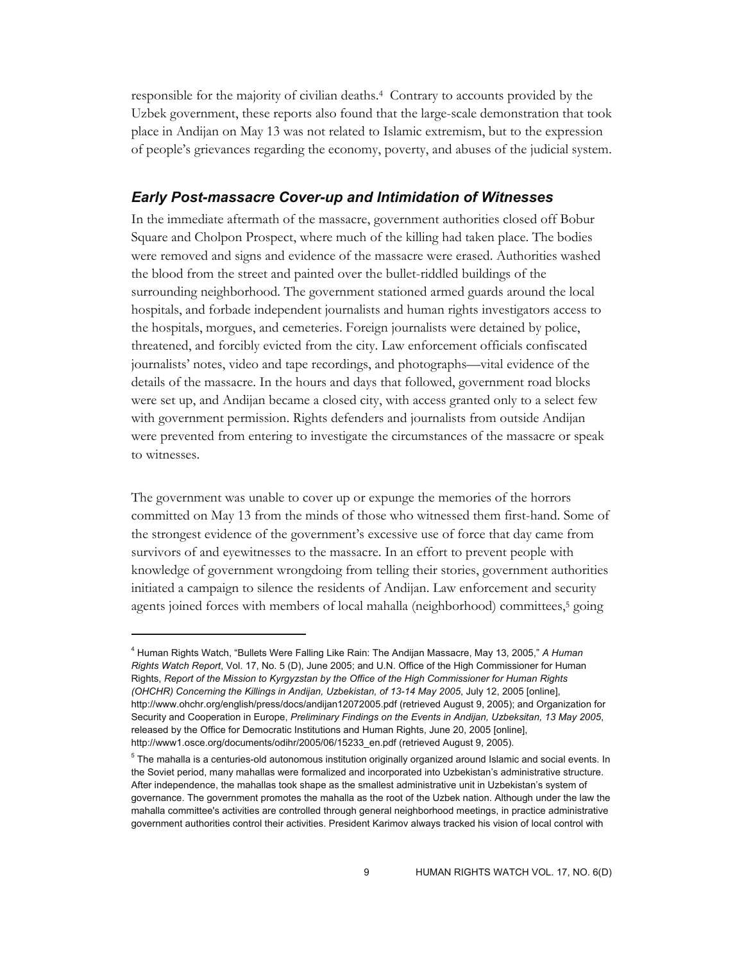responsible for the majority of civilian deaths.4 Contrary to accounts provided by the Uzbek government, these reports also found that the large-scale demonstration that took place in Andijan on May 13 was not related to Islamic extremism, but to the expression of people's grievances regarding the economy, poverty, and abuses of the judicial system.

### *Early Post-massacre Cover-up and Intimidation of Witnesses*

In the immediate aftermath of the massacre, government authorities closed off Bobur Square and Cholpon Prospect, where much of the killing had taken place. The bodies were removed and signs and evidence of the massacre were erased. Authorities washed the blood from the street and painted over the bullet-riddled buildings of the surrounding neighborhood. The government stationed armed guards around the local hospitals, and forbade independent journalists and human rights investigators access to the hospitals, morgues, and cemeteries. Foreign journalists were detained by police, threatened, and forcibly evicted from the city. Law enforcement officials confiscated journalists' notes, video and tape recordings, and photographs—vital evidence of the details of the massacre. In the hours and days that followed, government road blocks were set up, and Andijan became a closed city, with access granted only to a select few with government permission. Rights defenders and journalists from outside Andijan were prevented from entering to investigate the circumstances of the massacre or speak to witnesses.

The government was unable to cover up or expunge the memories of the horrors committed on May 13 from the minds of those who witnessed them first-hand. Some of the strongest evidence of the government's excessive use of force that day came from survivors of and eyewitnesses to the massacre. In an effort to prevent people with knowledge of government wrongdoing from telling their stories, government authorities initiated a campaign to silence the residents of Andijan. Law enforcement and security agents joined forces with members of local mahalla (neighborhood) committees,<sup>5</sup> going

<sup>4</sup> Human Rights Watch, "Bullets Were Falling Like Rain: The Andijan Massacre, May 13, 2005," *A Human Rights Watch Report*, Vol. 17, No. 5 (D), June 2005; and U.N. Office of the High Commissioner for Human Rights, *Report of the Mission to Kyrgyzstan by the Office of the High Commissioner for Human Rights (OHCHR) Concerning the Killings in Andijan, Uzbekistan, of 13-14 May 2005*, July 12, 2005 [online], http://www.ohchr.org/english/press/docs/andijan12072005.pdf (retrieved August 9, 2005); and Organization for Security and Cooperation in Europe, *Preliminary Findings on the Events in Andijan, Uzbeksitan, 13 May 2005*, released by the Office for Democratic Institutions and Human Rights, June 20, 2005 [online], http://www1.osce.org/documents/odihr/2005/06/15233\_en.pdf (retrieved August 9, 2005).

<sup>&</sup>lt;sup>5</sup> The mahalla is a centuries-old autonomous institution originally organized around Islamic and social events. In the Soviet period, many mahallas were formalized and incorporated into Uzbekistan's administrative structure. After independence, the mahallas took shape as the smallest administrative unit in Uzbekistan's system of governance. The government promotes the mahalla as the root of the Uzbek nation. Although under the law the mahalla committee's activities are controlled through general neighborhood meetings, in practice administrative government authorities control their activities. President Karimov always tracked his vision of local control with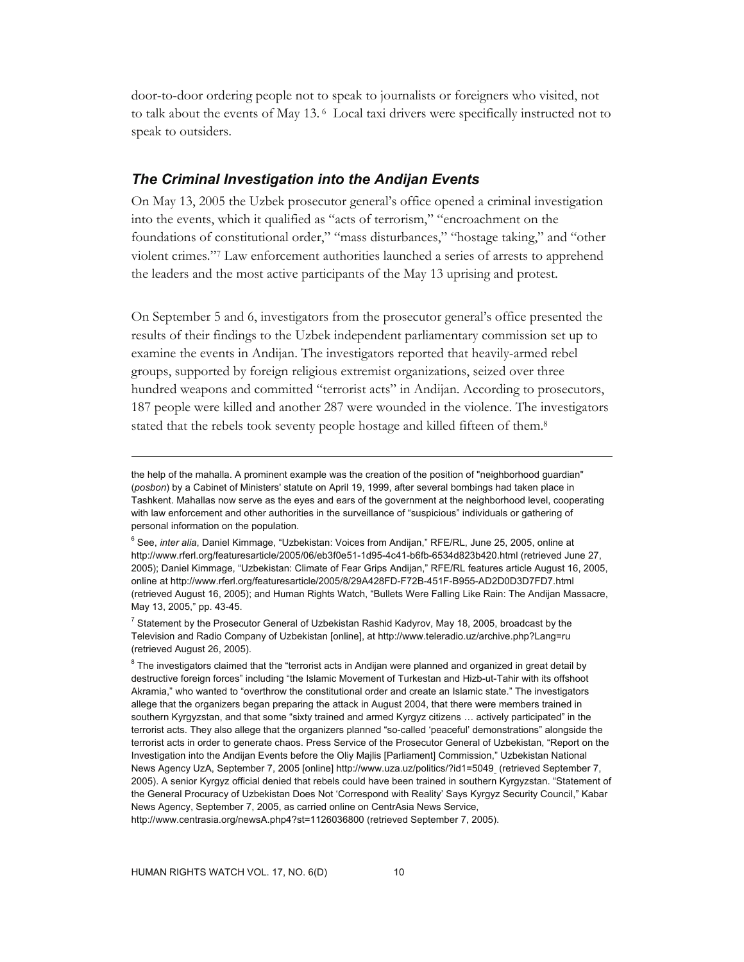door-to-door ordering people not to speak to journalists or foreigners who visited, not to talk about the events of May 13. 6 Local taxi drivers were specifically instructed not to speak to outsiders.

#### *The Criminal Investigation into the Andijan Events*

On May 13, 2005 the Uzbek prosecutor general's office opened a criminal investigation into the events, which it qualified as "acts of terrorism," "encroachment on the foundations of constitutional order," "mass disturbances," "hostage taking," and "other violent crimes."7 Law enforcement authorities launched a series of arrests to apprehend the leaders and the most active participants of the May 13 uprising and protest.

On September 5 and 6, investigators from the prosecutor general's office presented the results of their findings to the Uzbek independent parliamentary commission set up to examine the events in Andijan. The investigators reported that heavily-armed rebel groups, supported by foreign religious extremist organizations, seized over three hundred weapons and committed "terrorist acts" in Andijan. According to prosecutors, 187 people were killed and another 287 were wounded in the violence. The investigators stated that the rebels took seventy people hostage and killed fifteen of them.<sup>8</sup>

the help of the mahalla. A prominent example was the creation of the position of "neighborhood guardian" (*posbon*) by a Cabinet of Ministers' statute on April 19, 1999, after several bombings had taken place in Tashkent. Mahallas now serve as the eyes and ears of the government at the neighborhood level, cooperating with law enforcement and other authorities in the surveillance of "suspicious" individuals or gathering of personal information on the population.

<sup>6</sup> See, *inter alia*, Daniel Kimmage, "Uzbekistan: Voices from Andijan," RFE/RL, June 25, 2005, online at http://www.rferl.org/featuresarticle/2005/06/eb3f0e51-1d95-4c41-b6fb-6534d823b420.html (retrieved June 27, 2005); Daniel Kimmage, "Uzbekistan: Climate of Fear Grips Andijan," RFE/RL features article August 16, 2005, online at http://www.rferl.org/featuresarticle/2005/8/29A428FD-F72B-451F-B955-AD2D0D3D7FD7.html (retrieved August 16, 2005); and Human Rights Watch, "Bullets Were Falling Like Rain: The Andijan Massacre, May 13, 2005," pp. 43-45.

<sup>&</sup>lt;sup>7</sup> Statement by the Prosecutor General of Uzbekistan Rashid Kadyrov, May 18, 2005, broadcast by the Television and Radio Company of Uzbekistan [online], at http://www.teleradio.uz/archive.php?Lang=ru (retrieved August 26, 2005).

 $8$  The investigators claimed that the "terrorist acts in Andijan were planned and organized in great detail by destructive foreign forces" including "the Islamic Movement of Turkestan and Hizb-ut-Tahir with its offshoot Akramia," who wanted to "overthrow the constitutional order and create an Islamic state." The investigators allege that the organizers began preparing the attack in August 2004, that there were members trained in southern Kyrgyzstan, and that some "sixty trained and armed Kyrgyz citizens … actively participated" in the terrorist acts. They also allege that the organizers planned "so-called 'peaceful' demonstrations" alongside the terrorist acts in order to generate chaos. Press Service of the Prosecutor General of Uzbekistan, "Report on the Investigation into the Andijan Events before the Oliy Majlis [Parliament] Commission," Uzbekistan National News Agency UzA, September 7, 2005 [online] http://www.uza.uz/politics/?id1=5049 (retrieved September 7, 2005). A senior Kyrgyz official denied that rebels could have been trained in southern Kyrgyzstan. "Statement of the General Procuracy of Uzbekistan Does Not 'Correspond with Reality' Says Kyrgyz Security Council," Kabar News Agency, September 7, 2005, as carried online on CentrAsia News Service, http://www.centrasia.org/newsA.php4?st=1126036800 (retrieved September 7, 2005).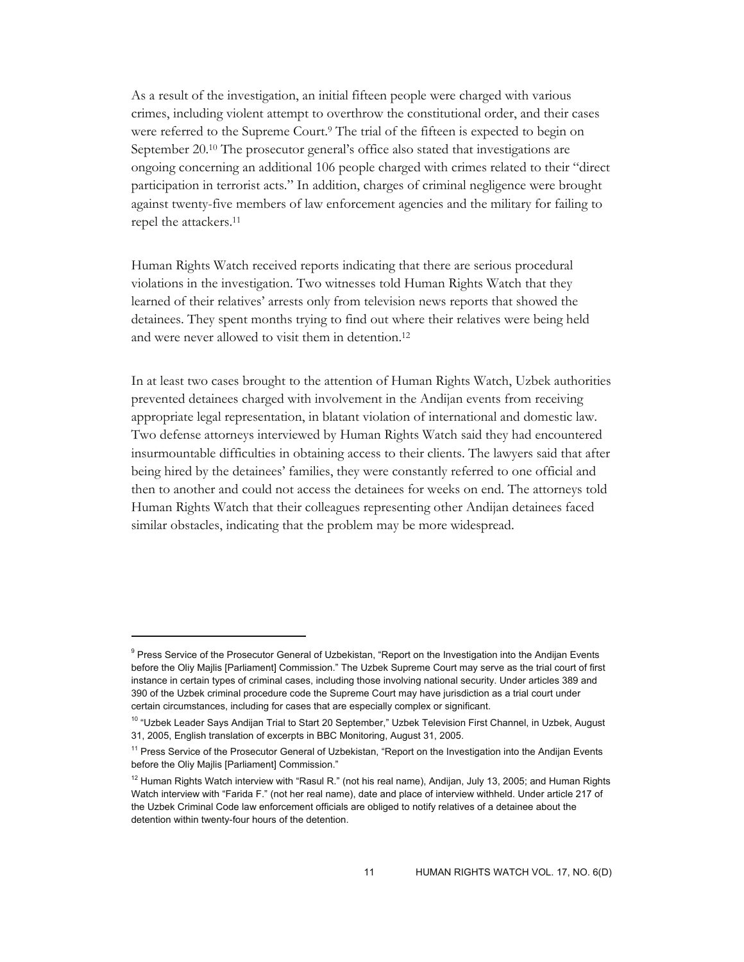As a result of the investigation, an initial fifteen people were charged with various crimes, including violent attempt to overthrow the constitutional order, and their cases were referred to the Supreme Court.<sup>9</sup> The trial of the fifteen is expected to begin on September 20.10 The prosecutor general's office also stated that investigations are ongoing concerning an additional 106 people charged with crimes related to their "direct participation in terrorist acts." In addition, charges of criminal negligence were brought against twenty-five members of law enforcement agencies and the military for failing to repel the attackers.11

Human Rights Watch received reports indicating that there are serious procedural violations in the investigation. Two witnesses told Human Rights Watch that they learned of their relatives' arrests only from television news reports that showed the detainees. They spent months trying to find out where their relatives were being held and were never allowed to visit them in detention.12

In at least two cases brought to the attention of Human Rights Watch, Uzbek authorities prevented detainees charged with involvement in the Andijan events from receiving appropriate legal representation, in blatant violation of international and domestic law. Two defense attorneys interviewed by Human Rights Watch said they had encountered insurmountable difficulties in obtaining access to their clients. The lawyers said that after being hired by the detainees' families, they were constantly referred to one official and then to another and could not access the detainees for weeks on end. The attorneys told Human Rights Watch that their colleagues representing other Andijan detainees faced similar obstacles, indicating that the problem may be more widespread.

-

<sup>&</sup>lt;sup>9</sup> Press Service of the Prosecutor General of Uzbekistan, "Report on the Investigation into the Andijan Events before the Oliy Majlis [Parliament] Commission." The Uzbek Supreme Court may serve as the trial court of first instance in certain types of criminal cases, including those involving national security. Under articles 389 and 390 of the Uzbek criminal procedure code the Supreme Court may have jurisdiction as a trial court under certain circumstances, including for cases that are especially complex or significant.

<sup>&</sup>lt;sup>10</sup> "Uzbek Leader Says Andijan Trial to Start 20 September," Uzbek Television First Channel, in Uzbek, August 31, 2005, English translation of excerpts in BBC Monitoring, August 31, 2005.

<sup>&</sup>lt;sup>11</sup> Press Service of the Prosecutor General of Uzbekistan, "Report on the Investigation into the Andijan Events before the Oliy Majlis [Parliament] Commission."

<sup>&</sup>lt;sup>12</sup> Human Rights Watch interview with "Rasul R." (not his real name), Andijan, July 13, 2005; and Human Rights Watch interview with "Farida F." (not her real name), date and place of interview withheld. Under article 217 of the Uzbek Criminal Code law enforcement officials are obliged to notify relatives of a detainee about the detention within twenty-four hours of the detention.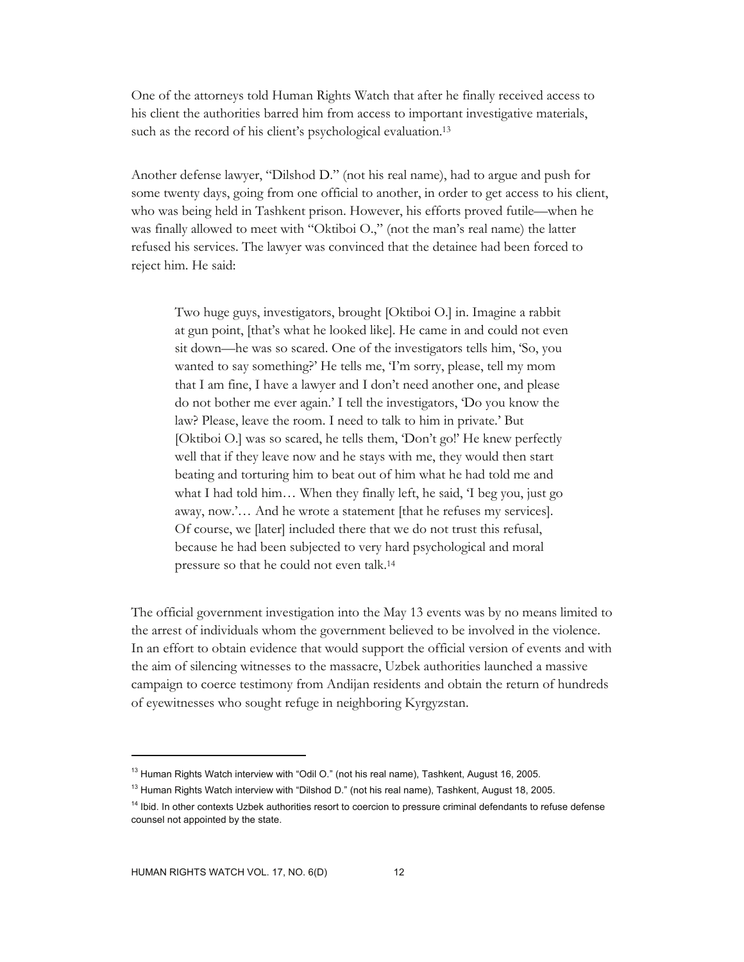One of the attorneys told Human Rights Watch that after he finally received access to his client the authorities barred him from access to important investigative materials, such as the record of his client's psychological evaluation.<sup>13</sup>

Another defense lawyer, "Dilshod D." (not his real name), had to argue and push for some twenty days, going from one official to another, in order to get access to his client, who was being held in Tashkent prison. However, his efforts proved futile—when he was finally allowed to meet with "Oktiboi O.," (not the man's real name) the latter refused his services. The lawyer was convinced that the detainee had been forced to reject him. He said:

Two huge guys, investigators, brought [Oktiboi O.] in. Imagine a rabbit at gun point, [that's what he looked like]. He came in and could not even sit down—he was so scared. One of the investigators tells him, 'So, you wanted to say something?' He tells me, 'I'm sorry, please, tell my mom that I am fine, I have a lawyer and I don't need another one, and please do not bother me ever again.' I tell the investigators, 'Do you know the law? Please, leave the room. I need to talk to him in private.' But [Oktiboi O.] was so scared, he tells them, 'Don't go!' He knew perfectly well that if they leave now and he stays with me, they would then start beating and torturing him to beat out of him what he had told me and what I had told him… When they finally left, he said, 'I beg you, just go away, now.'… And he wrote a statement [that he refuses my services]. Of course, we [later] included there that we do not trust this refusal, because he had been subjected to very hard psychological and moral pressure so that he could not even talk.14

The official government investigation into the May 13 events was by no means limited to the arrest of individuals whom the government believed to be involved in the violence. In an effort to obtain evidence that would support the official version of events and with the aim of silencing witnesses to the massacre, Uzbek authorities launched a massive campaign to coerce testimony from Andijan residents and obtain the return of hundreds of eyewitnesses who sought refuge in neighboring Kyrgyzstan.

 $13$  Human Rights Watch interview with "Odil O." (not his real name), Tashkent, August 16, 2005.

<sup>&</sup>lt;sup>13</sup> Human Rights Watch interview with "Dilshod D." (not his real name), Tashkent, August 18, 2005.

<sup>&</sup>lt;sup>14</sup> Ibid. In other contexts Uzbek authorities resort to coercion to pressure criminal defendants to refuse defense counsel not appointed by the state.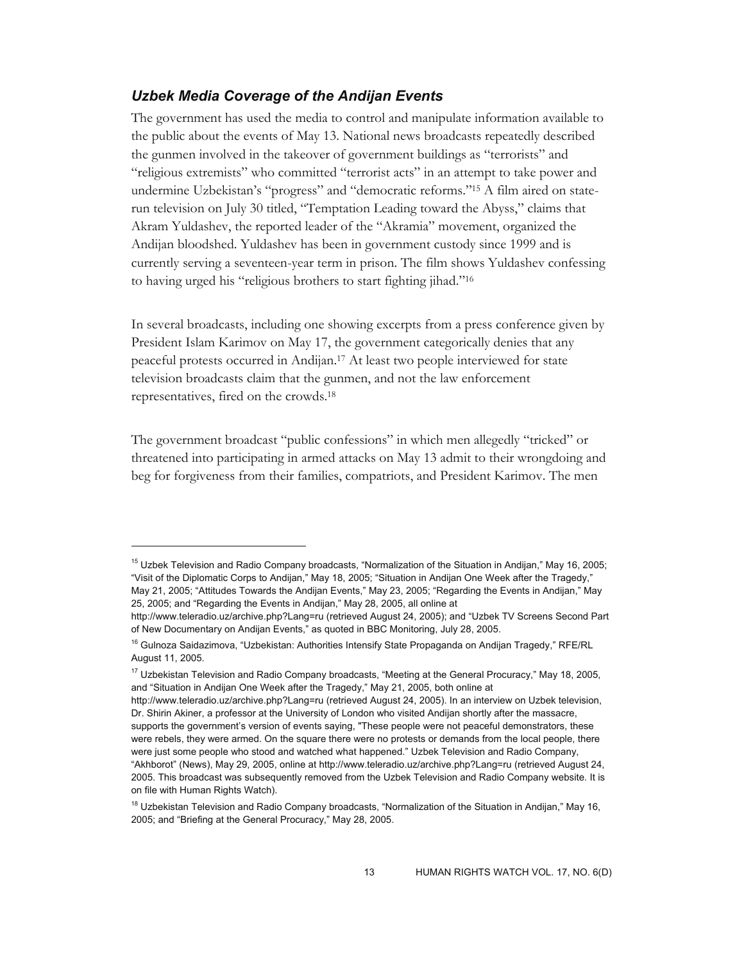## *Uzbek Media Coverage of the Andijan Events*

The government has used the media to control and manipulate information available to the public about the events of May 13. National news broadcasts repeatedly described the gunmen involved in the takeover of government buildings as "terrorists" and "religious extremists" who committed "terrorist acts" in an attempt to take power and undermine Uzbekistan's "progress" and "democratic reforms."15 A film aired on staterun television on July 30 titled, "Temptation Leading toward the Abyss," claims that Akram Yuldashev, the reported leader of the "Akramia" movement, organized the Andijan bloodshed. Yuldashev has been in government custody since 1999 and is currently serving a seventeen-year term in prison. The film shows Yuldashev confessing to having urged his "religious brothers to start fighting jihad."16

In several broadcasts, including one showing excerpts from a press conference given by President Islam Karimov on May 17, the government categorically denies that any peaceful protests occurred in Andijan.17 At least two people interviewed for state television broadcasts claim that the gunmen, and not the law enforcement representatives, fired on the crowds.18

The government broadcast "public confessions" in which men allegedly "tricked" or threatened into participating in armed attacks on May 13 admit to their wrongdoing and beg for forgiveness from their families, compatriots, and President Karimov. The men

-

<sup>&</sup>lt;sup>15</sup> Uzbek Television and Radio Company broadcasts, "Normalization of the Situation in Andijan," May 16, 2005; "Visit of the Diplomatic Corps to Andijan," May 18, 2005; "Situation in Andijan One Week after the Tragedy," May 21, 2005; "Attitudes Towards the Andijan Events," May 23, 2005; "Regarding the Events in Andijan," May 25, 2005; and "Regarding the Events in Andijan," May 28, 2005, all online at

http://www.teleradio.uz/archive.php?Lang=ru (retrieved August 24, 2005); and "Uzbek TV Screens Second Part of New Documentary on Andijan Events," as quoted in BBC Monitoring, July 28, 2005.

<sup>&</sup>lt;sup>16</sup> Gulnoza Saidazimova, "Uzbekistan: Authorities Intensify State Propaganda on Andijan Tragedy," RFE/RL August 11, 2005.

<sup>&</sup>lt;sup>17</sup> Uzbekistan Television and Radio Company broadcasts, "Meeting at the General Procuracy," May 18, 2005, and "Situation in Andijan One Week after the Tragedy," May 21, 2005, both online at

http://www.teleradio.uz/archive.php?Lang=ru (retrieved August 24, 2005). In an interview on Uzbek television, Dr. Shirin Akiner, a professor at the University of London who visited Andijan shortly after the massacre, supports the government's version of events saying, "These people were not peaceful demonstrators, these were rebels, they were armed. On the square there were no protests or demands from the local people, there were just some people who stood and watched what happened." Uzbek Television and Radio Company, "Akhborot" (News), May 29, 2005, online at http://www.teleradio.uz/archive.php?Lang=ru (retrieved August 24, 2005. This broadcast was subsequently removed from the Uzbek Television and Radio Company website. It is on file with Human Rights Watch).

<sup>&</sup>lt;sup>18</sup> Uzbekistan Television and Radio Company broadcasts, "Normalization of the Situation in Andijan," May 16, 2005; and "Briefing at the General Procuracy," May 28, 2005.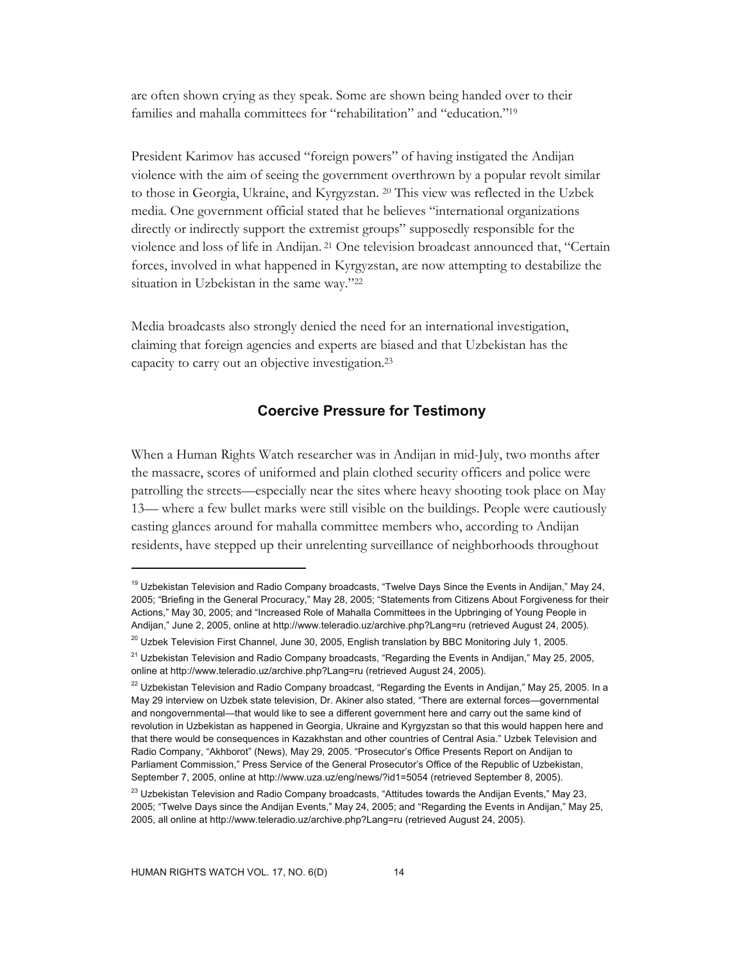are often shown crying as they speak. Some are shown being handed over to their families and mahalla committees for "rehabilitation" and "education."19

President Karimov has accused "foreign powers" of having instigated the Andijan violence with the aim of seeing the government overthrown by a popular revolt similar to those in Georgia, Ukraine, and Kyrgyzstan. 20 This view was reflected in the Uzbek media. One government official stated that he believes "international organizations directly or indirectly support the extremist groups" supposedly responsible for the violence and loss of life in Andijan. 21 One television broadcast announced that, "Certain forces, involved in what happened in Kyrgyzstan, are now attempting to destabilize the situation in Uzbekistan in the same way."22

Media broadcasts also strongly denied the need for an international investigation, claiming that foreign agencies and experts are biased and that Uzbekistan has the capacity to carry out an objective investigation.23

## **Coercive Pressure for Testimony**

When a Human Rights Watch researcher was in Andijan in mid-July, two months after the massacre, scores of uniformed and plain clothed security officers and police were patrolling the streets—especially near the sites where heavy shooting took place on May 13— where a few bullet marks were still visible on the buildings. People were cautiously casting glances around for mahalla committee members who, according to Andijan residents, have stepped up their unrelenting surveillance of neighborhoods throughout

<sup>&</sup>lt;sup>19</sup> Uzbekistan Television and Radio Company broadcasts, "Twelve Days Since the Events in Andijan," May 24, 2005; "Briefing in the General Procuracy," May 28, 2005; "Statements from Citizens About Forgiveness for their Actions," May 30, 2005; and "Increased Role of Mahalla Committees in the Upbringing of Young People in Andijan," June 2, 2005, online at http://www.teleradio.uz/archive.php?Lang=ru (retrieved August 24, 2005).

<sup>&</sup>lt;sup>20</sup> Uzbek Television First Channel, June 30, 2005, English translation by BBC Monitoring July 1, 2005.

<sup>&</sup>lt;sup>21</sup> Uzbekistan Television and Radio Company broadcasts, "Regarding the Events in Andijan," May 25, 2005, online at http://www.teleradio.uz/archive.php?Lang=ru (retrieved August 24, 2005).

 $^{22}$  Uzbekistan Television and Radio Company broadcast, "Regarding the Events in Andijan," May 25, 2005. In a May 29 interview on Uzbek state television, Dr. Akiner also stated, "There are external forces—governmental and nongovernmental—that would like to see a different government here and carry out the same kind of revolution in Uzbekistan as happened in Georgia, Ukraine and Kyrgyzstan so that this would happen here and that there would be consequences in Kazakhstan and other countries of Central Asia." Uzbek Television and Radio Company, "Akhborot" (News), May 29, 2005. "Prosecutor's Office Presents Report on Andijan to Parliament Commission," Press Service of the General Prosecutor's Office of the Republic of Uzbekistan, September 7, 2005, online at http://www.uza.uz/eng/news/?id1=5054 (retrieved September 8, 2005).

 $^{23}$  Uzbekistan Television and Radio Company broadcasts, "Attitudes towards the Andijan Events," May 23, 2005; "Twelve Days since the Andijan Events," May 24, 2005; and "Regarding the Events in Andijan," May 25, 2005, all online at http://www.teleradio.uz/archive.php?Lang=ru (retrieved August 24, 2005).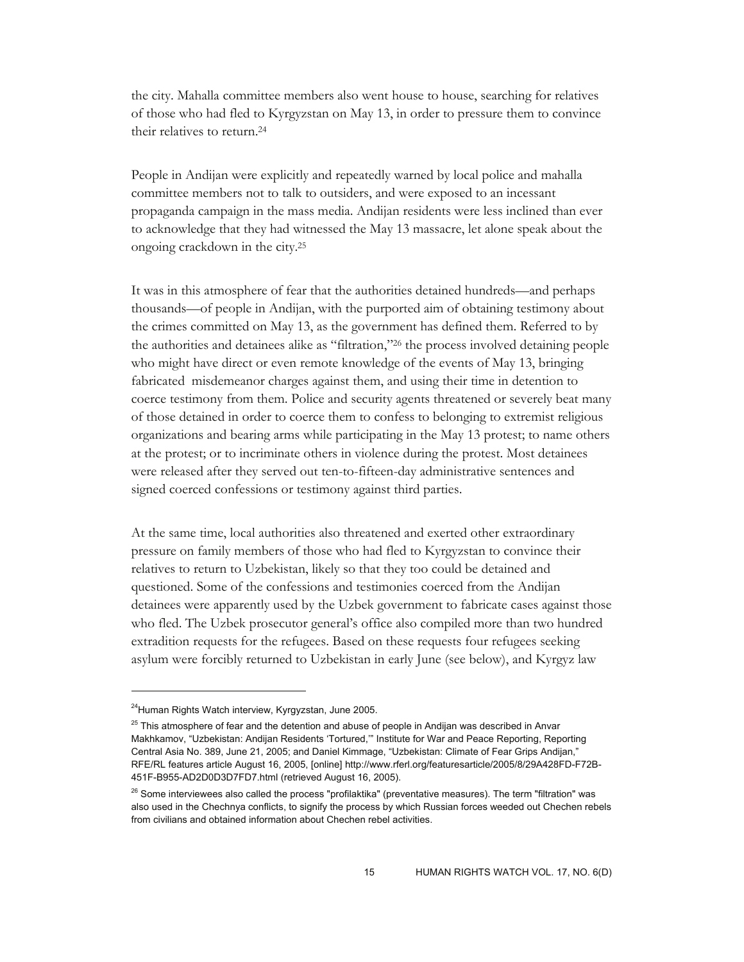the city. Mahalla committee members also went house to house, searching for relatives of those who had fled to Kyrgyzstan on May 13, in order to pressure them to convince their relatives to return.24

People in Andijan were explicitly and repeatedly warned by local police and mahalla committee members not to talk to outsiders, and were exposed to an incessant propaganda campaign in the mass media. Andijan residents were less inclined than ever to acknowledge that they had witnessed the May 13 massacre, let alone speak about the ongoing crackdown in the city.25

It was in this atmosphere of fear that the authorities detained hundreds—and perhaps thousands—of people in Andijan, with the purported aim of obtaining testimony about the crimes committed on May 13, as the government has defined them. Referred to by the authorities and detainees alike as "filtration,"26 the process involved detaining people who might have direct or even remote knowledge of the events of May 13, bringing fabricated misdemeanor charges against them, and using their time in detention to coerce testimony from them. Police and security agents threatened or severely beat many of those detained in order to coerce them to confess to belonging to extremist religious organizations and bearing arms while participating in the May 13 protest; to name others at the protest; or to incriminate others in violence during the protest. Most detainees were released after they served out ten-to-fifteen-day administrative sentences and signed coerced confessions or testimony against third parties.

At the same time, local authorities also threatened and exerted other extraordinary pressure on family members of those who had fled to Kyrgyzstan to convince their relatives to return to Uzbekistan, likely so that they too could be detained and questioned. Some of the confessions and testimonies coerced from the Andijan detainees were apparently used by the Uzbek government to fabricate cases against those who fled. The Uzbek prosecutor general's office also compiled more than two hundred extradition requests for the refugees. Based on these requests four refugees seeking asylum were forcibly returned to Uzbekistan in early June (see below), and Kyrgyz law

<sup>&</sup>lt;sup>24</sup>Human Rights Watch interview, Kyrgyzstan, June 2005.

 $25$  This atmosphere of fear and the detention and abuse of people in Andijan was described in Anvar Makhkamov, "Uzbekistan: Andijan Residents 'Tortured,'" Institute for War and Peace Reporting, Reporting Central Asia No. 389, June 21, 2005; and Daniel Kimmage, "Uzbekistan: Climate of Fear Grips Andijan," RFE/RL features article August 16, 2005, [online] http://www.rferl.org/featuresarticle/2005/8/29A428FD-F72B-451F-B955-AD2D0D3D7FD7.html (retrieved August 16, 2005).

<sup>&</sup>lt;sup>26</sup> Some interviewees also called the process "profilaktika" (preventative measures). The term "filtration" was also used in the Chechnya conflicts, to signify the process by which Russian forces weeded out Chechen rebels from civilians and obtained information about Chechen rebel activities.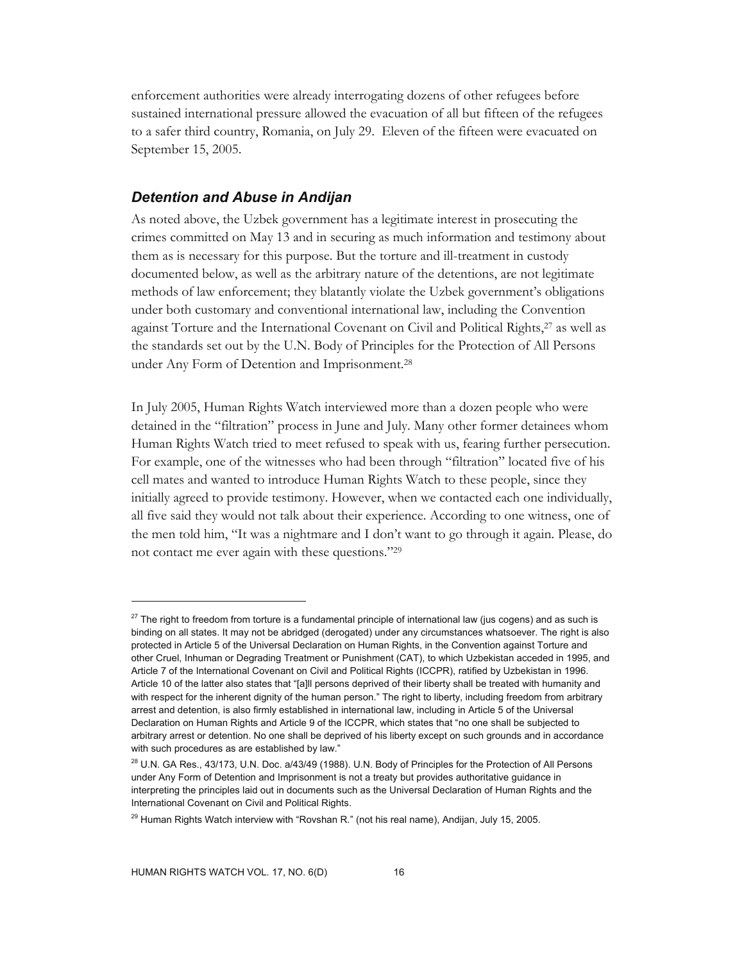enforcement authorities were already interrogating dozens of other refugees before sustained international pressure allowed the evacuation of all but fifteen of the refugees to a safer third country, Romania, on July 29. Eleven of the fifteen were evacuated on September 15, 2005.

## *Detention and Abuse in Andijan*

As noted above, the Uzbek government has a legitimate interest in prosecuting the crimes committed on May 13 and in securing as much information and testimony about them as is necessary for this purpose. But the torture and ill-treatment in custody documented below, as well as the arbitrary nature of the detentions, are not legitimate methods of law enforcement; they blatantly violate the Uzbek government's obligations under both customary and conventional international law, including the Convention against Torture and the International Covenant on Civil and Political Rights,<sup>27</sup> as well as the standards set out by the U.N. Body of Principles for the Protection of All Persons under Any Form of Detention and Imprisonment.28

In July 2005, Human Rights Watch interviewed more than a dozen people who were detained in the "filtration" process in June and July. Many other former detainees whom Human Rights Watch tried to meet refused to speak with us, fearing further persecution. For example, one of the witnesses who had been through "filtration" located five of his cell mates and wanted to introduce Human Rights Watch to these people, since they initially agreed to provide testimony. However, when we contacted each one individually, all five said they would not talk about their experience. According to one witness, one of the men told him, "It was a nightmare and I don't want to go through it again. Please, do not contact me ever again with these questions."29

 $27$  The right to freedom from torture is a fundamental principle of international law (jus cogens) and as such is binding on all states. It may not be abridged (derogated) under any circumstances whatsoever. The right is also protected in Article 5 of the Universal Declaration on Human Rights, in the Convention against Torture and other Cruel, Inhuman or Degrading Treatment or Punishment (CAT), to which Uzbekistan acceded in 1995, and Article 7 of the International Covenant on Civil and Political Rights (ICCPR), ratified by Uzbekistan in 1996. Article 10 of the latter also states that "[a]ll persons deprived of their liberty shall be treated with humanity and with respect for the inherent dignity of the human person." The right to liberty, including freedom from arbitrary arrest and detention, is also firmly established in international law, including in Article 5 of the Universal Declaration on Human Rights and Article 9 of the ICCPR, which states that "no one shall be subjected to arbitrary arrest or detention. No one shall be deprived of his liberty except on such grounds and in accordance with such procedures as are established by law."

<sup>&</sup>lt;sup>28</sup> U.N. GA Res., 43/173, U.N. Doc. a/43/49 (1988). U.N. Body of Principles for the Protection of All Persons under Any Form of Detention and Imprisonment is not a treaty but provides authoritative guidance in interpreting the principles laid out in documents such as the Universal Declaration of Human Rights and the International Covenant on Civil and Political Rights.

 $^{29}$  Human Rights Watch interview with "Rovshan R." (not his real name), Andijan, July 15, 2005.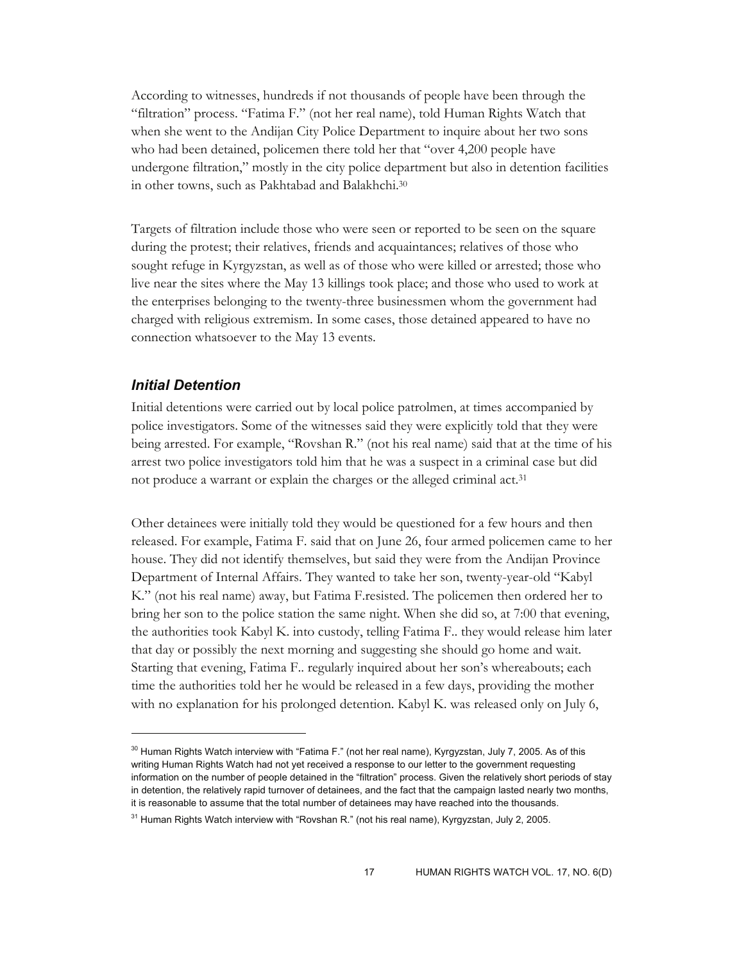According to witnesses, hundreds if not thousands of people have been through the "filtration" process. "Fatima F." (not her real name), told Human Rights Watch that when she went to the Andijan City Police Department to inquire about her two sons who had been detained, policemen there told her that "over 4,200 people have undergone filtration," mostly in the city police department but also in detention facilities in other towns, such as Pakhtabad and Balakhchi.30

Targets of filtration include those who were seen or reported to be seen on the square during the protest; their relatives, friends and acquaintances; relatives of those who sought refuge in Kyrgyzstan, as well as of those who were killed or arrested; those who live near the sites where the May 13 killings took place; and those who used to work at the enterprises belonging to the twenty-three businessmen whom the government had charged with religious extremism. In some cases, those detained appeared to have no connection whatsoever to the May 13 events.

#### *Initial Detention*

-

Initial detentions were carried out by local police patrolmen, at times accompanied by police investigators. Some of the witnesses said they were explicitly told that they were being arrested. For example, "Rovshan R." (not his real name) said that at the time of his arrest two police investigators told him that he was a suspect in a criminal case but did not produce a warrant or explain the charges or the alleged criminal act.31

Other detainees were initially told they would be questioned for a few hours and then released. For example, Fatima F. said that on June 26, four armed policemen came to her house. They did not identify themselves, but said they were from the Andijan Province Department of Internal Affairs. They wanted to take her son, twenty-year-old "Kabyl K." (not his real name) away, but Fatima F.resisted. The policemen then ordered her to bring her son to the police station the same night. When she did so, at 7:00 that evening, the authorities took Kabyl K. into custody, telling Fatima F.. they would release him later that day or possibly the next morning and suggesting she should go home and wait. Starting that evening, Fatima F.. regularly inquired about her son's whereabouts; each time the authorities told her he would be released in a few days, providing the mother with no explanation for his prolonged detention. Kabyl K. was released only on July 6,

 $30$  Human Rights Watch interview with "Fatima F." (not her real name), Kyrgyzstan, July 7, 2005. As of this writing Human Rights Watch had not yet received a response to our letter to the government requesting information on the number of people detained in the "filtration" process. Given the relatively short periods of stay in detention, the relatively rapid turnover of detainees, and the fact that the campaign lasted nearly two months, it is reasonable to assume that the total number of detainees may have reached into the thousands.

 $31$  Human Rights Watch interview with "Rovshan R." (not his real name), Kyrgyzstan, July 2, 2005.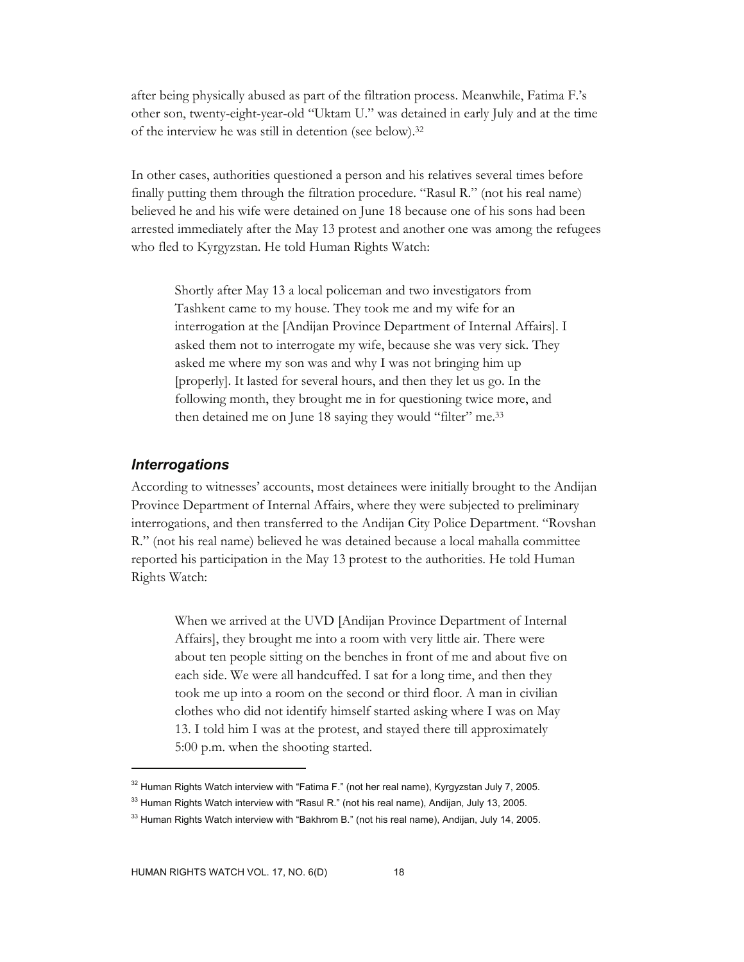after being physically abused as part of the filtration process. Meanwhile, Fatima F.'s other son, twenty-eight-year-old "Uktam U." was detained in early July and at the time of the interview he was still in detention (see below).32

In other cases, authorities questioned a person and his relatives several times before finally putting them through the filtration procedure. "Rasul R." (not his real name) believed he and his wife were detained on June 18 because one of his sons had been arrested immediately after the May 13 protest and another one was among the refugees who fled to Kyrgyzstan. He told Human Rights Watch:

Shortly after May 13 a local policeman and two investigators from Tashkent came to my house. They took me and my wife for an interrogation at the [Andijan Province Department of Internal Affairs]. I asked them not to interrogate my wife, because she was very sick. They asked me where my son was and why I was not bringing him up [properly]. It lasted for several hours, and then they let us go. In the following month, they brought me in for questioning twice more, and then detained me on June 18 saying they would "filter" me.<sup>33</sup>

#### *Interrogations*

 $\overline{a}$ 

According to witnesses' accounts, most detainees were initially brought to the Andijan Province Department of Internal Affairs, where they were subjected to preliminary interrogations, and then transferred to the Andijan City Police Department. "Rovshan R." (not his real name) believed he was detained because a local mahalla committee reported his participation in the May 13 protest to the authorities. He told Human Rights Watch:

When we arrived at the UVD [Andijan Province Department of Internal Affairs], they brought me into a room with very little air. There were about ten people sitting on the benches in front of me and about five on each side. We were all handcuffed. I sat for a long time, and then they took me up into a room on the second or third floor. A man in civilian clothes who did not identify himself started asking where I was on May 13. I told him I was at the protest, and stayed there till approximately 5:00 p.m. when the shooting started.

 $32$  Human Rights Watch interview with "Fatima F." (not her real name), Kyrgyzstan July 7, 2005.

<sup>&</sup>lt;sup>33</sup> Human Rights Watch interview with "Rasul R." (not his real name), Andijan, July 13, 2005.

<sup>&</sup>lt;sup>33</sup> Human Rights Watch interview with "Bakhrom B." (not his real name), Andijan, July 14, 2005.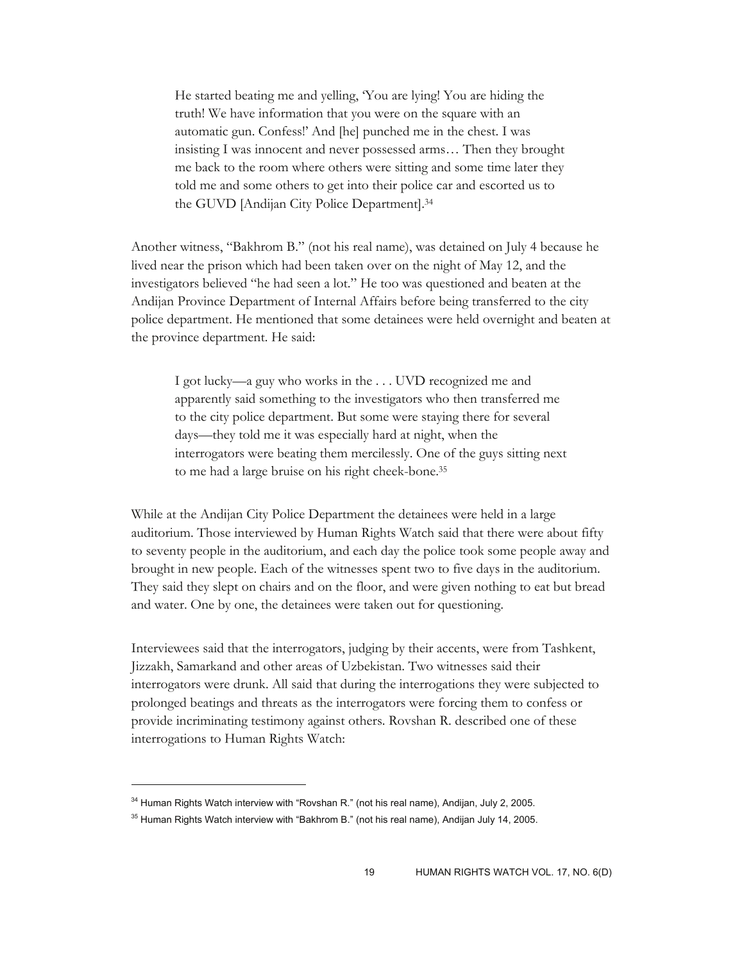He started beating me and yelling, 'You are lying! You are hiding the truth! We have information that you were on the square with an automatic gun. Confess!' And [he] punched me in the chest. I was insisting I was innocent and never possessed arms… Then they brought me back to the room where others were sitting and some time later they told me and some others to get into their police car and escorted us to the GUVD [Andijan City Police Department].34

Another witness, "Bakhrom B." (not his real name), was detained on July 4 because he lived near the prison which had been taken over on the night of May 12, and the investigators believed "he had seen a lot." He too was questioned and beaten at the Andijan Province Department of Internal Affairs before being transferred to the city police department. He mentioned that some detainees were held overnight and beaten at the province department. He said:

I got lucky—a guy who works in the . . . UVD recognized me and apparently said something to the investigators who then transferred me to the city police department. But some were staying there for several days—they told me it was especially hard at night, when the interrogators were beating them mercilessly. One of the guys sitting next to me had a large bruise on his right cheek-bone.35

While at the Andijan City Police Department the detainees were held in a large auditorium. Those interviewed by Human Rights Watch said that there were about fifty to seventy people in the auditorium, and each day the police took some people away and brought in new people. Each of the witnesses spent two to five days in the auditorium. They said they slept on chairs and on the floor, and were given nothing to eat but bread and water. One by one, the detainees were taken out for questioning.

Interviewees said that the interrogators, judging by their accents, were from Tashkent, Jizzakh, Samarkand and other areas of Uzbekistan. Two witnesses said their interrogators were drunk. All said that during the interrogations they were subjected to prolonged beatings and threats as the interrogators were forcing them to confess or provide incriminating testimony against others. Rovshan R. described one of these interrogations to Human Rights Watch:

 $34$  Human Rights Watch interview with "Rovshan R." (not his real name), Andijan, July 2, 2005.

<sup>&</sup>lt;sup>35</sup> Human Rights Watch interview with "Bakhrom B." (not his real name), Andijan July 14, 2005.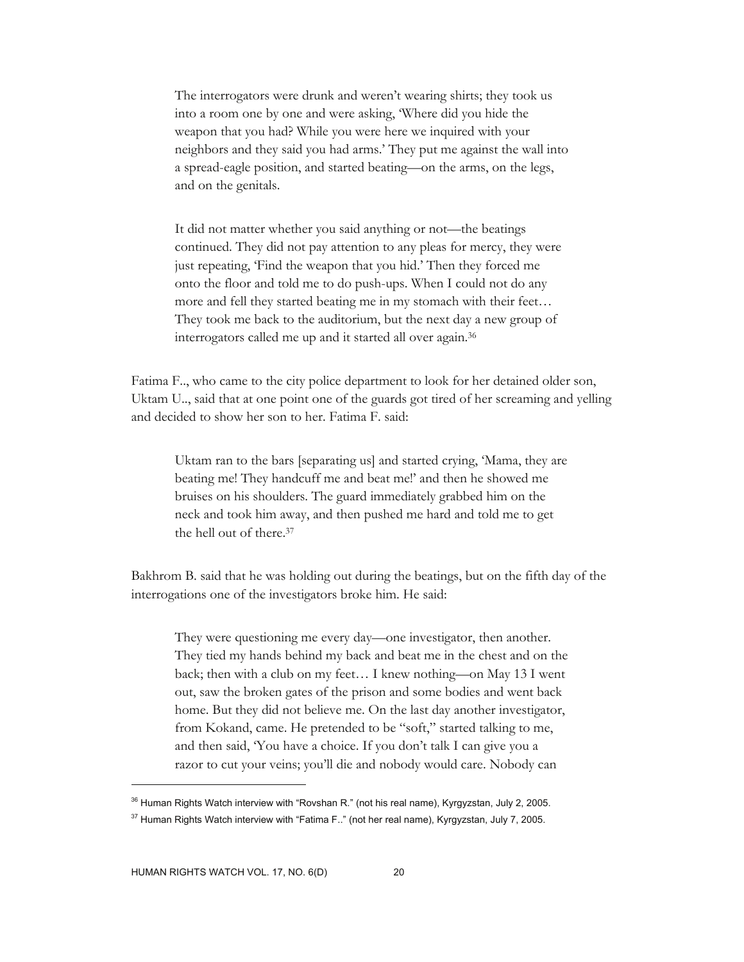The interrogators were drunk and weren't wearing shirts; they took us into a room one by one and were asking, 'Where did you hide the weapon that you had? While you were here we inquired with your neighbors and they said you had arms.' They put me against the wall into a spread-eagle position, and started beating—on the arms, on the legs, and on the genitals.

It did not matter whether you said anything or not—the beatings continued. They did not pay attention to any pleas for mercy, they were just repeating, 'Find the weapon that you hid.' Then they forced me onto the floor and told me to do push-ups. When I could not do any more and fell they started beating me in my stomach with their feet… They took me back to the auditorium, but the next day a new group of interrogators called me up and it started all over again.36

Fatima F.., who came to the city police department to look for her detained older son, Uktam U.., said that at one point one of the guards got tired of her screaming and yelling and decided to show her son to her. Fatima F. said:

Uktam ran to the bars [separating us] and started crying, 'Mama, they are beating me! They handcuff me and beat me!' and then he showed me bruises on his shoulders. The guard immediately grabbed him on the neck and took him away, and then pushed me hard and told me to get the hell out of there.37

Bakhrom B. said that he was holding out during the beatings, but on the fifth day of the interrogations one of the investigators broke him. He said:

They were questioning me every day—one investigator, then another. They tied my hands behind my back and beat me in the chest and on the back; then with a club on my feet… I knew nothing—on May 13 I went out, saw the broken gates of the prison and some bodies and went back home. But they did not believe me. On the last day another investigator, from Kokand, came. He pretended to be "soft," started talking to me, and then said, 'You have a choice. If you don't talk I can give you a razor to cut your veins; you'll die and nobody would care. Nobody can

<sup>&</sup>lt;sup>36</sup> Human Rights Watch interview with "Rovshan R." (not his real name), Kyrgyzstan, July 2, 2005.

 $37$  Human Rights Watch interview with "Fatima F.." (not her real name), Kyrgyzstan, July 7, 2005.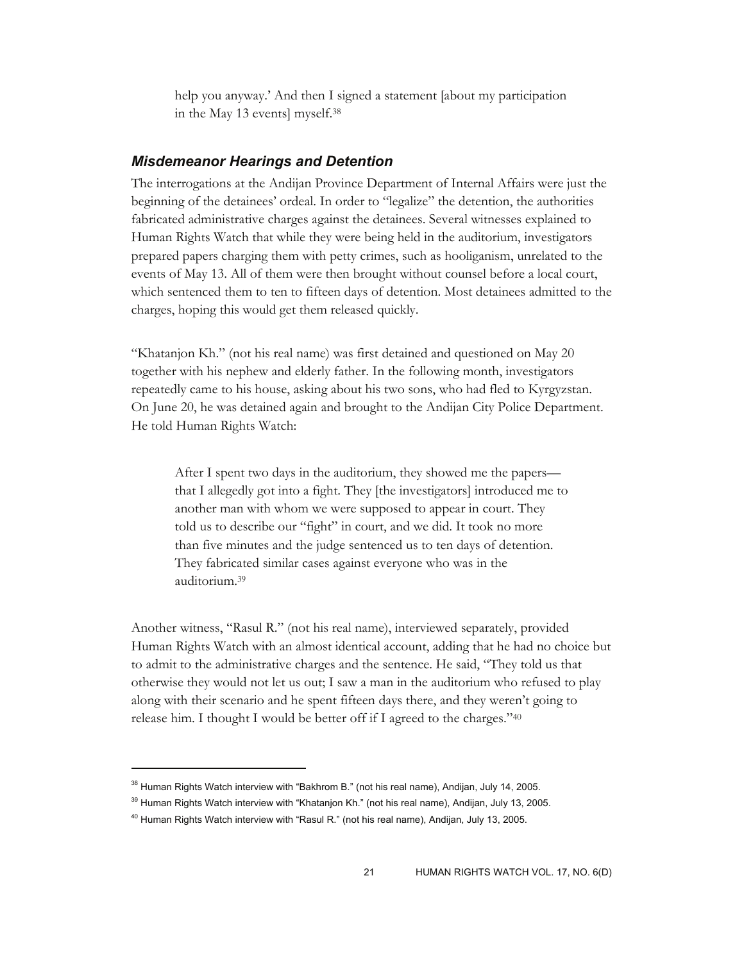help you anyway.' And then I signed a statement [about my participation in the May 13 events] myself.38

#### *Misdemeanor Hearings and Detention*

The interrogations at the Andijan Province Department of Internal Affairs were just the beginning of the detainees' ordeal. In order to "legalize" the detention, the authorities fabricated administrative charges against the detainees. Several witnesses explained to Human Rights Watch that while they were being held in the auditorium, investigators prepared papers charging them with petty crimes, such as hooliganism, unrelated to the events of May 13. All of them were then brought without counsel before a local court, which sentenced them to ten to fifteen days of detention. Most detainees admitted to the charges, hoping this would get them released quickly.

"Khatanjon Kh." (not his real name) was first detained and questioned on May 20 together with his nephew and elderly father. In the following month, investigators repeatedly came to his house, asking about his two sons, who had fled to Kyrgyzstan. On June 20, he was detained again and brought to the Andijan City Police Department. He told Human Rights Watch:

After I spent two days in the auditorium, they showed me the papers that I allegedly got into a fight. They [the investigators] introduced me to another man with whom we were supposed to appear in court. They told us to describe our "fight" in court, and we did. It took no more than five minutes and the judge sentenced us to ten days of detention. They fabricated similar cases against everyone who was in the auditorium.39

Another witness, "Rasul R." (not his real name), interviewed separately, provided Human Rights Watch with an almost identical account, adding that he had no choice but to admit to the administrative charges and the sentence. He said, "They told us that otherwise they would not let us out; I saw a man in the auditorium who refused to play along with their scenario and he spent fifteen days there, and they weren't going to release him. I thought I would be better off if I agreed to the charges."40

 $38$  Human Rights Watch interview with "Bakhrom B." (not his real name), Andijan, July 14, 2005.

<sup>&</sup>lt;sup>39</sup> Human Rights Watch interview with "Khatanjon Kh." (not his real name), Andijan, July 13, 2005.

<sup>&</sup>lt;sup>40</sup> Human Rights Watch interview with "Rasul R." (not his real name), Andijan, July 13, 2005.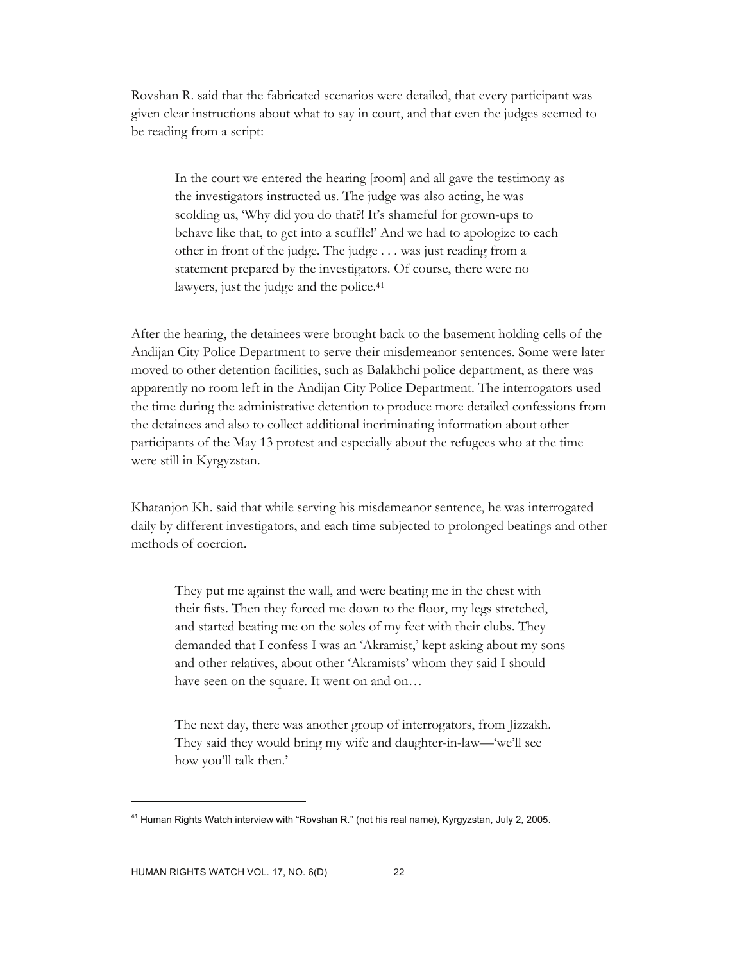Rovshan R. said that the fabricated scenarios were detailed, that every participant was given clear instructions about what to say in court, and that even the judges seemed to be reading from a script:

In the court we entered the hearing [room] and all gave the testimony as the investigators instructed us. The judge was also acting, he was scolding us, 'Why did you do that?! It's shameful for grown-ups to behave like that, to get into a scuffle!' And we had to apologize to each other in front of the judge. The judge . . . was just reading from a statement prepared by the investigators. Of course, there were no lawyers, just the judge and the police.<sup>41</sup>

After the hearing, the detainees were brought back to the basement holding cells of the Andijan City Police Department to serve their misdemeanor sentences. Some were later moved to other detention facilities, such as Balakhchi police department, as there was apparently no room left in the Andijan City Police Department. The interrogators used the time during the administrative detention to produce more detailed confessions from the detainees and also to collect additional incriminating information about other participants of the May 13 protest and especially about the refugees who at the time were still in Kyrgyzstan.

Khatanjon Kh. said that while serving his misdemeanor sentence, he was interrogated daily by different investigators, and each time subjected to prolonged beatings and other methods of coercion.

They put me against the wall, and were beating me in the chest with their fists. Then they forced me down to the floor, my legs stretched, and started beating me on the soles of my feet with their clubs. They demanded that I confess I was an 'Akramist,' kept asking about my sons and other relatives, about other 'Akramists' whom they said I should have seen on the square. It went on and on…

The next day, there was another group of interrogators, from Jizzakh. They said they would bring my wife and daughter-in-law—'we'll see how you'll talk then.'

-

<sup>&</sup>lt;sup>41</sup> Human Rights Watch interview with "Rovshan R." (not his real name), Kyrgyzstan, July 2, 2005.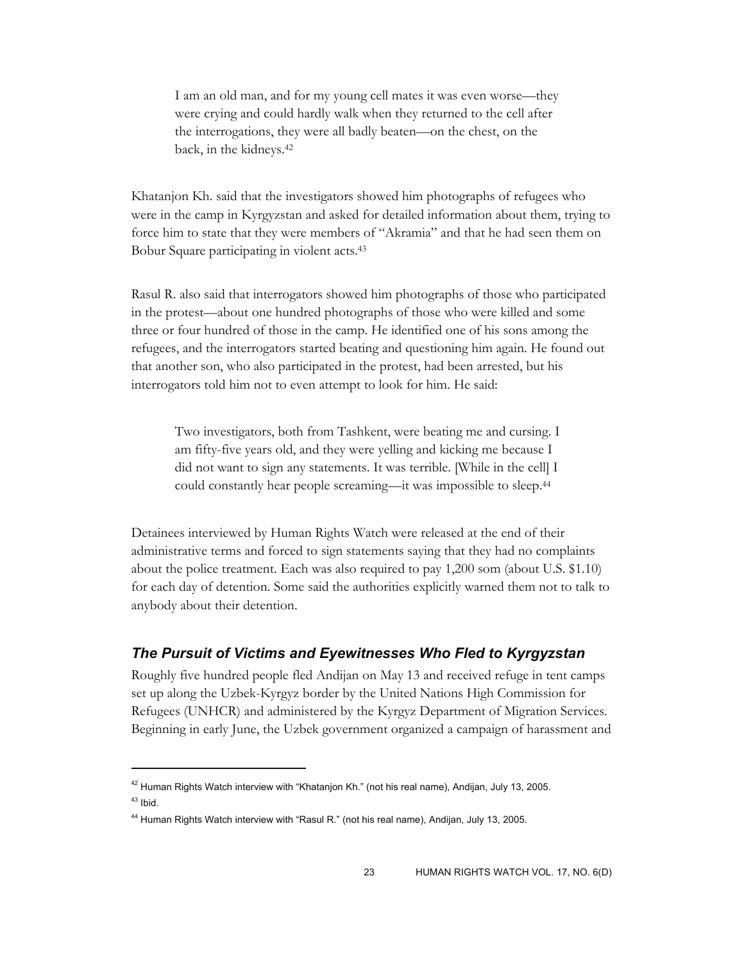I am an old man, and for my young cell mates it was even worse—they were crying and could hardly walk when they returned to the cell after the interrogations, they were all badly beaten—on the chest, on the back, in the kidneys.42

Khatanjon Kh. said that the investigators showed him photographs of refugees who were in the camp in Kyrgyzstan and asked for detailed information about them, trying to force him to state that they were members of "Akramia" and that he had seen them on Bobur Square participating in violent acts.43

Rasul R. also said that interrogators showed him photographs of those who participated in the protest—about one hundred photographs of those who were killed and some three or four hundred of those in the camp. He identified one of his sons among the refugees, and the interrogators started beating and questioning him again. He found out that another son, who also participated in the protest, had been arrested, but his interrogators told him not to even attempt to look for him. He said:

Two investigators, both from Tashkent, were beating me and cursing. I am fifty-five years old, and they were yelling and kicking me because I did not want to sign any statements. It was terrible. [While in the cell] I could constantly hear people screaming—it was impossible to sleep.44

Detainees interviewed by Human Rights Watch were released at the end of their administrative terms and forced to sign statements saying that they had no complaints about the police treatment. Each was also required to pay 1,200 som (about U.S. \$1.10) for each day of detention. Some said the authorities explicitly warned them not to talk to anybody about their detention.

## *The Pursuit of Victims and Eyewitnesses Who Fled to Kyrgyzstan*

Roughly five hundred people fled Andijan on May 13 and received refuge in tent camps set up along the Uzbek-Kyrgyz border by the United Nations High Commission for Refugees (UNHCR) and administered by the Kyrgyz Department of Migration Services. Beginning in early June, the Uzbek government organized a campaign of harassment and

<sup>&</sup>lt;sup>42</sup> Human Rights Watch interview with "Khatanjon Kh." (not his real name), Andijan, July 13, 2005.  $43$  Ibid.

<sup>44</sup> Human Rights Watch interview with "Rasul R." (not his real name), Andijan, July 13, 2005.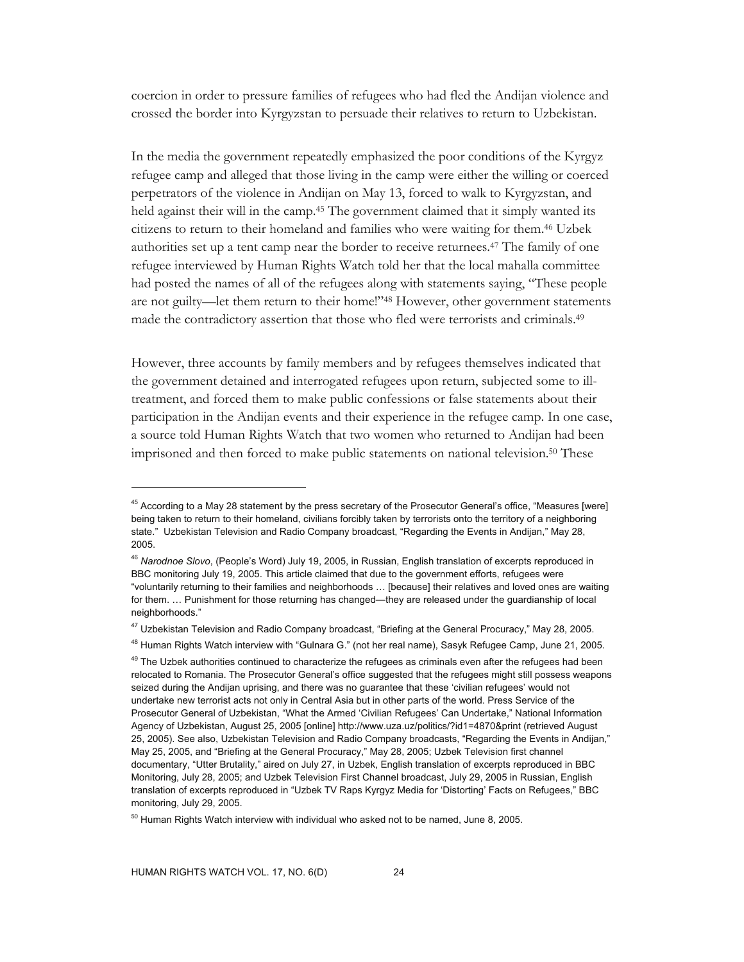coercion in order to pressure families of refugees who had fled the Andijan violence and crossed the border into Kyrgyzstan to persuade their relatives to return to Uzbekistan.

In the media the government repeatedly emphasized the poor conditions of the Kyrgyz refugee camp and alleged that those living in the camp were either the willing or coerced perpetrators of the violence in Andijan on May 13, forced to walk to Kyrgyzstan, and held against their will in the camp.<sup>45</sup> The government claimed that it simply wanted its citizens to return to their homeland and families who were waiting for them.46 Uzbek authorities set up a tent camp near the border to receive returnees.47 The family of one refugee interviewed by Human Rights Watch told her that the local mahalla committee had posted the names of all of the refugees along with statements saying, "These people are not guilty—let them return to their home!"48 However, other government statements made the contradictory assertion that those who fled were terrorists and criminals.49

However, three accounts by family members and by refugees themselves indicated that the government detained and interrogated refugees upon return, subjected some to illtreatment, and forced them to make public confessions or false statements about their participation in the Andijan events and their experience in the refugee camp. In one case, a source told Human Rights Watch that two women who returned to Andijan had been imprisoned and then forced to make public statements on national television.50 These

<sup>&</sup>lt;sup>45</sup> According to a May 28 statement by the press secretary of the Prosecutor General's office, "Measures [were] being taken to return to their homeland, civilians forcibly taken by terrorists onto the territory of a neighboring state." Uzbekistan Television and Radio Company broadcast, "Regarding the Events in Andijan," May 28, 2005.

<sup>46</sup> *Narodnoe Slovo*, (People's Word) July 19, 2005, in Russian, English translation of excerpts reproduced in BBC monitoring July 19, 2005. This article claimed that due to the government efforts, refugees were "voluntarily returning to their families and neighborhoods … [because] their relatives and loved ones are waiting for them. ... Punishment for those returning has changed—they are released under the guardianship of local neighborhoods."

<sup>47</sup> Uzbekistan Television and Radio Company broadcast, "Briefing at the General Procuracy," May 28, 2005.

<sup>&</sup>lt;sup>48</sup> Human Rights Watch interview with "Gulnara G." (not her real name), Sasyk Refugee Camp, June 21, 2005.

<sup>&</sup>lt;sup>49</sup> The Uzbek authorities continued to characterize the refugees as criminals even after the refugees had been relocated to Romania. The Prosecutor General's office suggested that the refugees might still possess weapons seized during the Andijan uprising, and there was no guarantee that these 'civilian refugees' would not undertake new terrorist acts not only in Central Asia but in other parts of the world. Press Service of the Prosecutor General of Uzbekistan, "What the Armed 'Civilian Refugees' Can Undertake," National Information Agency of Uzbekistan, August 25, 2005 [online] http://www.uza.uz/politics/?id1=4870&print (retrieved August 25, 2005). See also, Uzbekistan Television and Radio Company broadcasts, "Regarding the Events in Andijan," May 25, 2005, and "Briefing at the General Procuracy," May 28, 2005; Uzbek Television first channel documentary, "Utter Brutality," aired on July 27, in Uzbek, English translation of excerpts reproduced in BBC Monitoring, July 28, 2005; and Uzbek Television First Channel broadcast, July 29, 2005 in Russian, English translation of excerpts reproduced in "Uzbek TV Raps Kyrgyz Media for 'Distorting' Facts on Refugees," BBC monitoring, July 29, 2005.

 $50$  Human Rights Watch interview with individual who asked not to be named, June 8, 2005.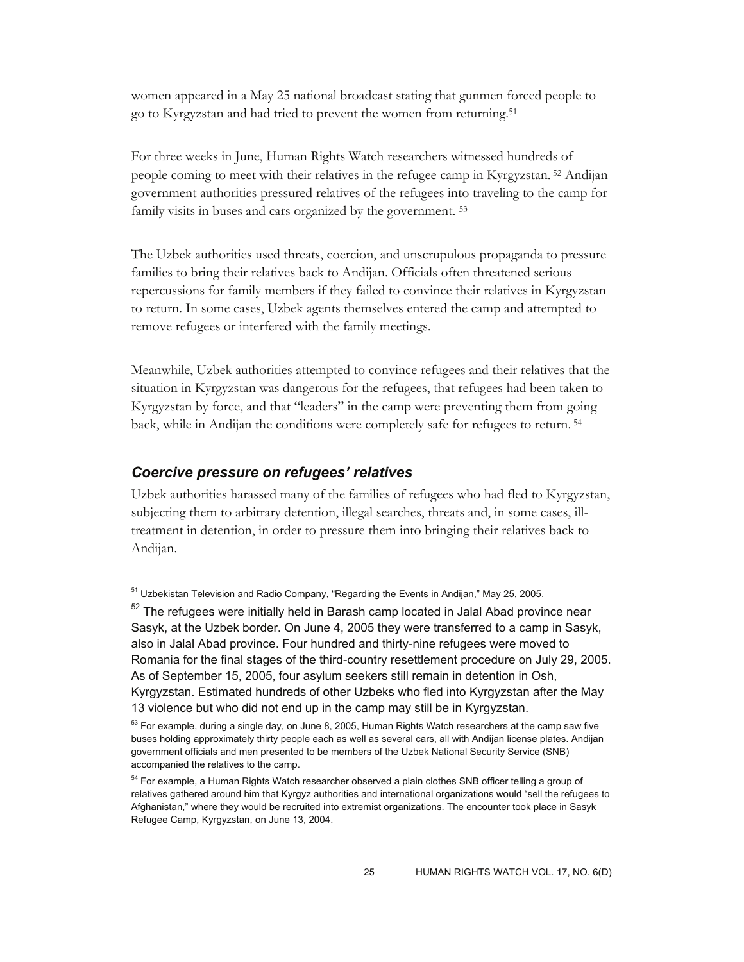women appeared in a May 25 national broadcast stating that gunmen forced people to go to Kyrgyzstan and had tried to prevent the women from returning.51

For three weeks in June, Human Rights Watch researchers witnessed hundreds of people coming to meet with their relatives in the refugee camp in Kyrgyzstan. 52 Andijan government authorities pressured relatives of the refugees into traveling to the camp for family visits in buses and cars organized by the government. 53

The Uzbek authorities used threats, coercion, and unscrupulous propaganda to pressure families to bring their relatives back to Andijan. Officials often threatened serious repercussions for family members if they failed to convince their relatives in Kyrgyzstan to return. In some cases, Uzbek agents themselves entered the camp and attempted to remove refugees or interfered with the family meetings.

Meanwhile, Uzbek authorities attempted to convince refugees and their relatives that the situation in Kyrgyzstan was dangerous for the refugees, that refugees had been taken to Kyrgyzstan by force, and that "leaders" in the camp were preventing them from going back, while in Andijan the conditions were completely safe for refugees to return. 54

#### *Coercive pressure on refugees' relatives*

 $\overline{a}$ 

Uzbek authorities harassed many of the families of refugees who had fled to Kyrgyzstan, subjecting them to arbitrary detention, illegal searches, threats and, in some cases, illtreatment in detention, in order to pressure them into bringing their relatives back to Andijan.

 $51$  Uzbekistan Television and Radio Company, "Regarding the Events in Andijan," May 25, 2005.

 $52$  The refugees were initially held in Barash camp located in Jalal Abad province near Sasyk, at the Uzbek border. On June 4, 2005 they were transferred to a camp in Sasyk, also in Jalal Abad province. Four hundred and thirty-nine refugees were moved to Romania for the final stages of the third-country resettlement procedure on July 29, 2005. As of September 15, 2005, four asylum seekers still remain in detention in Osh, Kyrgyzstan. Estimated hundreds of other Uzbeks who fled into Kyrgyzstan after the May 13 violence but who did not end up in the camp may still be in Kyrgyzstan.

<sup>&</sup>lt;sup>53</sup> For example, during a single day, on June 8, 2005, Human Rights Watch researchers at the camp saw five buses holding approximately thirty people each as well as several cars, all with Andijan license plates. Andijan government officials and men presented to be members of the Uzbek National Security Service (SNB) accompanied the relatives to the camp.

<sup>&</sup>lt;sup>54</sup> For example, a Human Rights Watch researcher observed a plain clothes SNB officer telling a group of relatives gathered around him that Kyrgyz authorities and international organizations would "sell the refugees to Afghanistan," where they would be recruited into extremist organizations. The encounter took place in Sasyk Refugee Camp, Kyrgyzstan, on June 13, 2004.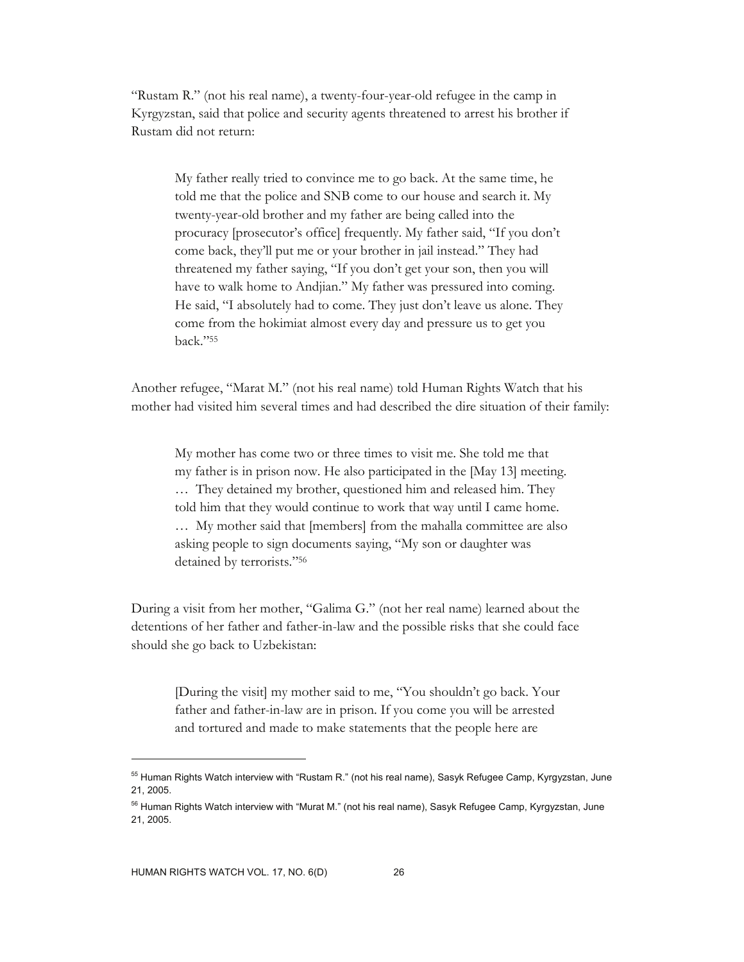"Rustam R." (not his real name), a twenty-four-year-old refugee in the camp in Kyrgyzstan, said that police and security agents threatened to arrest his brother if Rustam did not return:

My father really tried to convince me to go back. At the same time, he told me that the police and SNB come to our house and search it. My twenty-year-old brother and my father are being called into the procuracy [prosecutor's office] frequently. My father said, "If you don't come back, they'll put me or your brother in jail instead." They had threatened my father saying, "If you don't get your son, then you will have to walk home to Andjian." My father was pressured into coming. He said, "I absolutely had to come. They just don't leave us alone. They come from the hokimiat almost every day and pressure us to get you back."55

Another refugee, "Marat M." (not his real name) told Human Rights Watch that his mother had visited him several times and had described the dire situation of their family:

My mother has come two or three times to visit me. She told me that my father is in prison now. He also participated in the [May 13] meeting. … They detained my brother, questioned him and released him. They told him that they would continue to work that way until I came home. … My mother said that [members] from the mahalla committee are also asking people to sign documents saying, "My son or daughter was detained by terrorists."56

During a visit from her mother, "Galima G." (not her real name) learned about the detentions of her father and father-in-law and the possible risks that she could face should she go back to Uzbekistan:

[During the visit] my mother said to me, "You shouldn't go back. Your father and father-in-law are in prison. If you come you will be arrested and tortured and made to make statements that the people here are

-

<sup>&</sup>lt;sup>55</sup> Human Rights Watch interview with "Rustam R." (not his real name), Sasyk Refugee Camp, Kyrgyzstan, June 21, 2005.

<sup>&</sup>lt;sup>56</sup> Human Rights Watch interview with "Murat M." (not his real name), Sasyk Refugee Camp, Kyrgyzstan, June 21, 2005.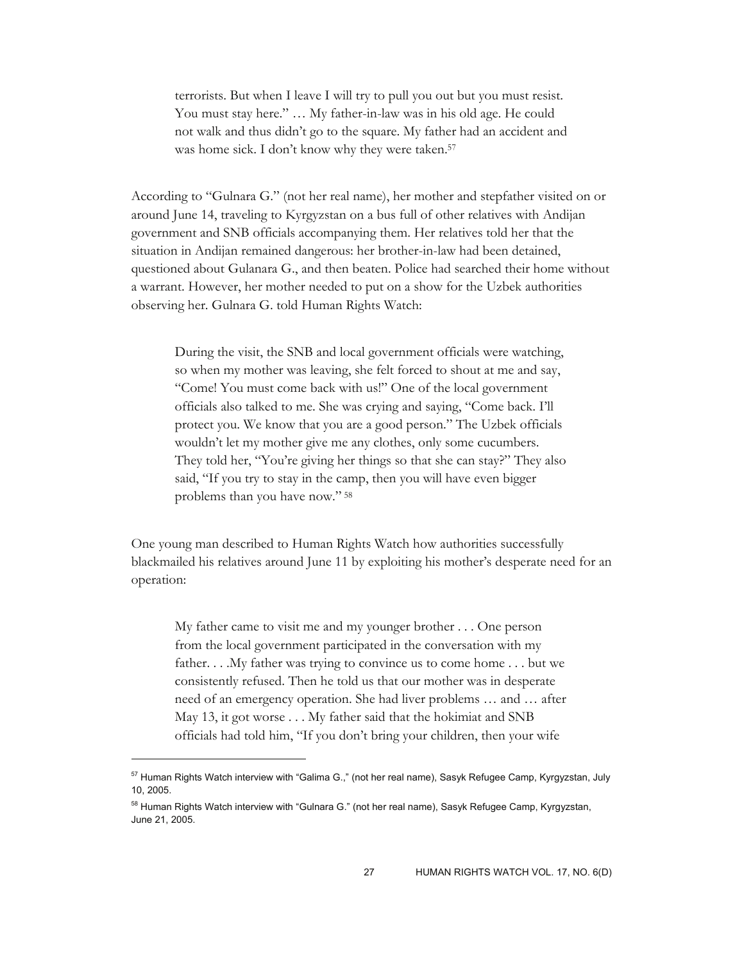terrorists. But when I leave I will try to pull you out but you must resist. You must stay here." … My father-in-law was in his old age. He could not walk and thus didn't go to the square. My father had an accident and was home sick. I don't know why they were taken.<sup>57</sup>

According to "Gulnara G." (not her real name), her mother and stepfather visited on or around June 14, traveling to Kyrgyzstan on a bus full of other relatives with Andijan government and SNB officials accompanying them. Her relatives told her that the situation in Andijan remained dangerous: her brother-in-law had been detained, questioned about Gulanara G., and then beaten. Police had searched their home without a warrant. However, her mother needed to put on a show for the Uzbek authorities observing her. Gulnara G. told Human Rights Watch:

During the visit, the SNB and local government officials were watching, so when my mother was leaving, she felt forced to shout at me and say, "Come! You must come back with us!" One of the local government officials also talked to me. She was crying and saying, "Come back. I'll protect you. We know that you are a good person." The Uzbek officials wouldn't let my mother give me any clothes, only some cucumbers. They told her, "You're giving her things so that she can stay?" They also said, "If you try to stay in the camp, then you will have even bigger problems than you have now." 58

One young man described to Human Rights Watch how authorities successfully blackmailed his relatives around June 11 by exploiting his mother's desperate need for an operation:

My father came to visit me and my younger brother . . . One person from the local government participated in the conversation with my father. . . .My father was trying to convince us to come home . . . but we consistently refused. Then he told us that our mother was in desperate need of an emergency operation. She had liver problems … and … after May 13, it got worse . . . My father said that the hokimiat and SNB officials had told him, "If you don't bring your children, then your wife

 $57$  Human Rights Watch interview with "Galima G.," (not her real name), Sasyk Refugee Camp, Kyrgyzstan, July 10, 2005.

<sup>&</sup>lt;sup>58</sup> Human Rights Watch interview with "Gulnara G." (not her real name), Sasyk Refugee Camp, Kyrgyzstan, June 21, 2005.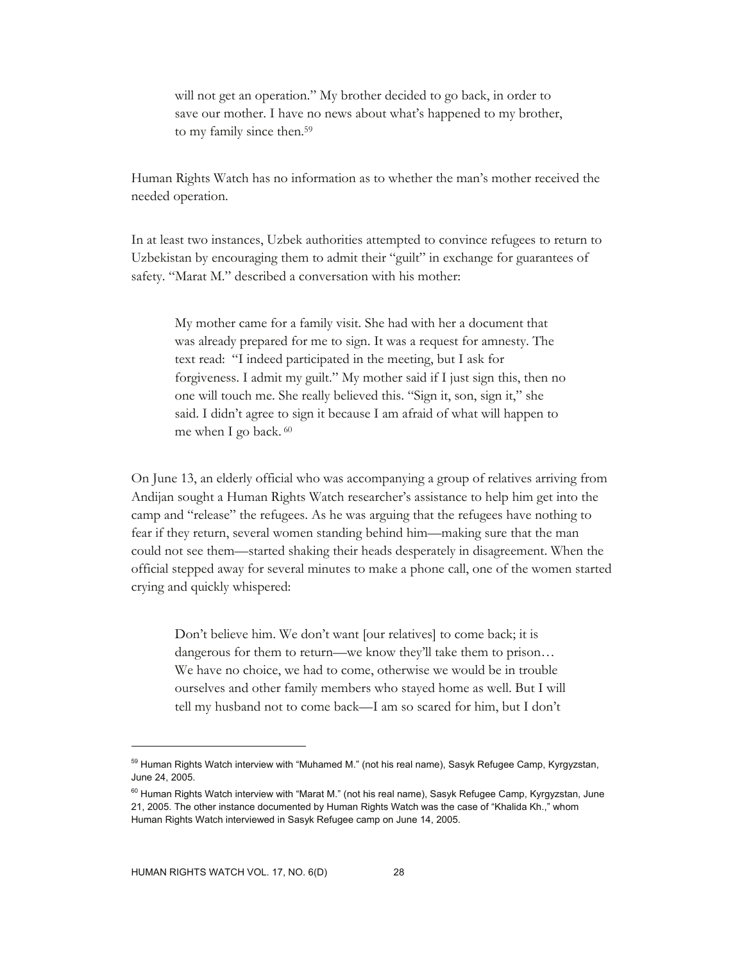will not get an operation." My brother decided to go back, in order to save our mother. I have no news about what's happened to my brother, to my family since then.59

Human Rights Watch has no information as to whether the man's mother received the needed operation.

In at least two instances, Uzbek authorities attempted to convince refugees to return to Uzbekistan by encouraging them to admit their "guilt" in exchange for guarantees of safety. "Marat M." described a conversation with his mother:

My mother came for a family visit. She had with her a document that was already prepared for me to sign. It was a request for amnesty. The text read: "I indeed participated in the meeting, but I ask for forgiveness. I admit my guilt." My mother said if I just sign this, then no one will touch me. She really believed this. "Sign it, son, sign it," she said. I didn't agree to sign it because I am afraid of what will happen to me when I go back. 60

On June 13, an elderly official who was accompanying a group of relatives arriving from Andijan sought a Human Rights Watch researcher's assistance to help him get into the camp and "release" the refugees. As he was arguing that the refugees have nothing to fear if they return, several women standing behind him—making sure that the man could not see them—started shaking their heads desperately in disagreement. When the official stepped away for several minutes to make a phone call, one of the women started crying and quickly whispered:

Don't believe him. We don't want [our relatives] to come back; it is dangerous for them to return—we know they'll take them to prison… We have no choice, we had to come, otherwise we would be in trouble ourselves and other family members who stayed home as well. But I will tell my husband not to come back—I am so scared for him, but I don't

<sup>&</sup>lt;sup>59</sup> Human Rights Watch interview with "Muhamed M." (not his real name), Sasyk Refugee Camp, Kyrgyzstan, June 24, 2005.

 $^{60}$  Human Rights Watch interview with "Marat M." (not his real name), Sasyk Refugee Camp, Kyrgyzstan, June 21, 2005. The other instance documented by Human Rights Watch was the case of "Khalida Kh.," whom Human Rights Watch interviewed in Sasyk Refugee camp on June 14, 2005.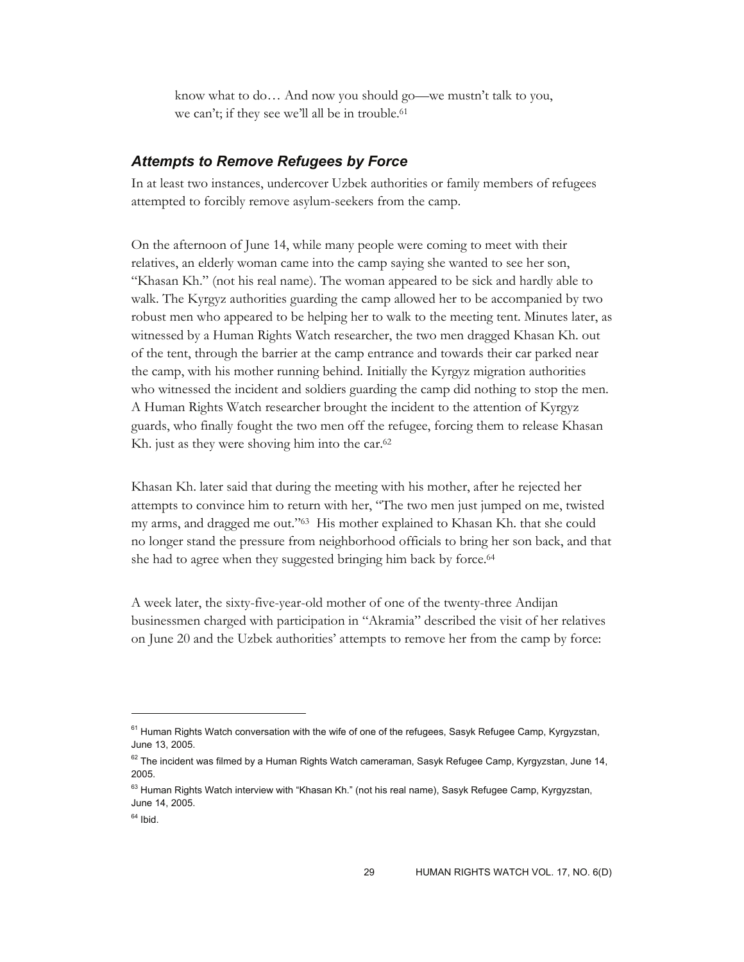know what to do… And now you should go—we mustn't talk to you, we can't; if they see we'll all be in trouble.<sup>61</sup>

## *Attempts to Remove Refugees by Force*

In at least two instances, undercover Uzbek authorities or family members of refugees attempted to forcibly remove asylum-seekers from the camp.

On the afternoon of June 14, while many people were coming to meet with their relatives, an elderly woman came into the camp saying she wanted to see her son, "Khasan Kh." (not his real name). The woman appeared to be sick and hardly able to walk. The Kyrgyz authorities guarding the camp allowed her to be accompanied by two robust men who appeared to be helping her to walk to the meeting tent. Minutes later, as witnessed by a Human Rights Watch researcher, the two men dragged Khasan Kh. out of the tent, through the barrier at the camp entrance and towards their car parked near the camp, with his mother running behind. Initially the Kyrgyz migration authorities who witnessed the incident and soldiers guarding the camp did nothing to stop the men. A Human Rights Watch researcher brought the incident to the attention of Kyrgyz guards, who finally fought the two men off the refugee, forcing them to release Khasan Kh. just as they were shoving him into the car.<sup>62</sup>

Khasan Kh. later said that during the meeting with his mother, after he rejected her attempts to convince him to return with her, "The two men just jumped on me, twisted my arms, and dragged me out."63 His mother explained to Khasan Kh. that she could no longer stand the pressure from neighborhood officials to bring her son back, and that she had to agree when they suggested bringing him back by force.<sup>64</sup>

A week later, the sixty-five-year-old mother of one of the twenty-three Andijan businessmen charged with participation in "Akramia" described the visit of her relatives on June 20 and the Uzbek authorities' attempts to remove her from the camp by force:

-

 $61$  Human Rights Watch conversation with the wife of one of the refugees, Sasyk Refugee Camp, Kyrgyzstan, June 13, 2005.

 $62$  The incident was filmed by a Human Rights Watch cameraman, Sasyk Refugee Camp, Kyrgyzstan, June 14, 2005.

 $63$  Human Rights Watch interview with "Khasan Kh." (not his real name), Sasyk Refugee Camp, Kyrgyzstan, June 14, 2005.

 $64$  Ibid.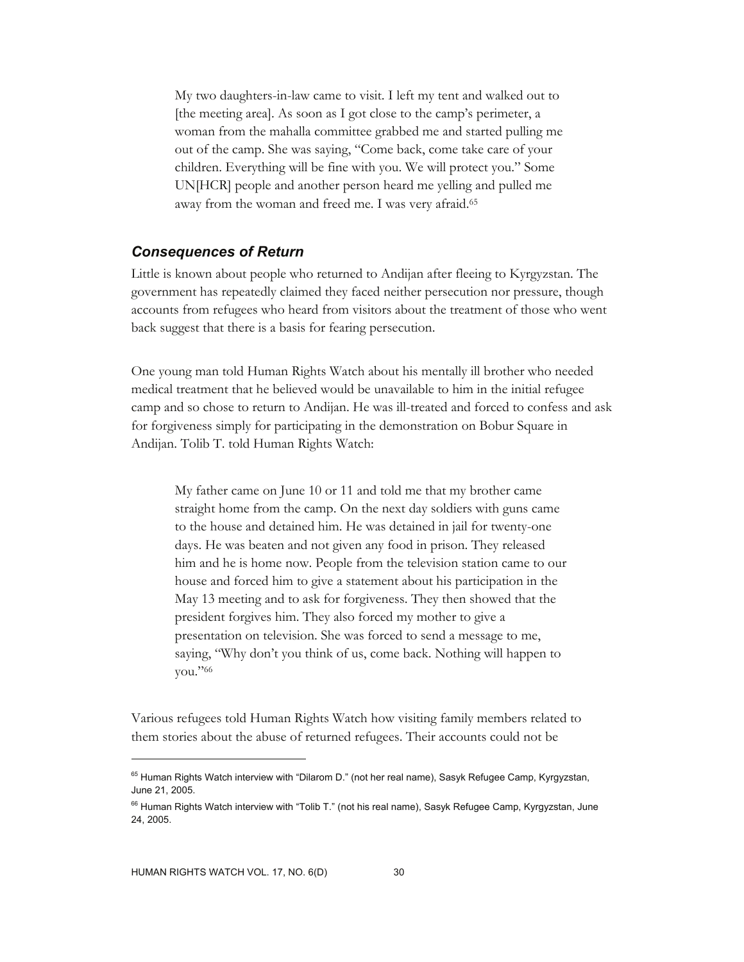My two daughters-in-law came to visit. I left my tent and walked out to [the meeting area]. As soon as I got close to the camp's perimeter, a woman from the mahalla committee grabbed me and started pulling me out of the camp. She was saying, "Come back, come take care of your children. Everything will be fine with you. We will protect you." Some UN[HCR] people and another person heard me yelling and pulled me away from the woman and freed me. I was very afraid.65

#### *Consequences of Return*

Little is known about people who returned to Andijan after fleeing to Kyrgyzstan. The government has repeatedly claimed they faced neither persecution nor pressure, though accounts from refugees who heard from visitors about the treatment of those who went back suggest that there is a basis for fearing persecution.

One young man told Human Rights Watch about his mentally ill brother who needed medical treatment that he believed would be unavailable to him in the initial refugee camp and so chose to return to Andijan. He was ill-treated and forced to confess and ask for forgiveness simply for participating in the demonstration on Bobur Square in Andijan. Tolib T. told Human Rights Watch:

My father came on June 10 or 11 and told me that my brother came straight home from the camp. On the next day soldiers with guns came to the house and detained him. He was detained in jail for twenty-one days. He was beaten and not given any food in prison. They released him and he is home now. People from the television station came to our house and forced him to give a statement about his participation in the May 13 meeting and to ask for forgiveness. They then showed that the president forgives him. They also forced my mother to give a presentation on television. She was forced to send a message to me, saying, "Why don't you think of us, come back. Nothing will happen to you."66

Various refugees told Human Rights Watch how visiting family members related to them stories about the abuse of returned refugees. Their accounts could not be

<sup>&</sup>lt;sup>65</sup> Human Rights Watch interview with "Dilarom D." (not her real name), Sasyk Refugee Camp, Kyrgyzstan, June 21, 2005.

<sup>&</sup>lt;sup>66</sup> Human Rights Watch interview with "Tolib T." (not his real name), Sasyk Refugee Camp, Kyrgyzstan, June 24, 2005.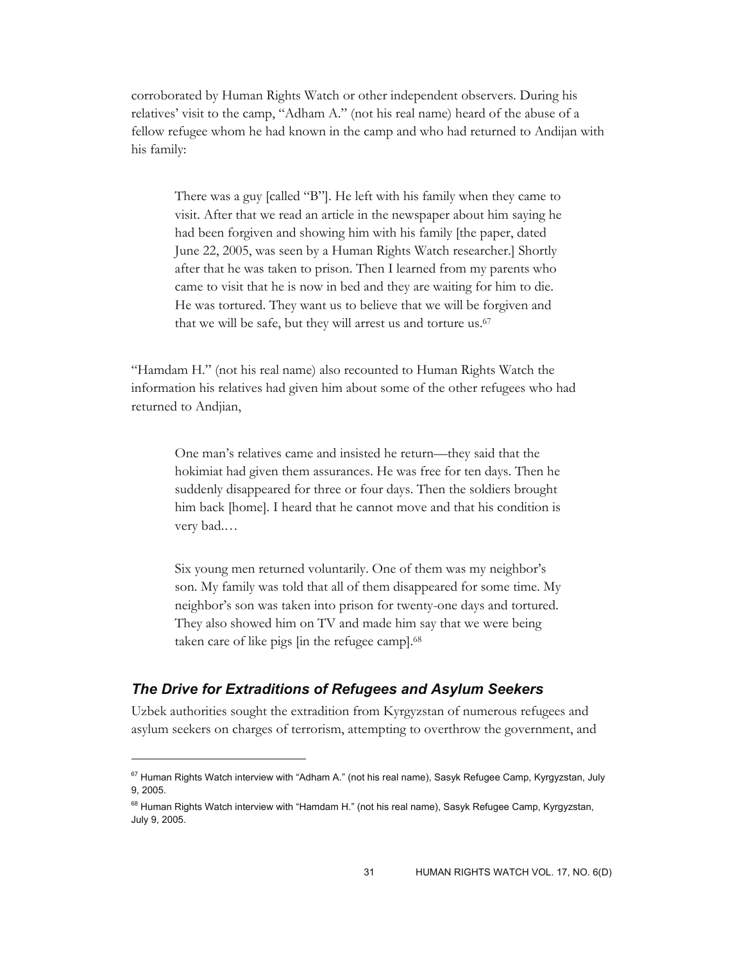corroborated by Human Rights Watch or other independent observers. During his relatives' visit to the camp, "Adham A." (not his real name) heard of the abuse of a fellow refugee whom he had known in the camp and who had returned to Andijan with his family:

There was a guy [called "B"]. He left with his family when they came to visit. After that we read an article in the newspaper about him saying he had been forgiven and showing him with his family [the paper, dated June 22, 2005, was seen by a Human Rights Watch researcher.] Shortly after that he was taken to prison. Then I learned from my parents who came to visit that he is now in bed and they are waiting for him to die. He was tortured. They want us to believe that we will be forgiven and that we will be safe, but they will arrest us and torture us.67

"Hamdam H." (not his real name) also recounted to Human Rights Watch the information his relatives had given him about some of the other refugees who had returned to Andjian,

One man's relatives came and insisted he return—they said that the hokimiat had given them assurances. He was free for ten days. Then he suddenly disappeared for three or four days. Then the soldiers brought him back [home]. I heard that he cannot move and that his condition is very bad.…

Six young men returned voluntarily. One of them was my neighbor's son. My family was told that all of them disappeared for some time. My neighbor's son was taken into prison for twenty-one days and tortured. They also showed him on TV and made him say that we were being taken care of like pigs [in the refugee camp].68

## *The Drive for Extraditions of Refugees and Asylum Seekers*

 $\overline{a}$ 

Uzbek authorities sought the extradition from Kyrgyzstan of numerous refugees and asylum seekers on charges of terrorism, attempting to overthrow the government, and

 $67$  Human Rights Watch interview with "Adham A." (not his real name), Sasyk Refugee Camp, Kyrgyzstan, July 9, 2005.

<sup>&</sup>lt;sup>68</sup> Human Rights Watch interview with "Hamdam H." (not his real name), Sasyk Refugee Camp, Kyrgyzstan, July 9, 2005.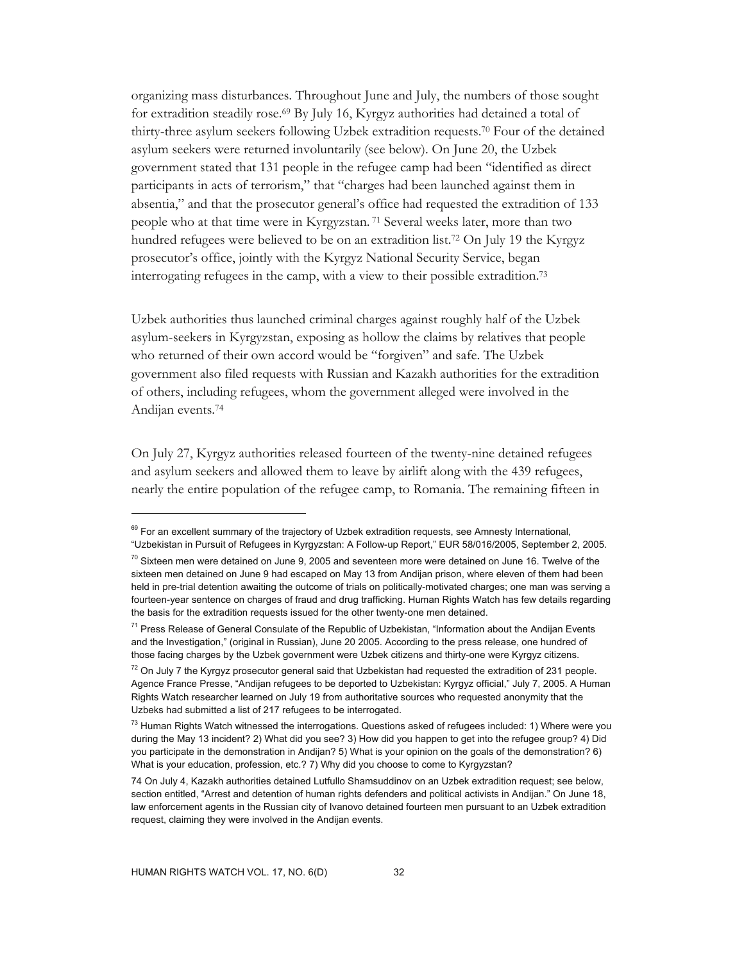organizing mass disturbances. Throughout June and July, the numbers of those sought for extradition steadily rose.69 By July 16, Kyrgyz authorities had detained a total of thirty-three asylum seekers following Uzbek extradition requests.70 Four of the detained asylum seekers were returned involuntarily (see below). On June 20, the Uzbek government stated that 131 people in the refugee camp had been "identified as direct participants in acts of terrorism," that "charges had been launched against them in absentia," and that the prosecutor general's office had requested the extradition of 133 people who at that time were in Kyrgyzstan. 71 Several weeks later, more than two hundred refugees were believed to be on an extradition list.<sup>72</sup> On July 19 the Kyrgyz prosecutor's office, jointly with the Kyrgyz National Security Service, began interrogating refugees in the camp, with a view to their possible extradition.73

Uzbek authorities thus launched criminal charges against roughly half of the Uzbek asylum-seekers in Kyrgyzstan, exposing as hollow the claims by relatives that people who returned of their own accord would be "forgiven" and safe. The Uzbek government also filed requests with Russian and Kazakh authorities for the extradition of others, including refugees, whom the government alleged were involved in the Andijan events.74

On July 27, Kyrgyz authorities released fourteen of the twenty-nine detained refugees and asylum seekers and allowed them to leave by airlift along with the 439 refugees, nearly the entire population of the refugee camp, to Romania. The remaining fifteen in

-

<sup>&</sup>lt;sup>69</sup> For an excellent summary of the trajectory of Uzbek extradition requests, see Amnesty International, "Uzbekistan in Pursuit of Refugees in Kyrgyzstan: A Follow-up Report," EUR 58/016/2005, September 2, 2005.

 $70$  Sixteen men were detained on June 9, 2005 and seventeen more were detained on June 16. Twelve of the sixteen men detained on June 9 had escaped on May 13 from Andijan prison, where eleven of them had been held in pre-trial detention awaiting the outcome of trials on politically-motivated charges; one man was serving a fourteen-year sentence on charges of fraud and drug trafficking. Human Rights Watch has few details regarding the basis for the extradition requests issued for the other twenty-one men detained.

<sup>&</sup>lt;sup>71</sup> Press Release of General Consulate of the Republic of Uzbekistan, "Information about the Andijan Events and the Investigation," (original in Russian), June 20 2005. According to the press release, one hundred of those facing charges by the Uzbek government were Uzbek citizens and thirty-one were Kyrgyz citizens.

 $72$  On July 7 the Kyrgyz prosecutor general said that Uzbekistan had requested the extradition of 231 people. Agence France Presse, "Andijan refugees to be deported to Uzbekistan: Kyrgyz official," July 7, 2005. A Human Rights Watch researcher learned on July 19 from authoritative sources who requested anonymity that the Uzbeks had submitted a list of 217 refugees to be interrogated.

 $73$  Human Rights Watch witnessed the interrogations. Questions asked of refugees included: 1) Where were you during the May 13 incident? 2) What did you see? 3) How did you happen to get into the refugee group? 4) Did you participate in the demonstration in Andijan? 5) What is your opinion on the goals of the demonstration? 6) What is your education, profession, etc.? 7) Why did you choose to come to Kyrgyzstan?

<sup>74</sup> On July 4, Kazakh authorities detained Lutfullo Shamsuddinov on an Uzbek extradition request; see below, section entitled, "Arrest and detention of human rights defenders and political activists in Andijan." On June 18, law enforcement agents in the Russian city of Ivanovo detained fourteen men pursuant to an Uzbek extradition request, claiming they were involved in the Andijan events.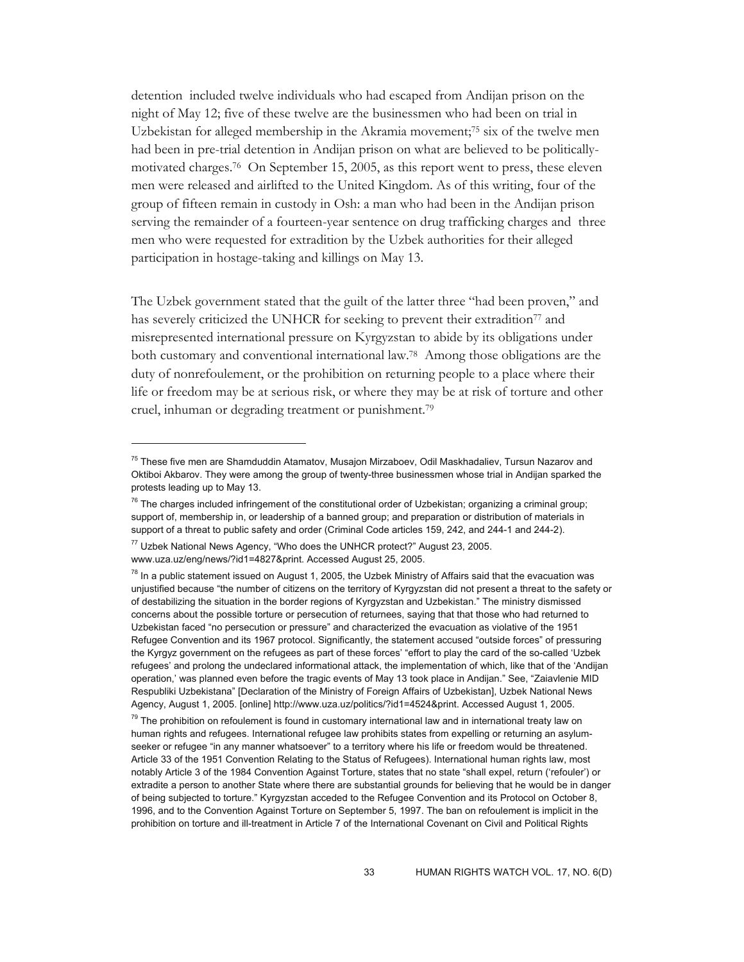detention included twelve individuals who had escaped from Andijan prison on the night of May 12; five of these twelve are the businessmen who had been on trial in Uzbekistan for alleged membership in the Akramia movement;75 six of the twelve men had been in pre-trial detention in Andijan prison on what are believed to be politicallymotivated charges.76 On September 15, 2005, as this report went to press, these eleven men were released and airlifted to the United Kingdom. As of this writing, four of the group of fifteen remain in custody in Osh: a man who had been in the Andijan prison serving the remainder of a fourteen-year sentence on drug trafficking charges and three men who were requested for extradition by the Uzbek authorities for their alleged participation in hostage-taking and killings on May 13.

The Uzbek government stated that the guilt of the latter three "had been proven," and has severely criticized the UNHCR for seeking to prevent their extradition<sup>77</sup> and misrepresented international pressure on Kyrgyzstan to abide by its obligations under both customary and conventional international law.78 Among those obligations are the duty of nonrefoulement, or the prohibition on returning people to a place where their life or freedom may be at serious risk, or where they may be at risk of torture and other cruel, inhuman or degrading treatment or punishment.79

<sup>&</sup>lt;sup>75</sup> These five men are Shamduddin Atamatov, Musajon Mirzaboev, Odil Maskhadaliev, Tursun Nazarov and Oktiboi Akbarov. They were among the group of twenty-three businessmen whose trial in Andijan sparked the protests leading up to May 13.

 $^{76}$  The charges included infringement of the constitutional order of Uzbekistan; organizing a criminal group; support of, membership in, or leadership of a banned group; and preparation or distribution of materials in support of a threat to public safety and order (Criminal Code articles 159, 242, and 244-1 and 244-2).

<sup>&</sup>lt;sup>77</sup> Uzbek National News Agency, "Who does the UNHCR protect?" August 23, 2005. www.uza.uz/eng/news/?id1=4827&print. Accessed August 25, 2005.

 $78$  In a public statement issued on August 1, 2005, the Uzbek Ministry of Affairs said that the evacuation was unjustified because "the number of citizens on the territory of Kyrgyzstan did not present a threat to the safety or of destabilizing the situation in the border regions of Kyrgyzstan and Uzbekistan." The ministry dismissed concerns about the possible torture or persecution of returnees, saying that that those who had returned to Uzbekistan faced "no persecution or pressure" and characterized the evacuation as violative of the 1951 Refugee Convention and its 1967 protocol. Significantly, the statement accused "outside forces" of pressuring the Kyrgyz government on the refugees as part of these forces' "effort to play the card of the so-called 'Uzbek refugees' and prolong the undeclared informational attack, the implementation of which, like that of the 'Andijan operation,' was planned even before the tragic events of May 13 took place in Andijan." See, "Zaiavlenie MID Respubliki Uzbekistana" [Declaration of the Ministry of Foreign Affairs of Uzbekistan], Uzbek National News Agency, August 1, 2005. [online] http://www.uza.uz/politics/?id1=4524&print. Accessed August 1, 2005.

 $79$  The prohibition on refoulement is found in customary international law and in international treaty law on human rights and refugees. International refugee law prohibits states from expelling or returning an asylumseeker or refugee "in any manner whatsoever" to a territory where his life or freedom would be threatened. Article 33 of the 1951 Convention Relating to the Status of Refugees). International human rights law, most notably Article 3 of the 1984 Convention Against Torture, states that no state "shall expel, return ('refouler') or extradite a person to another State where there are substantial grounds for believing that he would be in danger of being subjected to torture." Kyrgyzstan acceded to the Refugee Convention and its Protocol on October 8, 1996, and to the Convention Against Torture on September 5, 1997. The ban on refoulement is implicit in the prohibition on torture and ill-treatment in Article 7 of the International Covenant on Civil and Political Rights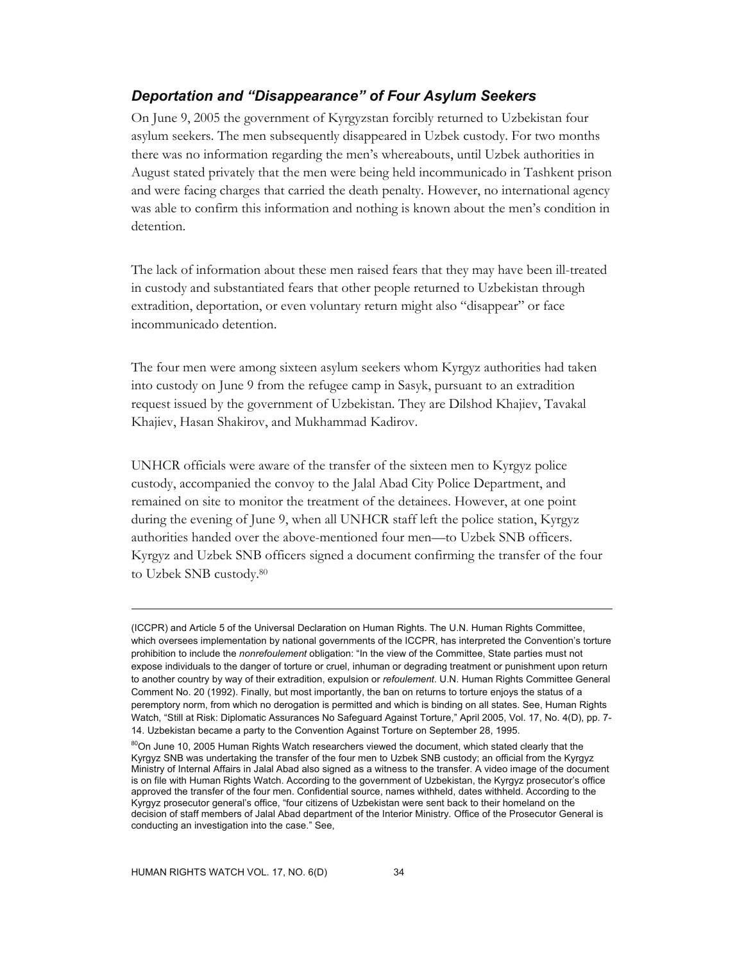# *Deportation and "Disappearance" of Four Asylum Seekers*

On June 9, 2005 the government of Kyrgyzstan forcibly returned to Uzbekistan four asylum seekers. The men subsequently disappeared in Uzbek custody. For two months there was no information regarding the men's whereabouts, until Uzbek authorities in August stated privately that the men were being held incommunicado in Tashkent prison and were facing charges that carried the death penalty. However, no international agency was able to confirm this information and nothing is known about the men's condition in detention.

The lack of information about these men raised fears that they may have been ill-treated in custody and substantiated fears that other people returned to Uzbekistan through extradition, deportation, or even voluntary return might also "disappear" or face incommunicado detention.

The four men were among sixteen asylum seekers whom Kyrgyz authorities had taken into custody on June 9 from the refugee camp in Sasyk, pursuant to an extradition request issued by the government of Uzbekistan. They are Dilshod Khajiev, Tavakal Khajiev, Hasan Shakirov, and Mukhammad Kadirov.

UNHCR officials were aware of the transfer of the sixteen men to Kyrgyz police custody, accompanied the convoy to the Jalal Abad City Police Department, and remained on site to monitor the treatment of the detainees. However, at one point during the evening of June 9, when all UNHCR staff left the police station, Kyrgyz authorities handed over the above-mentioned four men—to Uzbek SNB officers. Kyrgyz and Uzbek SNB officers signed a document confirming the transfer of the four to Uzbek SNB custody.80

<sup>(</sup>ICCPR) and Article 5 of the Universal Declaration on Human Rights. The U.N. Human Rights Committee, which oversees implementation by national governments of the ICCPR, has interpreted the Convention's torture prohibition to include the *nonrefoulement* obligation: "In the view of the Committee, State parties must not expose individuals to the danger of torture or cruel, inhuman or degrading treatment or punishment upon return to another country by way of their extradition, expulsion or *refoulement*. U.N. Human Rights Committee General Comment No. 20 (1992). Finally, but most importantly, the ban on returns to torture enjoys the status of a peremptory norm, from which no derogation is permitted and which is binding on all states. See, Human Rights Watch, "Still at Risk: Diplomatic Assurances No Safeguard Against Torture," April 2005, Vol. 17, No. 4(D), pp. 7- 14. Uzbekistan became a party to the Convention Against Torture on September 28, 1995.

<sup>&</sup>lt;sup>80</sup>On June 10, 2005 Human Rights Watch researchers viewed the document, which stated clearly that the Kyrgyz SNB was undertaking the transfer of the four men to Uzbek SNB custody; an official from the Kyrgyz Ministry of Internal Affairs in Jalal Abad also signed as a witness to the transfer. A video image of the document is on file with Human Rights Watch. According to the government of Uzbekistan, the Kyrgyz prosecutor's office approved the transfer of the four men. Confidential source, names withheld, dates withheld. According to the Kyrgyz prosecutor general's office, "four citizens of Uzbekistan were sent back to their homeland on the decision of staff members of Jalal Abad department of the Interior Ministry. Office of the Prosecutor General is conducting an investigation into the case." See,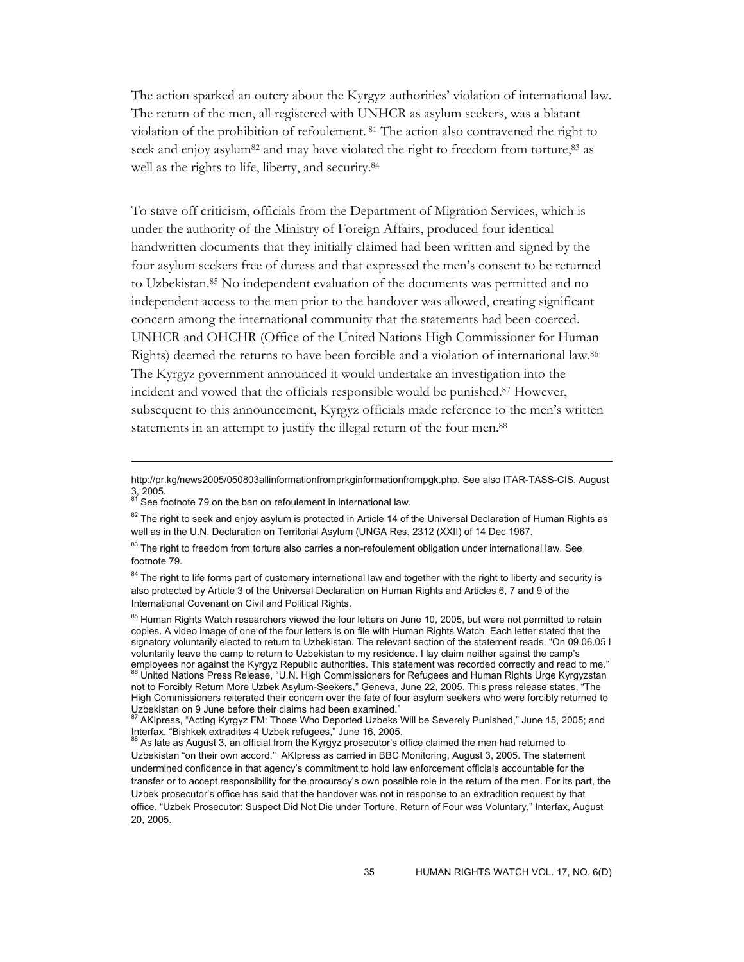The action sparked an outcry about the Kyrgyz authorities' violation of international law. The return of the men, all registered with UNHCR as asylum seekers, was a blatant violation of the prohibition of refoulement. 81 The action also contravened the right to seek and enjoy asylum<sup>82</sup> and may have violated the right to freedom from torture,<sup>83</sup> as well as the rights to life, liberty, and security.84

To stave off criticism, officials from the Department of Migration Services, which is under the authority of the Ministry of Foreign Affairs, produced four identical handwritten documents that they initially claimed had been written and signed by the four asylum seekers free of duress and that expressed the men's consent to be returned to Uzbekistan.85 No independent evaluation of the documents was permitted and no independent access to the men prior to the handover was allowed, creating significant concern among the international community that the statements had been coerced. UNHCR and OHCHR (Office of the United Nations High Commissioner for Human Rights) deemed the returns to have been forcible and a violation of international law.86 The Kyrgyz government announced it would undertake an investigation into the incident and vowed that the officials responsible would be punished.87 However, subsequent to this announcement, Kyrgyz officials made reference to the men's written statements in an attempt to justify the illegal return of the four men.<sup>88</sup>

http://pr.kg/news2005/050803allinformationfromprkginformationfrompgk.php. See also ITAR-TASS-CIS, August 3, 2005.

<sup>&</sup>lt;sup>81</sup> See footnote 79 on the ban on refoulement in international law.

 $82$  The right to seek and enjoy asylum is protected in Article 14 of the Universal Declaration of Human Rights as well as in the U.N. Declaration on Territorial Asylum (UNGA Res. 2312 (XXII) of 14 Dec 1967.

<sup>83</sup> The right to freedom from torture also carries a non-refoulement obligation under international law. See footnote 79.

<sup>&</sup>lt;sup>84</sup> The right to life forms part of customary international law and together with the right to liberty and security is also protected by Article 3 of the Universal Declaration on Human Rights and Articles 6, 7 and 9 of the International Covenant on Civil and Political Rights.

<sup>&</sup>lt;sup>85</sup> Human Rights Watch researchers viewed the four letters on June 10, 2005, but were not permitted to retain copies. A video image of one of the four letters is on file with Human Rights Watch. Each letter stated that the signatory voluntarily elected to return to Uzbekistan. The relevant section of the statement reads, "On 09.06.05 I voluntarily leave the camp to return to Uzbekistan to my residence. I lay claim neither against the camp's employees nor against the Kyrgyz Republic authorities. This statement was recorded correctly and read to me."

employees nor against the Kyrgyz<br><sup>66</sup> United Nations Press Release, "U.N. High Commissioners for Refugees and Human Rights Urge Kyrgyzstan not to Forcibly Return More Uzbek Asylum-Seekers," Geneva, June 22, 2005. This press release states, "The High Commissioners reiterated their concern over the fate of four asylum seekers who were forcibly returned to<br>Uzbekistan on 9 June before their claims had been examined."

<sup>&</sup>lt;sup>87</sup> AKIpress, "Acting Kyrgyz FM: Those Who Deported Uzbeks Will be Severely Punished," June 15, 2005; and<br>Interfax, "Bishkek extradites 4 Uzbek refugees," June 16, 2005.

 $\beta$  As late as August 3, an official from the Kyrgyz prosecutor's office claimed the men had returned to Uzbekistan "on their own accord." AKIpress as carried in BBC Monitoring, August 3, 2005. The statement undermined confidence in that agency's commitment to hold law enforcement officials accountable for the transfer or to accept responsibility for the procuracy's own possible role in the return of the men. For its part, the Uzbek prosecutor's office has said that the handover was not in response to an extradition request by that office. "Uzbek Prosecutor: Suspect Did Not Die under Torture, Return of Four was Voluntary," Interfax, August 20, 2005.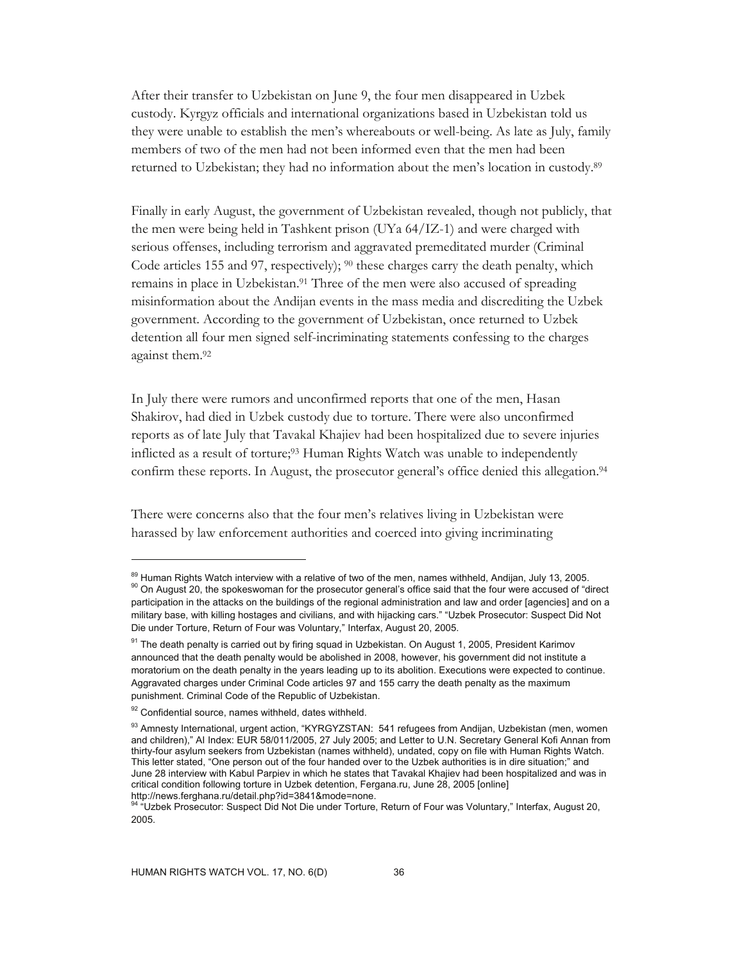After their transfer to Uzbekistan on June 9, the four men disappeared in Uzbek custody. Kyrgyz officials and international organizations based in Uzbekistan told us they were unable to establish the men's whereabouts or well-being. As late as July, family members of two of the men had not been informed even that the men had been returned to Uzbekistan; they had no information about the men's location in custody.89

Finally in early August, the government of Uzbekistan revealed, though not publicly, that the men were being held in Tashkent prison (UYa 64/IZ-1) and were charged with serious offenses, including terrorism and aggravated premeditated murder (Criminal Code articles 155 and 97, respectively);  $90$  these charges carry the death penalty, which remains in place in Uzbekistan.91 Three of the men were also accused of spreading misinformation about the Andijan events in the mass media and discrediting the Uzbek government. According to the government of Uzbekistan, once returned to Uzbek detention all four men signed self-incriminating statements confessing to the charges against them.92

In July there were rumors and unconfirmed reports that one of the men, Hasan Shakirov, had died in Uzbek custody due to torture. There were also unconfirmed reports as of late July that Tavakal Khajiev had been hospitalized due to severe injuries inflicted as a result of torture;<sup>93</sup> Human Rights Watch was unable to independently confirm these reports. In August, the prosecutor general's office denied this allegation.<sup>94</sup>

There were concerns also that the four men's relatives living in Uzbekistan were harassed by law enforcement authorities and coerced into giving incriminating

-

<sup>&</sup>lt;sup>89</sup> Human Rights Watch interview with a relative of two of the men, names withheld, Andijan, July 13, 2005.<br><sup>90</sup> On August 20, the spokeswoman for the prosecutor general's office said that the four were accused of "direct participation in the attacks on the buildings of the regional administration and law and order [agencies] and on a military base, with killing hostages and civilians, and with hijacking cars." "Uzbek Prosecutor: Suspect Did Not Die under Torture, Return of Four was Voluntary," Interfax, August 20, 2005.

<sup>91</sup> The death penalty is carried out by firing squad in Uzbekistan. On August 1, 2005, President Karimov announced that the death penalty would be abolished in 2008, however, his government did not institute a moratorium on the death penalty in the years leading up to its abolition. Executions were expected to continue. Aggravated charges under Criminal Code articles 97 and 155 carry the death penalty as the maximum punishment. Criminal Code of the Republic of Uzbekistan.

<sup>92</sup> Confidential source, names withheld, dates withheld.

<sup>93</sup> Amnesty International, urgent action, "KYRGYZSTAN: 541 refugees from Andijan, Uzbekistan (men, women and children)," AI Index: EUR 58/011/2005, 27 July 2005; and Letter to U.N. Secretary General Kofi Annan from thirty-four asylum seekers from Uzbekistan (names withheld), undated, copy on file with Human Rights Watch. This letter stated, "One person out of the four handed over to the Uzbek authorities is in dire situation;" and June 28 interview with Kabul Parpiev in which he states that Tavakal Khajiev had been hospitalized and was in critical condition following torture in Uzbek detention, Fergana.ru, June 28, 2005 [online] http://news.ferghana.ru/detail.php?id=3841&mode=none.

<sup>94 &</sup>quot;Uzbek Prosecutor: Suspect Did Not Die under Torture, Return of Four was Voluntary," Interfax, August 20, 2005.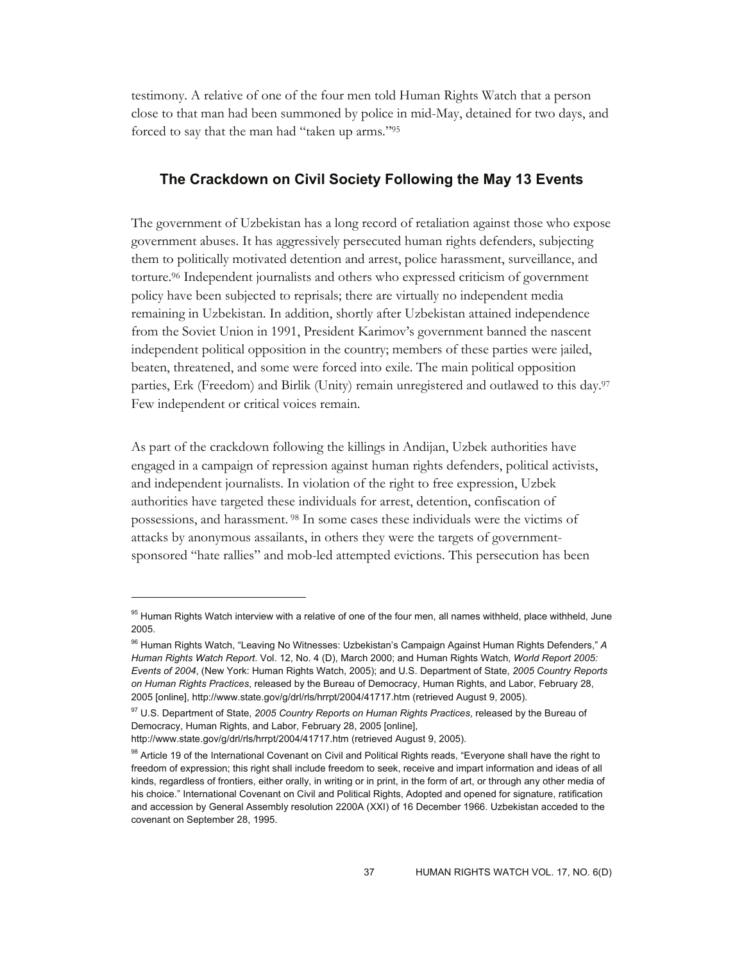testimony. A relative of one of the four men told Human Rights Watch that a person close to that man had been summoned by police in mid-May, detained for two days, and forced to say that the man had "taken up arms."95

## **The Crackdown on Civil Society Following the May 13 Events**

The government of Uzbekistan has a long record of retaliation against those who expose government abuses. It has aggressively persecuted human rights defenders, subjecting them to politically motivated detention and arrest, police harassment, surveillance, and torture.96 Independent journalists and others who expressed criticism of government policy have been subjected to reprisals; there are virtually no independent media remaining in Uzbekistan. In addition, shortly after Uzbekistan attained independence from the Soviet Union in 1991, President Karimov's government banned the nascent independent political opposition in the country; members of these parties were jailed, beaten, threatened, and some were forced into exile. The main political opposition parties, Erk (Freedom) and Birlik (Unity) remain unregistered and outlawed to this day.<sup>97</sup> Few independent or critical voices remain.

As part of the crackdown following the killings in Andijan, Uzbek authorities have engaged in a campaign of repression against human rights defenders, political activists, and independent journalists. In violation of the right to free expression, Uzbek authorities have targeted these individuals for arrest, detention, confiscation of possessions, and harassment. 98 In some cases these individuals were the victims of attacks by anonymous assailants, in others they were the targets of governmentsponsored "hate rallies" and mob-led attempted evictions. This persecution has been

-

<sup>&</sup>lt;sup>95</sup> Human Rights Watch interview with a relative of one of the four men, all names withheld, place withheld, June 2005.

<sup>96</sup> Human Rights Watch, "Leaving No Witnesses: Uzbekistan's Campaign Against Human Rights Defenders," *A Human Rights Watch Report*. Vol. 12, No. 4 (D), March 2000; and Human Rights Watch, *World Report 2005: Events of 2004*, (New York: Human Rights Watch, 2005); and U.S. Department of State, *2005 Country Reports on Human Rights Practices*, released by the Bureau of Democracy, Human Rights, and Labor, February 28, 2005 [online], http://www.state.gov/g/drl/rls/hrrpt/2004/41717.htm (retrieved August 9, 2005).

<sup>97</sup> U.S. Department of State, *2005 Country Reports on Human Rights Practices*, released by the Bureau of Democracy, Human Rights, and Labor, February 28, 2005 [online],

http://www.state.gov/g/drl/rls/hrrpt/2004/41717.htm (retrieved August 9, 2005).

<sup>98</sup> Article 19 of the International Covenant on Civil and Political Rights reads, "Everyone shall have the right to freedom of expression; this right shall include freedom to seek, receive and impart information and ideas of all kinds, regardless of frontiers, either orally, in writing or in print, in the form of art, or through any other media of his choice." International Covenant on Civil and Political Rights, Adopted and opened for signature, ratification and accession by General Assembly resolution 2200A (XXI) of 16 December 1966. Uzbekistan acceded to the covenant on September 28, 1995.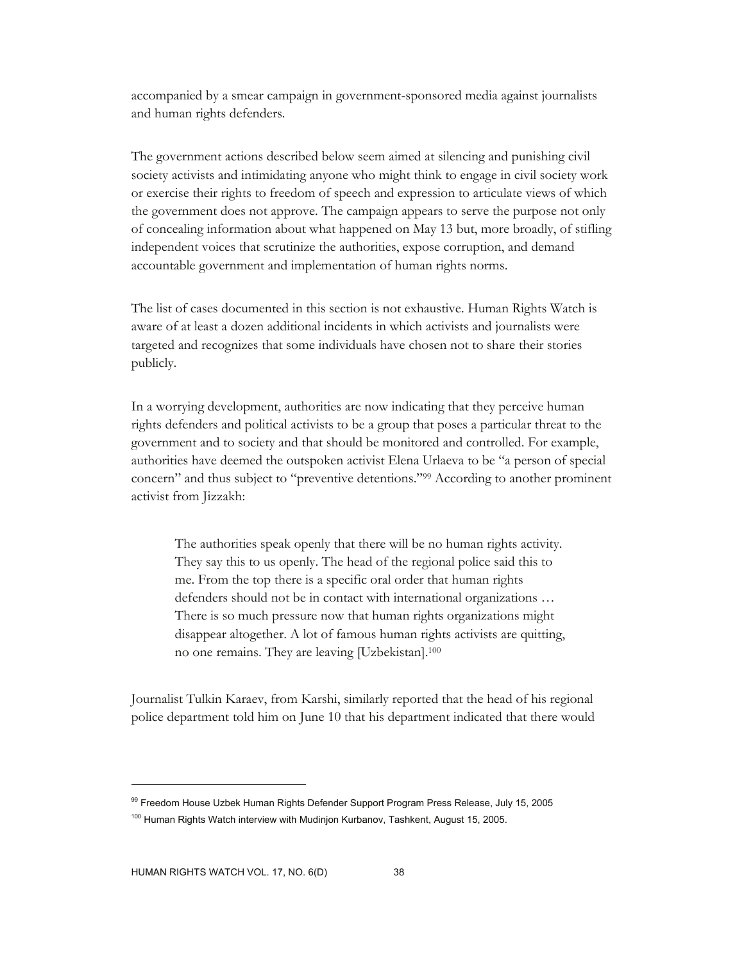accompanied by a smear campaign in government-sponsored media against journalists and human rights defenders.

The government actions described below seem aimed at silencing and punishing civil society activists and intimidating anyone who might think to engage in civil society work or exercise their rights to freedom of speech and expression to articulate views of which the government does not approve. The campaign appears to serve the purpose not only of concealing information about what happened on May 13 but, more broadly, of stifling independent voices that scrutinize the authorities, expose corruption, and demand accountable government and implementation of human rights norms.

The list of cases documented in this section is not exhaustive. Human Rights Watch is aware of at least a dozen additional incidents in which activists and journalists were targeted and recognizes that some individuals have chosen not to share their stories publicly.

In a worrying development, authorities are now indicating that they perceive human rights defenders and political activists to be a group that poses a particular threat to the government and to society and that should be monitored and controlled. For example, authorities have deemed the outspoken activist Elena Urlaeva to be "a person of special concern" and thus subject to "preventive detentions."99 According to another prominent activist from Jizzakh:

The authorities speak openly that there will be no human rights activity. They say this to us openly. The head of the regional police said this to me. From the top there is a specific oral order that human rights defenders should not be in contact with international organizations … There is so much pressure now that human rights organizations might disappear altogether. A lot of famous human rights activists are quitting, no one remains. They are leaving [Uzbekistan].100

Journalist Tulkin Karaev, from Karshi, similarly reported that the head of his regional police department told him on June 10 that his department indicated that there would

<sup>99</sup> Freedom House Uzbek Human Rights Defender Support Program Press Release, July 15, 2005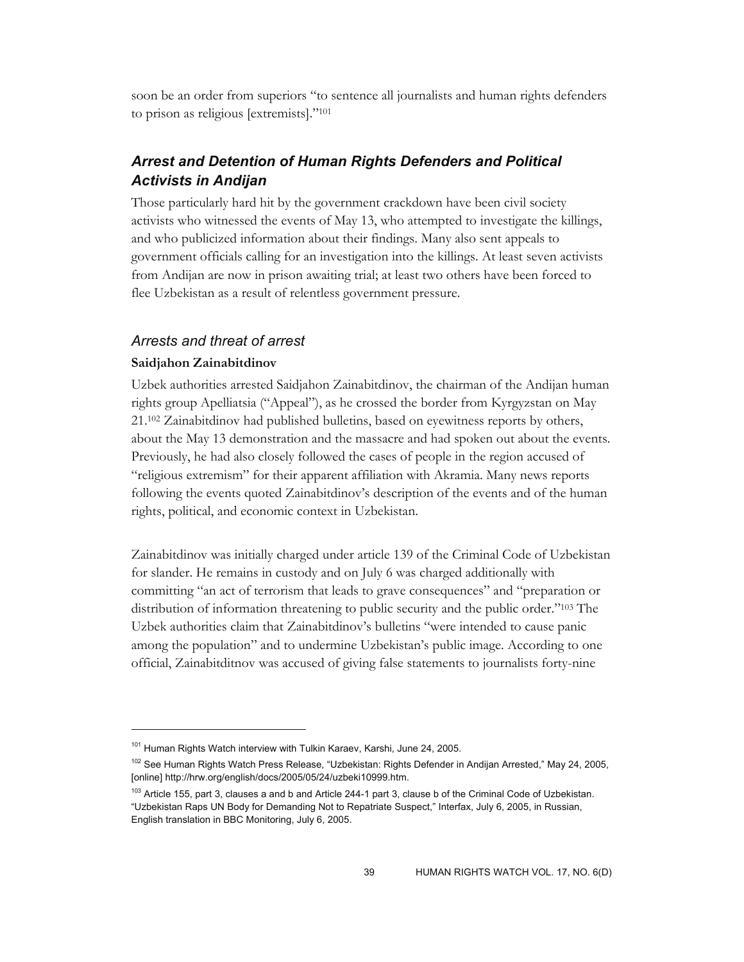soon be an order from superiors "to sentence all journalists and human rights defenders to prison as religious [extremists]."101

# *Arrest and Detention of Human Rights Defenders and Political Activists in Andijan*

Those particularly hard hit by the government crackdown have been civil society activists who witnessed the events of May 13, who attempted to investigate the killings, and who publicized information about their findings. Many also sent appeals to government officials calling for an investigation into the killings. At least seven activists from Andijan are now in prison awaiting trial; at least two others have been forced to flee Uzbekistan as a result of relentless government pressure.

### *Arrests and threat of arrest*

#### **Saidjahon Zainabitdinov**

-

Uzbek authorities arrested Saidjahon Zainabitdinov, the chairman of the Andijan human rights group Apelliatsia ("Appeal"), as he crossed the border from Kyrgyzstan on May 21.102 Zainabitdinov had published bulletins, based on eyewitness reports by others, about the May 13 demonstration and the massacre and had spoken out about the events. Previously, he had also closely followed the cases of people in the region accused of "religious extremism" for their apparent affiliation with Akramia. Many news reports following the events quoted Zainabitdinov's description of the events and of the human rights, political, and economic context in Uzbekistan.

Zainabitdinov was initially charged under article 139 of the Criminal Code of Uzbekistan for slander. He remains in custody and on July 6 was charged additionally with committing "an act of terrorism that leads to grave consequences" and "preparation or distribution of information threatening to public security and the public order."103 The Uzbek authorities claim that Zainabitdinov's bulletins "were intended to cause panic among the population" and to undermine Uzbekistan's public image. According to one official, Zainabitditnov was accused of giving false statements to journalists forty-nine

<sup>&</sup>lt;sup>101</sup> Human Rights Watch interview with Tulkin Karaev, Karshi, June 24, 2005.

<sup>&</sup>lt;sup>102</sup> See Human Rights Watch Press Release, "Uzbekistan: Rights Defender in Andijan Arrested," May 24, 2005, [online] http://hrw.org/english/docs/2005/05/24/uzbeki10999.htm.

 $103$  Article 155, part 3, clauses a and b and Article 244-1 part 3, clause b of the Criminal Code of Uzbekistan. "Uzbekistan Raps UN Body for Demanding Not to Repatriate Suspect," Interfax, July 6, 2005, in Russian, English translation in BBC Monitoring, July 6, 2005.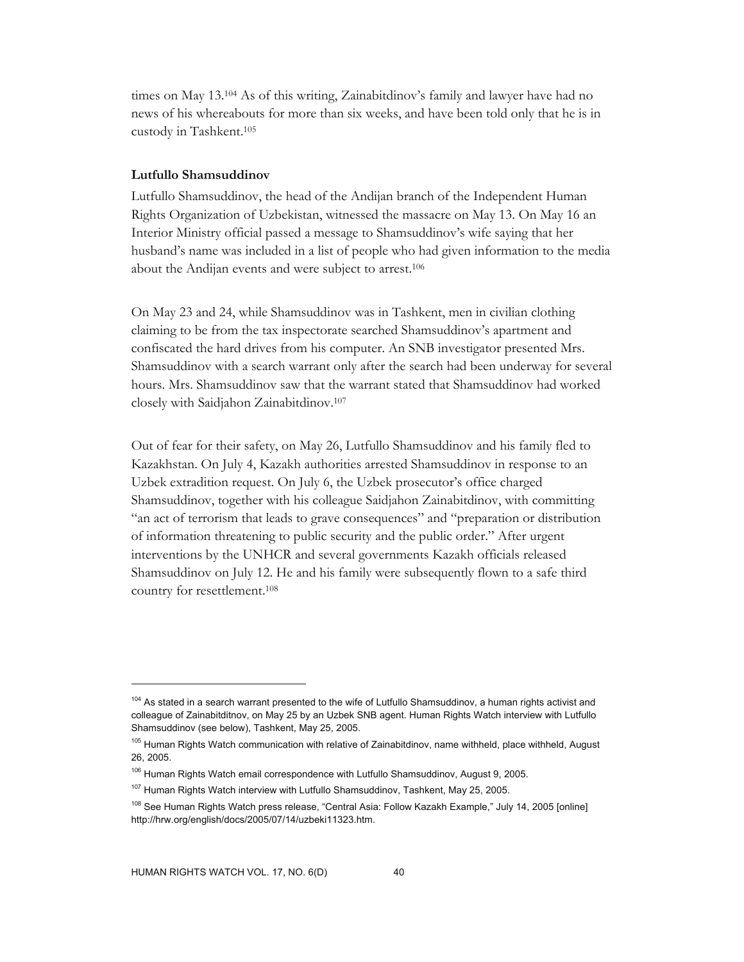times on May 13.104 As of this writing, Zainabitdinov's family and lawyer have had no news of his whereabouts for more than six weeks, and have been told only that he is in custody in Tashkent.105

#### **Lutfullo Shamsuddinov**

Lutfullo Shamsuddinov, the head of the Andijan branch of the Independent Human Rights Organization of Uzbekistan, witnessed the massacre on May 13. On May 16 an Interior Ministry official passed a message to Shamsuddinov's wife saying that her husband's name was included in a list of people who had given information to the media about the Andijan events and were subject to arrest.106

On May 23 and 24, while Shamsuddinov was in Tashkent, men in civilian clothing claiming to be from the tax inspectorate searched Shamsuddinov's apartment and confiscated the hard drives from his computer. An SNB investigator presented Mrs. Shamsuddinov with a search warrant only after the search had been underway for several hours. Mrs. Shamsuddinov saw that the warrant stated that Shamsuddinov had worked closely with Saidjahon Zainabitdinov.107

Out of fear for their safety, on May 26, Lutfullo Shamsuddinov and his family fled to Kazakhstan. On July 4, Kazakh authorities arrested Shamsuddinov in response to an Uzbek extradition request. On July 6, the Uzbek prosecutor's office charged Shamsuddinov, together with his colleague Saidjahon Zainabitdinov, with committing "an act of terrorism that leads to grave consequences" and "preparation or distribution of information threatening to public security and the public order." After urgent interventions by the UNHCR and several governments Kazakh officials released Shamsuddinov on July 12. He and his family were subsequently flown to a safe third country for resettlement.108

<sup>&</sup>lt;sup>104</sup> As stated in a search warrant presented to the wife of Lutfullo Shamsuddinov, a human rights activist and colleague of Zainabitditnov, on May 25 by an Uzbek SNB agent. Human Rights Watch interview with Lutfullo Shamsuddinov (see below), Tashkent, May 25, 2005.

<sup>&</sup>lt;sup>105</sup> Human Rights Watch communication with relative of Zainabitdinov, name withheld, place withheld, August 26, 2005.

<sup>&</sup>lt;sup>106</sup> Human Rights Watch email correspondence with Lutfullo Shamsuddinov, August 9, 2005.

<sup>&</sup>lt;sup>107</sup> Human Rights Watch interview with Lutfullo Shamsuddinov, Tashkent, May 25, 2005.

<sup>108</sup> See Human Rights Watch press release, "Central Asia: Follow Kazakh Example," July 14, 2005 [online] http://hrw.org/english/docs/2005/07/14/uzbeki11323.htm.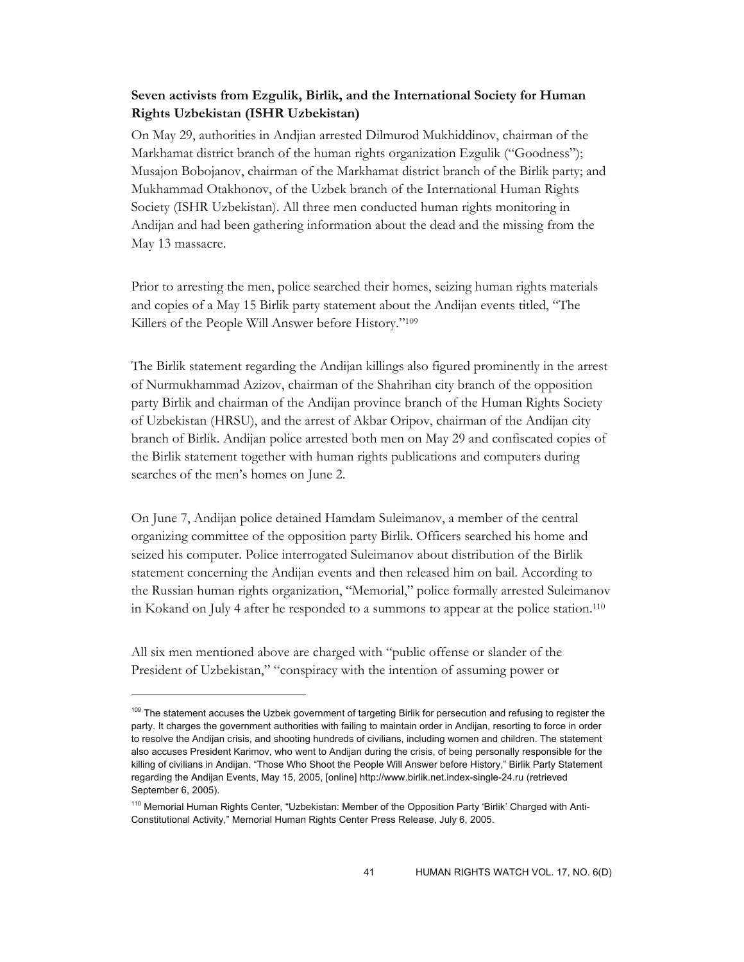# **Seven activists from Ezgulik, Birlik, and the International Society for Human Rights Uzbekistan (ISHR Uzbekistan)**

On May 29, authorities in Andjian arrested Dilmurod Mukhiddinov, chairman of the Markhamat district branch of the human rights organization Ezgulik ("Goodness"); Musajon Bobojanov, chairman of the Markhamat district branch of the Birlik party; and Mukhammad Otakhonov, of the Uzbek branch of the International Human Rights Society (ISHR Uzbekistan). All three men conducted human rights monitoring in Andijan and had been gathering information about the dead and the missing from the May 13 massacre.

Prior to arresting the men, police searched their homes, seizing human rights materials and copies of a May 15 Birlik party statement about the Andijan events titled, "The Killers of the People Will Answer before History."109

The Birlik statement regarding the Andijan killings also figured prominently in the arrest of Nurmukhammad Azizov, chairman of the Shahrihan city branch of the opposition party Birlik and chairman of the Andijan province branch of the Human Rights Society of Uzbekistan (HRSU), and the arrest of Akbar Oripov, chairman of the Andijan city branch of Birlik. Andijan police arrested both men on May 29 and confiscated copies of the Birlik statement together with human rights publications and computers during searches of the men's homes on June 2.

On June 7, Andijan police detained Hamdam Suleimanov, a member of the central organizing committee of the opposition party Birlik. Officers searched his home and seized his computer. Police interrogated Suleimanov about distribution of the Birlik statement concerning the Andijan events and then released him on bail. According to the Russian human rights organization, "Memorial," police formally arrested Suleimanov in Kokand on July 4 after he responded to a summons to appear at the police station.110

All six men mentioned above are charged with "public offense or slander of the President of Uzbekistan," "conspiracy with the intention of assuming power or

-

<sup>&</sup>lt;sup>109</sup> The statement accuses the Uzbek government of targeting Birlik for persecution and refusing to register the party. It charges the government authorities with failing to maintain order in Andijan, resorting to force in order to resolve the Andijan crisis, and shooting hundreds of civilians, including women and children. The statement also accuses President Karimov, who went to Andijan during the crisis, of being personally responsible for the killing of civilians in Andijan. "Those Who Shoot the People Will Answer before History," Birlik Party Statement regarding the Andijan Events, May 15, 2005, [online] http://www.birlik.net.index-single-24.ru (retrieved September 6, 2005).

<sup>&</sup>lt;sup>110</sup> Memorial Human Rights Center, "Uzbekistan: Member of the Opposition Party 'Birlik' Charged with Anti-Constitutional Activity," Memorial Human Rights Center Press Release, July 6, 2005.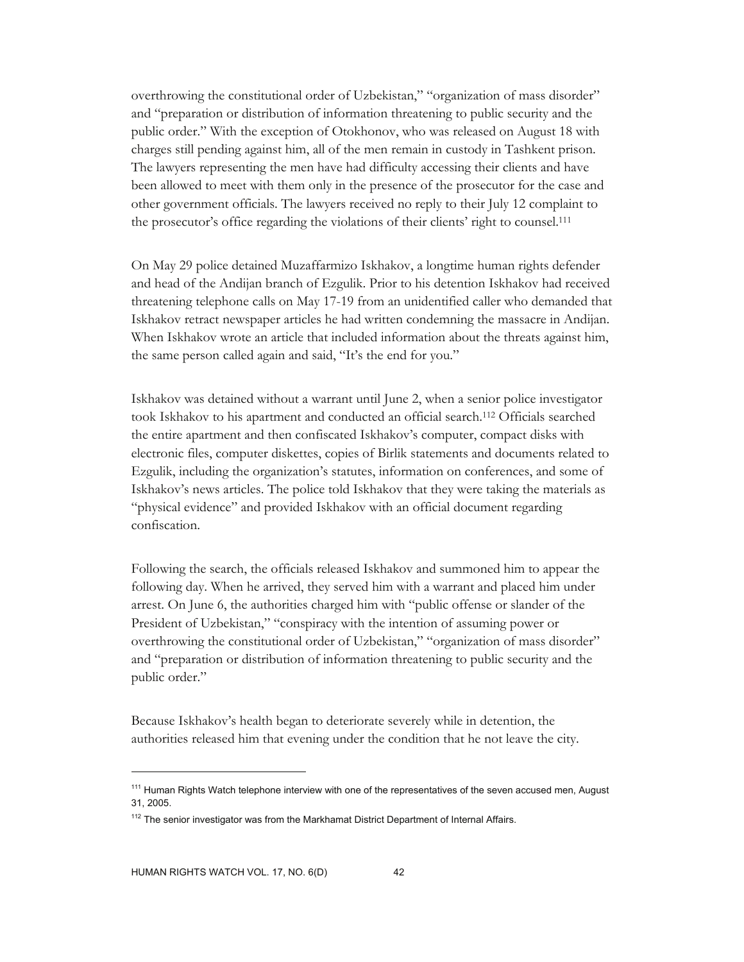overthrowing the constitutional order of Uzbekistan," "organization of mass disorder" and "preparation or distribution of information threatening to public security and the public order." With the exception of Otokhonov, who was released on August 18 with charges still pending against him, all of the men remain in custody in Tashkent prison. The lawyers representing the men have had difficulty accessing their clients and have been allowed to meet with them only in the presence of the prosecutor for the case and other government officials. The lawyers received no reply to their July 12 complaint to the prosecutor's office regarding the violations of their clients' right to counsel.111

On May 29 police detained Muzaffarmizo Iskhakov, a longtime human rights defender and head of the Andijan branch of Ezgulik. Prior to his detention Iskhakov had received threatening telephone calls on May 17-19 from an unidentified caller who demanded that Iskhakov retract newspaper articles he had written condemning the massacre in Andijan. When Iskhakov wrote an article that included information about the threats against him, the same person called again and said, "It's the end for you."

Iskhakov was detained without a warrant until June 2, when a senior police investigator took Iskhakov to his apartment and conducted an official search.112 Officials searched the entire apartment and then confiscated Iskhakov's computer, compact disks with electronic files, computer diskettes, copies of Birlik statements and documents related to Ezgulik, including the organization's statutes, information on conferences, and some of Iskhakov's news articles. The police told Iskhakov that they were taking the materials as "physical evidence" and provided Iskhakov with an official document regarding confiscation.

Following the search, the officials released Iskhakov and summoned him to appear the following day. When he arrived, they served him with a warrant and placed him under arrest. On June 6, the authorities charged him with "public offense or slander of the President of Uzbekistan," "conspiracy with the intention of assuming power or overthrowing the constitutional order of Uzbekistan," "organization of mass disorder" and "preparation or distribution of information threatening to public security and the public order."

Because Iskhakov's health began to deteriorate severely while in detention, the authorities released him that evening under the condition that he not leave the city.

<sup>&</sup>lt;sup>111</sup> Human Rights Watch telephone interview with one of the representatives of the seven accused men, August 31, 2005.

 $112$  The senior investigator was from the Markhamat District Department of Internal Affairs.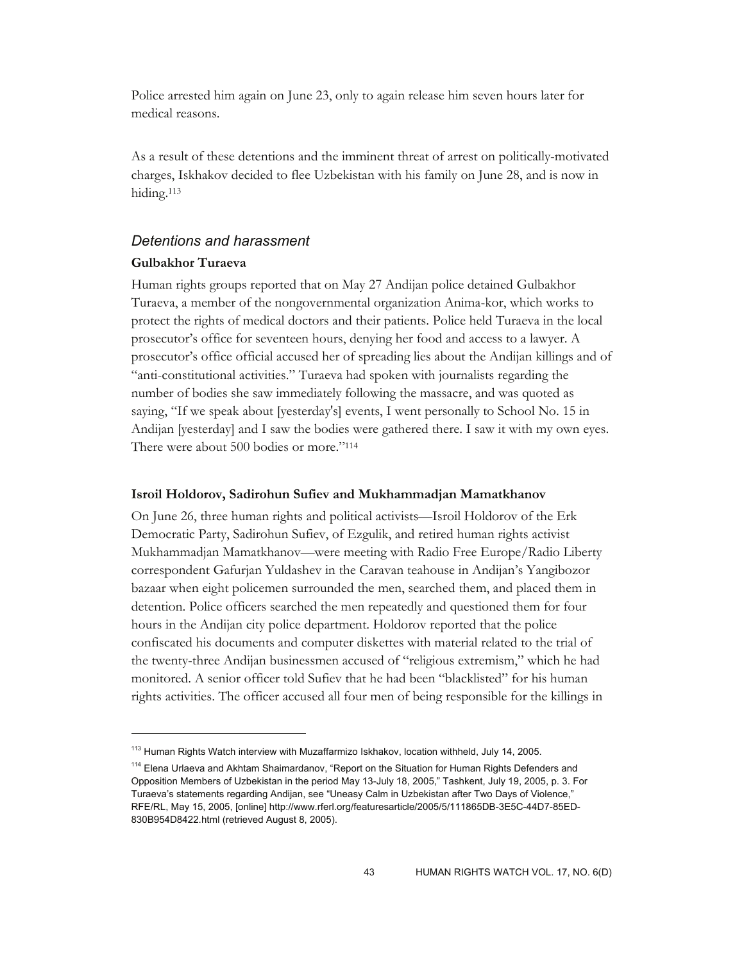Police arrested him again on June 23, only to again release him seven hours later for medical reasons.

As a result of these detentions and the imminent threat of arrest on politically-motivated charges, Iskhakov decided to flee Uzbekistan with his family on June 28, and is now in hiding.113

### *Detentions and harassment*

### **Gulbakhor Turaeva**

 $\overline{a}$ 

Human rights groups reported that on May 27 Andijan police detained Gulbakhor Turaeva, a member of the nongovernmental organization Anima-kor, which works to protect the rights of medical doctors and their patients. Police held Turaeva in the local prosecutor's office for seventeen hours, denying her food and access to a lawyer. A prosecutor's office official accused her of spreading lies about the Andijan killings and of "anti-constitutional activities." Turaeva had spoken with journalists regarding the number of bodies she saw immediately following the massacre, and was quoted as saying, "If we speak about [yesterday's] events, I went personally to School No. 15 in Andijan [yesterday] and I saw the bodies were gathered there. I saw it with my own eyes. There were about 500 bodies or more."<sup>114</sup>

#### **Isroil Holdorov, Sadirohun Sufiev and Mukhammadjan Mamatkhanov**

On June 26, three human rights and political activists—Isroil Holdorov of the Erk Democratic Party, Sadirohun Sufiev, of Ezgulik, and retired human rights activist Mukhammadjan Mamatkhanov—were meeting with Radio Free Europe/Radio Liberty correspondent Gafurjan Yuldashev in the Caravan teahouse in Andijan's Yangibozor bazaar when eight policemen surrounded the men, searched them, and placed them in detention. Police officers searched the men repeatedly and questioned them for four hours in the Andijan city police department. Holdorov reported that the police confiscated his documents and computer diskettes with material related to the trial of the twenty-three Andijan businessmen accused of "religious extremism," which he had monitored. A senior officer told Sufiev that he had been "blacklisted" for his human rights activities. The officer accused all four men of being responsible for the killings in

<sup>&</sup>lt;sup>113</sup> Human Rights Watch interview with Muzaffarmizo Iskhakov, location withheld, July 14, 2005.

<sup>&</sup>lt;sup>114</sup> Elena Urlaeva and Akhtam Shaimardanov, "Report on the Situation for Human Rights Defenders and Opposition Members of Uzbekistan in the period May 13-July 18, 2005," Tashkent, July 19, 2005, p. 3. For Turaeva's statements regarding Andijan, see "Uneasy Calm in Uzbekistan after Two Days of Violence," RFE/RL, May 15, 2005, [online] http://www.rferl.org/featuresarticle/2005/5/111865DB-3E5C-44D7-85ED-830B954D8422.html (retrieved August 8, 2005).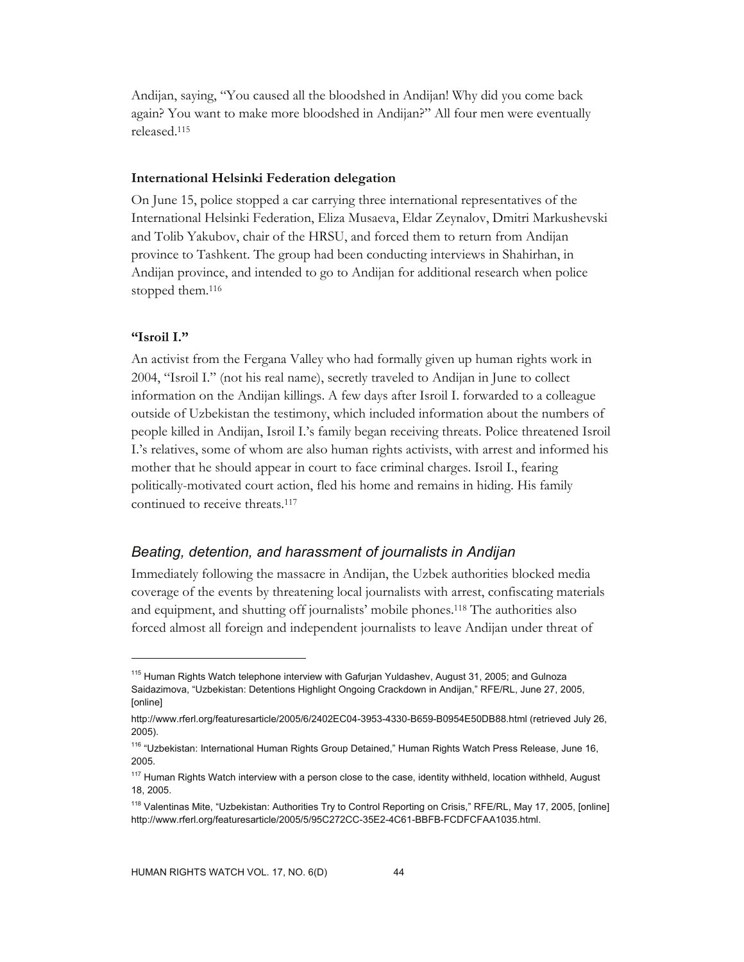Andijan, saying, "You caused all the bloodshed in Andijan! Why did you come back again? You want to make more bloodshed in Andijan?" All four men were eventually released.115

#### **International Helsinki Federation delegation**

On June 15, police stopped a car carrying three international representatives of the International Helsinki Federation, Eliza Musaeva, Eldar Zeynalov, Dmitri Markushevski and Tolib Yakubov, chair of the HRSU, and forced them to return from Andijan province to Tashkent. The group had been conducting interviews in Shahirhan, in Andijan province, and intended to go to Andijan for additional research when police stopped them.116

### **"Isroil I."**

-

An activist from the Fergana Valley who had formally given up human rights work in 2004, "Isroil I." (not his real name), secretly traveled to Andijan in June to collect information on the Andijan killings. A few days after Isroil I. forwarded to a colleague outside of Uzbekistan the testimony, which included information about the numbers of people killed in Andijan, Isroil I.'s family began receiving threats. Police threatened Isroil I.'s relatives, some of whom are also human rights activists, with arrest and informed his mother that he should appear in court to face criminal charges. Isroil I., fearing politically-motivated court action, fled his home and remains in hiding. His family continued to receive threats.117

### *Beating, detention, and harassment of journalists in Andijan*

Immediately following the massacre in Andijan, the Uzbek authorities blocked media coverage of the events by threatening local journalists with arrest, confiscating materials and equipment, and shutting off journalists' mobile phones.118 The authorities also forced almost all foreign and independent journalists to leave Andijan under threat of

<sup>&</sup>lt;sup>115</sup> Human Rights Watch telephone interview with Gafurjan Yuldashev, August 31, 2005; and Gulnoza Saidazimova, "Uzbekistan: Detentions Highlight Ongoing Crackdown in Andijan," RFE/RL, June 27, 2005, [online]

http://www.rferl.org/featuresarticle/2005/6/2402EC04-3953-4330-B659-B0954E50DB88.html (retrieved July 26, 2005).

<sup>&</sup>lt;sup>116</sup> "Uzbekistan: International Human Rights Group Detained," Human Rights Watch Press Release, June 16, 2005.

<sup>&</sup>lt;sup>117</sup> Human Rights Watch interview with a person close to the case, identity withheld, location withheld, August 18, 2005.

<sup>&</sup>lt;sup>118</sup> Valentinas Mite, "Uzbekistan: Authorities Try to Control Reporting on Crisis," RFE/RL, May 17, 2005, [online] http://www.rferl.org/featuresarticle/2005/5/95C272CC-35E2-4C61-BBFB-FCDFCFAA1035.html.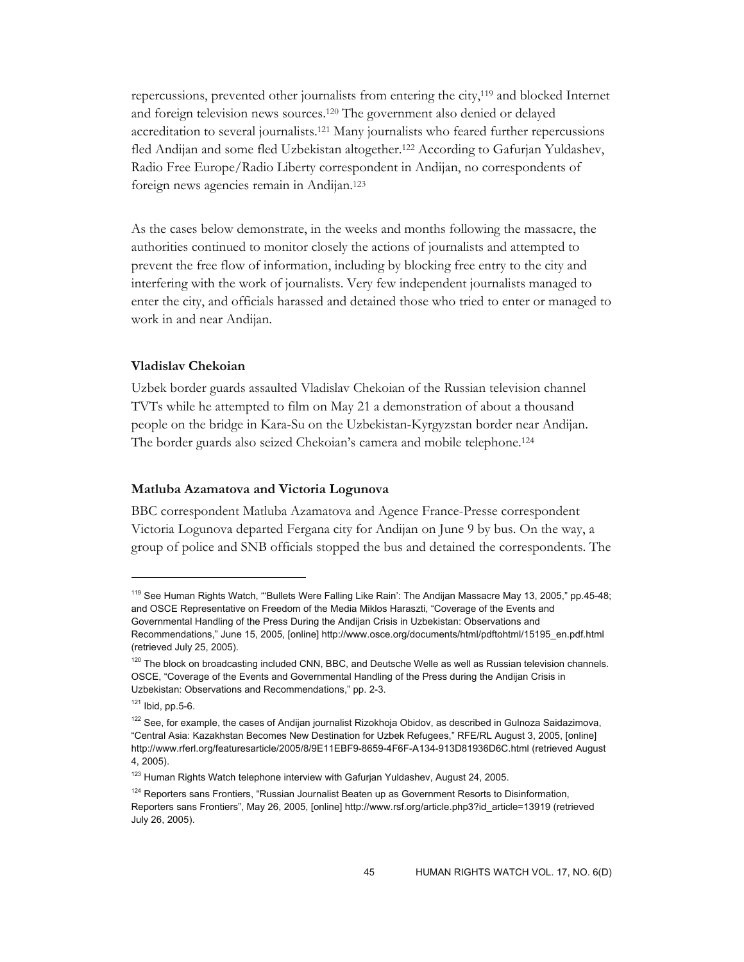repercussions, prevented other journalists from entering the city,119 and blocked Internet and foreign television news sources.120 The government also denied or delayed accreditation to several journalists.121 Many journalists who feared further repercussions fled Andijan and some fled Uzbekistan altogether.122 According to Gafurjan Yuldashev, Radio Free Europe/Radio Liberty correspondent in Andijan, no correspondents of foreign news agencies remain in Andijan.123

As the cases below demonstrate, in the weeks and months following the massacre, the authorities continued to monitor closely the actions of journalists and attempted to prevent the free flow of information, including by blocking free entry to the city and interfering with the work of journalists. Very few independent journalists managed to enter the city, and officials harassed and detained those who tried to enter or managed to work in and near Andijan.

### **Vladislav Chekoian**

Uzbek border guards assaulted Vladislav Chekoian of the Russian television channel TVTs while he attempted to film on May 21 a demonstration of about a thousand people on the bridge in Kara-Su on the Uzbekistan-Kyrgyzstan border near Andijan. The border guards also seized Chekoian's camera and mobile telephone.124

#### **Matluba Azamatova and Victoria Logunova**

BBC correspondent Matluba Azamatova and Agence France-Presse correspondent Victoria Logunova departed Fergana city for Andijan on June 9 by bus. On the way, a group of police and SNB officials stopped the bus and detained the correspondents. The

-

<sup>&</sup>lt;sup>119</sup> See Human Rights Watch, "'Bullets Were Falling Like Rain': The Andijan Massacre May 13, 2005," pp.45-48; and OSCE Representative on Freedom of the Media Miklos Haraszti, "Coverage of the Events and Governmental Handling of the Press During the Andijan Crisis in Uzbekistan: Observations and Recommendations," June 15, 2005, [online] http://www.osce.org/documents/html/pdftohtml/15195\_en.pdf.html (retrieved July 25, 2005).

 $120$  The block on broadcasting included CNN, BBC, and Deutsche Welle as well as Russian television channels. OSCE, "Coverage of the Events and Governmental Handling of the Press during the Andijan Crisis in Uzbekistan: Observations and Recommendations," pp. 2-3.

 $121$  Ibid, pp. 5-6.

<sup>&</sup>lt;sup>122</sup> See, for example, the cases of Andijan journalist Rizokhoja Obidov, as described in Gulnoza Saidazimova, "Central Asia: Kazakhstan Becomes New Destination for Uzbek Refugees," RFE/RL August 3, 2005, [online] http://www.rferl.org/featuresarticle/2005/8/9E11EBF9-8659-4F6F-A134-913D81936D6C.html (retrieved August 4, 2005).

<sup>&</sup>lt;sup>123</sup> Human Rights Watch telephone interview with Gafurjan Yuldashev, August 24, 2005.

<sup>&</sup>lt;sup>124</sup> Reporters sans Frontiers, "Russian Journalist Beaten up as Government Resorts to Disinformation, Reporters sans Frontiers", May 26, 2005, [online] http://www.rsf.org/article.php3?id\_article=13919 (retrieved July 26, 2005).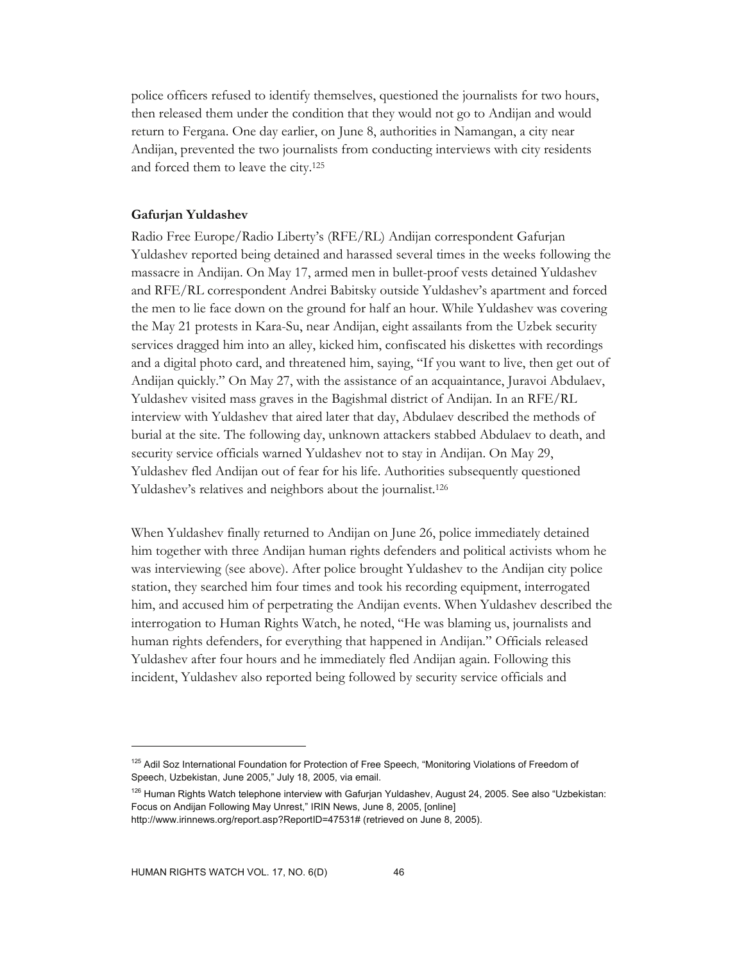police officers refused to identify themselves, questioned the journalists for two hours, then released them under the condition that they would not go to Andijan and would return to Fergana. One day earlier, on June 8, authorities in Namangan, a city near Andijan, prevented the two journalists from conducting interviews with city residents and forced them to leave the city.125

#### **Gafurjan Yuldashev**

Radio Free Europe/Radio Liberty's (RFE/RL) Andijan correspondent Gafurjan Yuldashev reported being detained and harassed several times in the weeks following the massacre in Andijan. On May 17, armed men in bullet-proof vests detained Yuldashev and RFE/RL correspondent Andrei Babitsky outside Yuldashev's apartment and forced the men to lie face down on the ground for half an hour. While Yuldashev was covering the May 21 protests in Kara-Su, near Andijan, eight assailants from the Uzbek security services dragged him into an alley, kicked him, confiscated his diskettes with recordings and a digital photo card, and threatened him, saying, "If you want to live, then get out of Andijan quickly." On May 27, with the assistance of an acquaintance, Juravoi Abdulaev, Yuldashev visited mass graves in the Bagishmal district of Andijan. In an RFE/RL interview with Yuldashev that aired later that day, Abdulaev described the methods of burial at the site. The following day, unknown attackers stabbed Abdulaev to death, and security service officials warned Yuldashev not to stay in Andijan. On May 29, Yuldashev fled Andijan out of fear for his life. Authorities subsequently questioned Yuldashev's relatives and neighbors about the journalist.126

When Yuldashev finally returned to Andijan on June 26, police immediately detained him together with three Andijan human rights defenders and political activists whom he was interviewing (see above). After police brought Yuldashev to the Andijan city police station, they searched him four times and took his recording equipment, interrogated him, and accused him of perpetrating the Andijan events. When Yuldashev described the interrogation to Human Rights Watch, he noted, "He was blaming us, journalists and human rights defenders, for everything that happened in Andijan." Officials released Yuldashev after four hours and he immediately fled Andijan again. Following this incident, Yuldashev also reported being followed by security service officials and

<sup>&</sup>lt;sup>125</sup> Adil Soz International Foundation for Protection of Free Speech, "Monitoring Violations of Freedom of Speech, Uzbekistan, June 2005," July 18, 2005, via email.

<sup>&</sup>lt;sup>126</sup> Human Rights Watch telephone interview with Gafurjan Yuldashev, August 24, 2005. See also "Uzbekistan: Focus on Andijan Following May Unrest," IRIN News, June 8, 2005, [online]

http://www.irinnews.org/report.asp?ReportID=47531# (retrieved on June 8, 2005).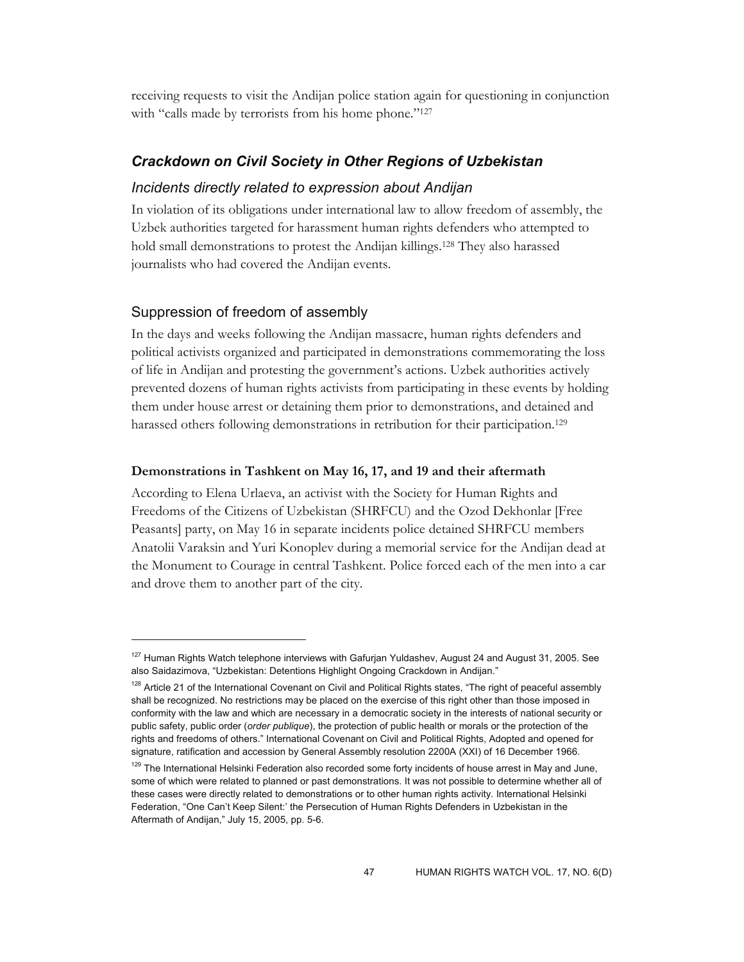receiving requests to visit the Andijan police station again for questioning in conjunction with "calls made by terrorists from his home phone."<sup>127</sup>

### *Crackdown on Civil Society in Other Regions of Uzbekistan*

### *Incidents directly related to expression about Andijan*

In violation of its obligations under international law to allow freedom of assembly, the Uzbek authorities targeted for harassment human rights defenders who attempted to hold small demonstrations to protest the Andijan killings.128 They also harassed journalists who had covered the Andijan events.

### Suppression of freedom of assembly

-

In the days and weeks following the Andijan massacre, human rights defenders and political activists organized and participated in demonstrations commemorating the loss of life in Andijan and protesting the government's actions. Uzbek authorities actively prevented dozens of human rights activists from participating in these events by holding them under house arrest or detaining them prior to demonstrations, and detained and harassed others following demonstrations in retribution for their participation.<sup>129</sup>

#### **Demonstrations in Tashkent on May 16, 17, and 19 and their aftermath**

According to Elena Urlaeva, an activist with the Society for Human Rights and Freedoms of the Citizens of Uzbekistan (SHRFCU) and the Ozod Dekhonlar [Free Peasants] party, on May 16 in separate incidents police detained SHRFCU members Anatolii Varaksin and Yuri Konoplev during a memorial service for the Andijan dead at the Monument to Courage in central Tashkent. Police forced each of the men into a car and drove them to another part of the city.

<sup>&</sup>lt;sup>127</sup> Human Rights Watch telephone interviews with Gafurjan Yuldashev, August 24 and August 31, 2005. See also Saidazimova, "Uzbekistan: Detentions Highlight Ongoing Crackdown in Andijan."

<sup>&</sup>lt;sup>128</sup> Article 21 of the International Covenant on Civil and Political Rights states, "The right of peaceful assembly shall be recognized. No restrictions may be placed on the exercise of this right other than those imposed in conformity with the law and which are necessary in a democratic society in the interests of national security or public safety, public order (*order publique*), the protection of public health or morals or the protection of the rights and freedoms of others." International Covenant on Civil and Political Rights, Adopted and opened for signature, ratification and accession by General Assembly resolution 2200A (XXI) of 16 December 1966.

<sup>&</sup>lt;sup>129</sup> The International Helsinki Federation also recorded some forty incidents of house arrest in May and June, some of which were related to planned or past demonstrations. It was not possible to determine whether all of these cases were directly related to demonstrations or to other human rights activity. International Helsinki Federation, "One Can't Keep Silent:' the Persecution of Human Rights Defenders in Uzbekistan in the Aftermath of Andijan," July 15, 2005, pp. 5-6.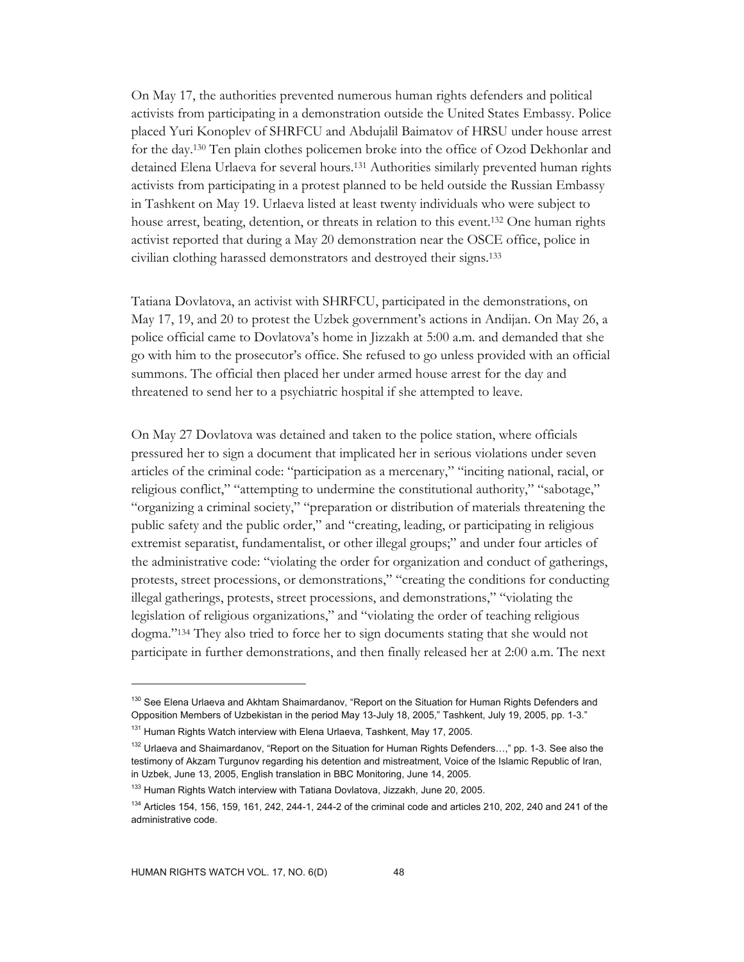On May 17, the authorities prevented numerous human rights defenders and political activists from participating in a demonstration outside the United States Embassy. Police placed Yuri Konoplev of SHRFCU and Abdujalil Baimatov of HRSU under house arrest for the day.130 Ten plain clothes policemen broke into the office of Ozod Dekhonlar and detained Elena Urlaeva for several hours.131 Authorities similarly prevented human rights activists from participating in a protest planned to be held outside the Russian Embassy in Tashkent on May 19. Urlaeva listed at least twenty individuals who were subject to house arrest, beating, detention, or threats in relation to this event.132 One human rights activist reported that during a May 20 demonstration near the OSCE office, police in civilian clothing harassed demonstrators and destroyed their signs.133

Tatiana Dovlatova, an activist with SHRFCU, participated in the demonstrations, on May 17, 19, and 20 to protest the Uzbek government's actions in Andijan. On May 26, a police official came to Dovlatova's home in Jizzakh at 5:00 a.m. and demanded that she go with him to the prosecutor's office. She refused to go unless provided with an official summons. The official then placed her under armed house arrest for the day and threatened to send her to a psychiatric hospital if she attempted to leave.

On May 27 Dovlatova was detained and taken to the police station, where officials pressured her to sign a document that implicated her in serious violations under seven articles of the criminal code: "participation as a mercenary," "inciting national, racial, or religious conflict," "attempting to undermine the constitutional authority," "sabotage," "organizing a criminal society," "preparation or distribution of materials threatening the public safety and the public order," and "creating, leading, or participating in religious extremist separatist, fundamentalist, or other illegal groups;" and under four articles of the administrative code: "violating the order for organization and conduct of gatherings, protests, street processions, or demonstrations," "creating the conditions for conducting illegal gatherings, protests, street processions, and demonstrations," "violating the legislation of religious organizations," and "violating the order of teaching religious dogma."134 They also tried to force her to sign documents stating that she would not participate in further demonstrations, and then finally released her at 2:00 a.m. The next

<sup>&</sup>lt;sup>130</sup> See Elena Urlaeva and Akhtam Shaimardanov, "Report on the Situation for Human Rights Defenders and Opposition Members of Uzbekistan in the period May 13-July 18, 2005," Tashkent, July 19, 2005, pp. 1-3."

<sup>&</sup>lt;sup>131</sup> Human Rights Watch interview with Elena Urlaeva, Tashkent, May 17, 2005.

<sup>&</sup>lt;sup>132</sup> Urlaeva and Shaimardanov, "Report on the Situation for Human Rights Defenders...," pp. 1-3. See also the testimony of Akzam Turgunov regarding his detention and mistreatment, Voice of the Islamic Republic of Iran, in Uzbek, June 13, 2005, English translation in BBC Monitoring, June 14, 2005.

<sup>&</sup>lt;sup>133</sup> Human Rights Watch interview with Tatiana Dovlatova, Jizzakh, June 20, 2005.

 $134$  Articles 154, 156, 159, 161, 242, 244-1, 244-2 of the criminal code and articles 210, 202, 240 and 241 of the administrative code.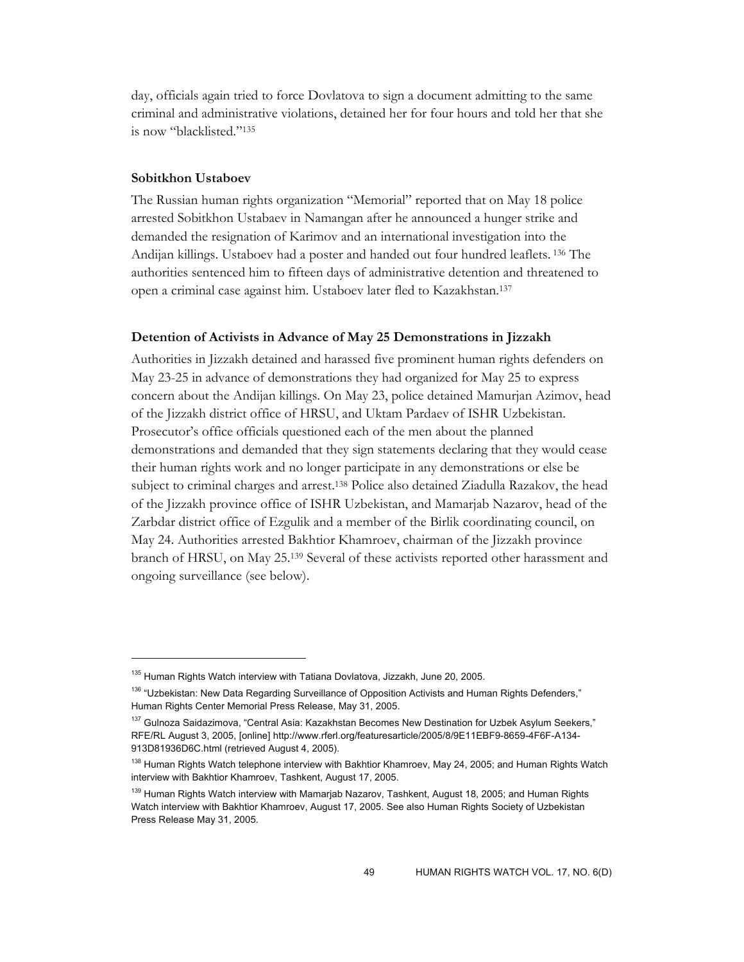day, officials again tried to force Dovlatova to sign a document admitting to the same criminal and administrative violations, detained her for four hours and told her that she is now "blacklisted."135

#### **Sobitkhon Ustaboev**

-

The Russian human rights organization "Memorial" reported that on May 18 police arrested Sobitkhon Ustabaev in Namangan after he announced a hunger strike and demanded the resignation of Karimov and an international investigation into the Andijan killings. Ustaboev had a poster and handed out four hundred leaflets. 136 The authorities sentenced him to fifteen days of administrative detention and threatened to open a criminal case against him. Ustaboev later fled to Kazakhstan.137

#### **Detention of Activists in Advance of May 25 Demonstrations in Jizzakh**

Authorities in Jizzakh detained and harassed five prominent human rights defenders on May 23-25 in advance of demonstrations they had organized for May 25 to express concern about the Andijan killings. On May 23, police detained Mamurjan Azimov, head of the Jizzakh district office of HRSU, and Uktam Pardaev of ISHR Uzbekistan. Prosecutor's office officials questioned each of the men about the planned demonstrations and demanded that they sign statements declaring that they would cease their human rights work and no longer participate in any demonstrations or else be subject to criminal charges and arrest.138 Police also detained Ziadulla Razakov, the head of the Jizzakh province office of ISHR Uzbekistan, and Mamarjab Nazarov, head of the Zarbdar district office of Ezgulik and a member of the Birlik coordinating council, on May 24. Authorities arrested Bakhtior Khamroev, chairman of the Jizzakh province branch of HRSU, on May 25.139 Several of these activists reported other harassment and ongoing surveillance (see below).

<sup>&</sup>lt;sup>135</sup> Human Rights Watch interview with Tatiana Dovlatova, Jizzakh, June 20, 2005.

<sup>&</sup>lt;sup>136</sup> "Uzbekistan: New Data Regarding Surveillance of Opposition Activists and Human Rights Defenders," Human Rights Center Memorial Press Release, May 31, 2005.

<sup>&</sup>lt;sup>137</sup> Gulnoza Saidazimova, "Central Asia: Kazakhstan Becomes New Destination for Uzbek Asylum Seekers," RFE/RL August 3, 2005, [online] http://www.rferl.org/featuresarticle/2005/8/9E11EBF9-8659-4F6F-A134- 913D81936D6C.html (retrieved August 4, 2005).

<sup>&</sup>lt;sup>138</sup> Human Rights Watch telephone interview with Bakhtior Khamroev, May 24, 2005; and Human Rights Watch interview with Bakhtior Khamroev, Tashkent, August 17, 2005.

<sup>&</sup>lt;sup>139</sup> Human Rights Watch interview with Mamarjab Nazarov, Tashkent, August 18, 2005; and Human Rights Watch interview with Bakhtior Khamroev, August 17, 2005. See also Human Rights Society of Uzbekistan Press Release May 31, 2005.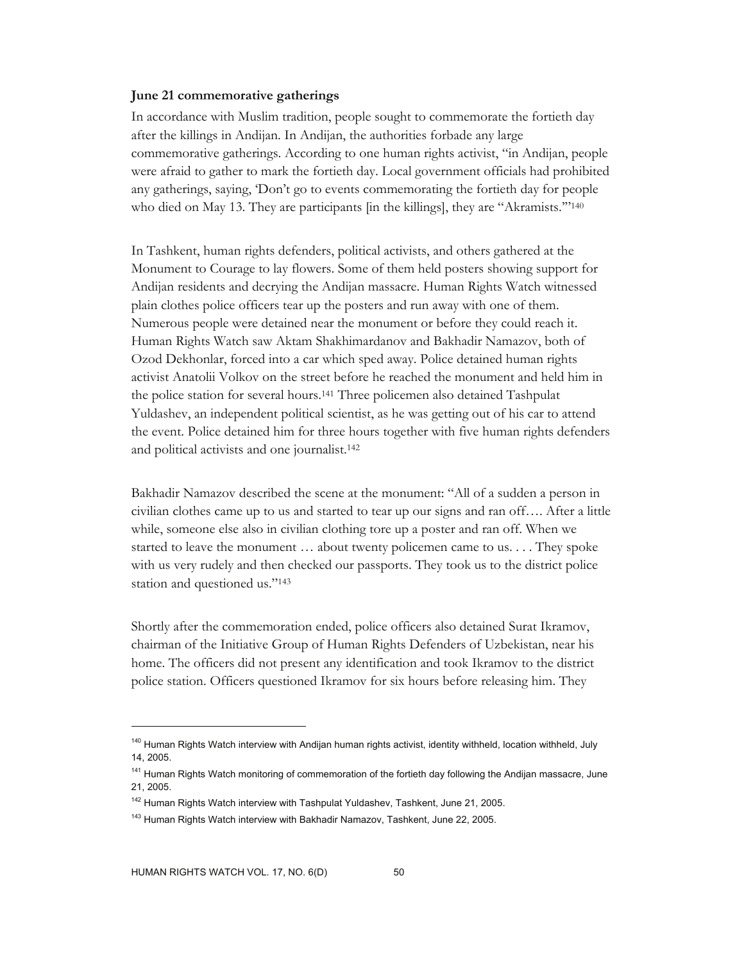#### **June 21 commemorative gatherings**

In accordance with Muslim tradition, people sought to commemorate the fortieth day after the killings in Andijan. In Andijan, the authorities forbade any large commemorative gatherings. According to one human rights activist, "in Andijan, people were afraid to gather to mark the fortieth day. Local government officials had prohibited any gatherings, saying, 'Don't go to events commemorating the fortieth day for people who died on May 13. They are participants [in the killings], they are "Akramists."<sup>140</sup>

In Tashkent, human rights defenders, political activists, and others gathered at the Monument to Courage to lay flowers. Some of them held posters showing support for Andijan residents and decrying the Andijan massacre. Human Rights Watch witnessed plain clothes police officers tear up the posters and run away with one of them. Numerous people were detained near the monument or before they could reach it. Human Rights Watch saw Aktam Shakhimardanov and Bakhadir Namazov, both of Ozod Dekhonlar, forced into a car which sped away. Police detained human rights activist Anatolii Volkov on the street before he reached the monument and held him in the police station for several hours.141 Three policemen also detained Tashpulat Yuldashev, an independent political scientist, as he was getting out of his car to attend the event. Police detained him for three hours together with five human rights defenders and political activists and one journalist.142

Bakhadir Namazov described the scene at the monument: "All of a sudden a person in civilian clothes came up to us and started to tear up our signs and ran off…. After a little while, someone else also in civilian clothing tore up a poster and ran off. When we started to leave the monument … about twenty policemen came to us. . . . They spoke with us very rudely and then checked our passports. They took us to the district police station and questioned us."143

Shortly after the commemoration ended, police officers also detained Surat Ikramov, chairman of the Initiative Group of Human Rights Defenders of Uzbekistan, near his home. The officers did not present any identification and took Ikramov to the district police station. Officers questioned Ikramov for six hours before releasing him. They

-

<sup>&</sup>lt;sup>140</sup> Human Rights Watch interview with Andijan human rights activist, identity withheld, location withheld, July 14, 2005.

<sup>&</sup>lt;sup>141</sup> Human Rights Watch monitoring of commemoration of the fortieth day following the Andijan massacre, June 21, 2005.

<sup>&</sup>lt;sup>142</sup> Human Rights Watch interview with Tashpulat Yuldashev, Tashkent, June 21, 2005.

<sup>&</sup>lt;sup>143</sup> Human Rights Watch interview with Bakhadir Namazov, Tashkent, June 22, 2005.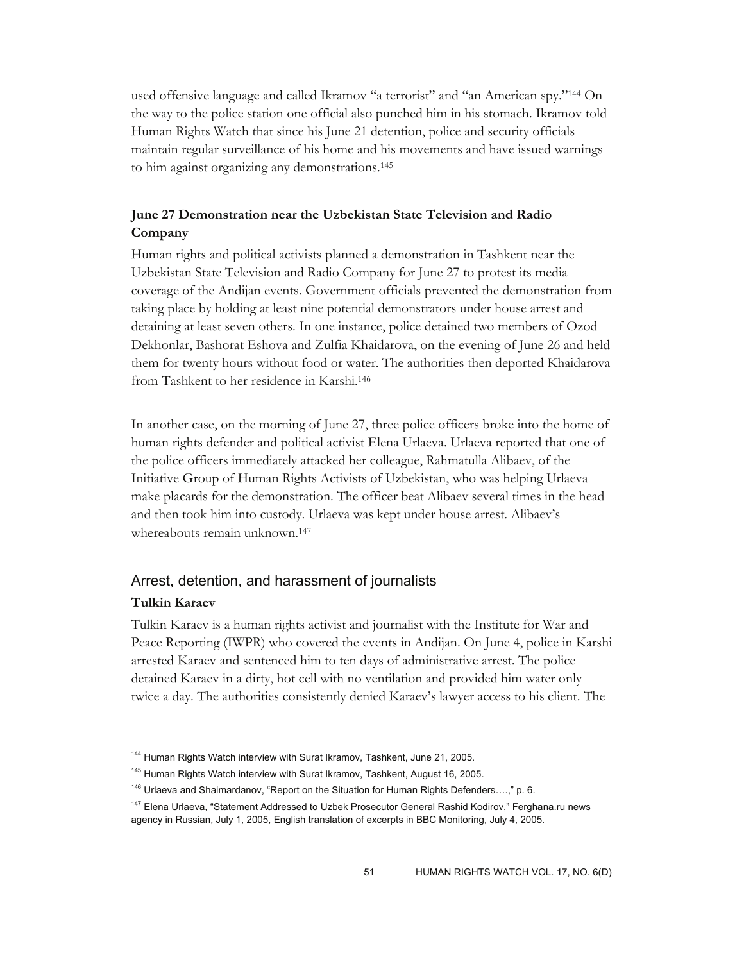used offensive language and called Ikramov "a terrorist" and "an American spy."<sup>144</sup> On the way to the police station one official also punched him in his stomach. Ikramov told Human Rights Watch that since his June 21 detention, police and security officials maintain regular surveillance of his home and his movements and have issued warnings to him against organizing any demonstrations.145

# **June 27 Demonstration near the Uzbekistan State Television and Radio Company**

Human rights and political activists planned a demonstration in Tashkent near the Uzbekistan State Television and Radio Company for June 27 to protest its media coverage of the Andijan events. Government officials prevented the demonstration from taking place by holding at least nine potential demonstrators under house arrest and detaining at least seven others. In one instance, police detained two members of Ozod Dekhonlar, Bashorat Eshova and Zulfia Khaidarova, on the evening of June 26 and held them for twenty hours without food or water. The authorities then deported Khaidarova from Tashkent to her residence in Karshi.146

In another case, on the morning of June 27, three police officers broke into the home of human rights defender and political activist Elena Urlaeva. Urlaeva reported that one of the police officers immediately attacked her colleague, Rahmatulla Alibaev, of the Initiative Group of Human Rights Activists of Uzbekistan, who was helping Urlaeva make placards for the demonstration. The officer beat Alibaev several times in the head and then took him into custody. Urlaeva was kept under house arrest. Alibaev's whereabouts remain unknown.<sup>147</sup>

# Arrest, detention, and harassment of journalists

### **Tulkin Karaev**

 $\overline{a}$ 

Tulkin Karaev is a human rights activist and journalist with the Institute for War and Peace Reporting (IWPR) who covered the events in Andijan. On June 4, police in Karshi arrested Karaev and sentenced him to ten days of administrative arrest. The police detained Karaev in a dirty, hot cell with no ventilation and provided him water only twice a day. The authorities consistently denied Karaev's lawyer access to his client. The

<sup>&</sup>lt;sup>144</sup> Human Rights Watch interview with Surat Ikramov, Tashkent, June 21, 2005.

<sup>&</sup>lt;sup>145</sup> Human Rights Watch interview with Surat Ikramov, Tashkent, August 16, 2005.

<sup>&</sup>lt;sup>146</sup> Urlaeva and Shaimardanov, "Report on the Situation for Human Rights Defenders....," p. 6.

<sup>&</sup>lt;sup>147</sup> Elena Urlaeva, "Statement Addressed to Uzbek Prosecutor General Rashid Kodirov," Ferghana.ru news agency in Russian, July 1, 2005, English translation of excerpts in BBC Monitoring, July 4, 2005.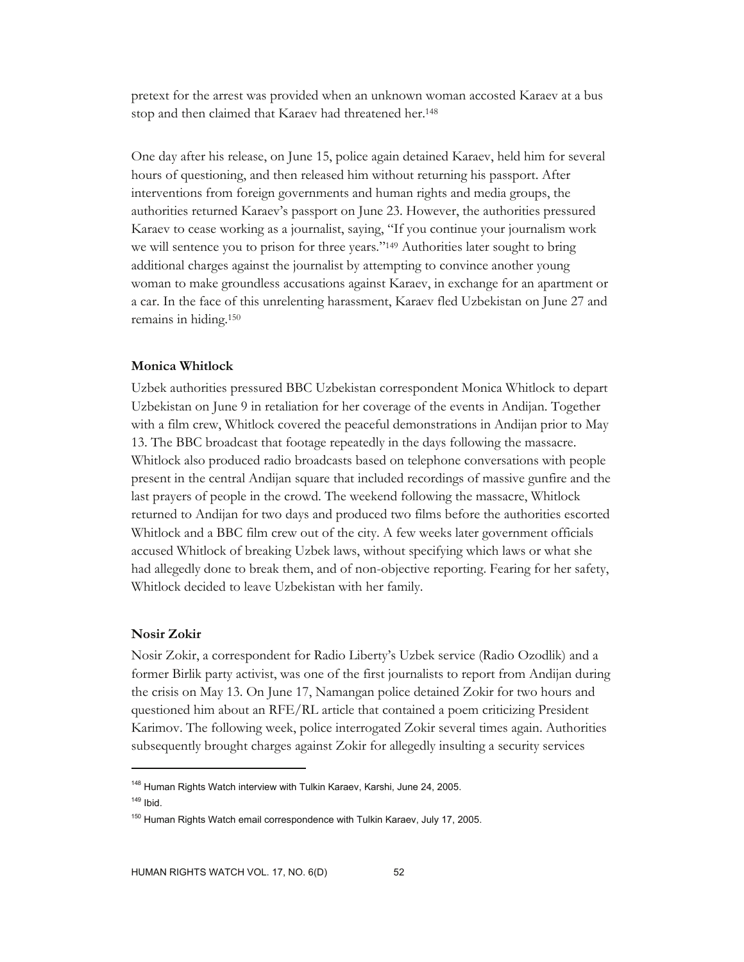pretext for the arrest was provided when an unknown woman accosted Karaev at a bus stop and then claimed that Karaev had threatened her.148

One day after his release, on June 15, police again detained Karaev, held him for several hours of questioning, and then released him without returning his passport. After interventions from foreign governments and human rights and media groups, the authorities returned Karaev's passport on June 23. However, the authorities pressured Karaev to cease working as a journalist, saying, "If you continue your journalism work we will sentence you to prison for three years."149 Authorities later sought to bring additional charges against the journalist by attempting to convince another young woman to make groundless accusations against Karaev, in exchange for an apartment or a car. In the face of this unrelenting harassment, Karaev fled Uzbekistan on June 27 and remains in hiding.150

### **Monica Whitlock**

Uzbek authorities pressured BBC Uzbekistan correspondent Monica Whitlock to depart Uzbekistan on June 9 in retaliation for her coverage of the events in Andijan. Together with a film crew, Whitlock covered the peaceful demonstrations in Andijan prior to May 13. The BBC broadcast that footage repeatedly in the days following the massacre. Whitlock also produced radio broadcasts based on telephone conversations with people present in the central Andijan square that included recordings of massive gunfire and the last prayers of people in the crowd. The weekend following the massacre, Whitlock returned to Andijan for two days and produced two films before the authorities escorted Whitlock and a BBC film crew out of the city. A few weeks later government officials accused Whitlock of breaking Uzbek laws, without specifying which laws or what she had allegedly done to break them, and of non-objective reporting. Fearing for her safety, Whitlock decided to leave Uzbekistan with her family.

#### **Nosir Zokir**

 $\overline{a}$ 

Nosir Zokir, a correspondent for Radio Liberty's Uzbek service (Radio Ozodlik) and a former Birlik party activist, was one of the first journalists to report from Andijan during the crisis on May 13. On June 17, Namangan police detained Zokir for two hours and questioned him about an RFE/RL article that contained a poem criticizing President Karimov. The following week, police interrogated Zokir several times again. Authorities subsequently brought charges against Zokir for allegedly insulting a security services

<sup>&</sup>lt;sup>148</sup> Human Rights Watch interview with Tulkin Karaev, Karshi, June 24, 2005.  $149$  Ibid.

<sup>&</sup>lt;sup>150</sup> Human Rights Watch email correspondence with Tulkin Karaev, July 17, 2005.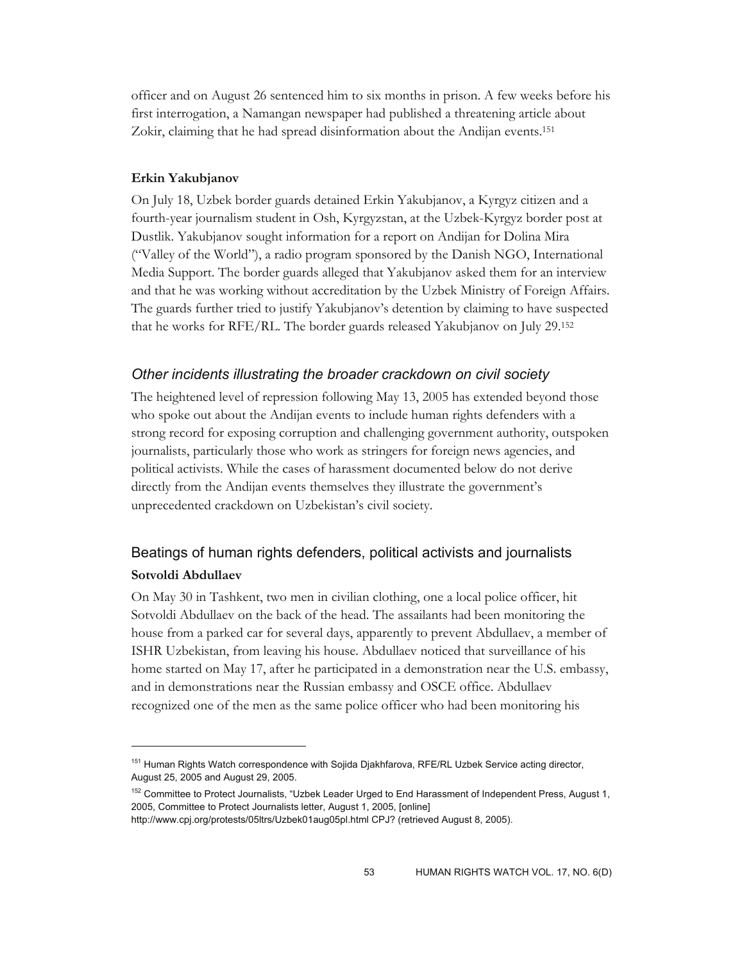officer and on August 26 sentenced him to six months in prison. A few weeks before his first interrogation, a Namangan newspaper had published a threatening article about Zokir, claiming that he had spread disinformation about the Andijan events.151

### **Erkin Yakubjanov**

 $\overline{a}$ 

On July 18, Uzbek border guards detained Erkin Yakubjanov, a Kyrgyz citizen and a fourth-year journalism student in Osh, Kyrgyzstan, at the Uzbek-Kyrgyz border post at Dustlik. Yakubjanov sought information for a report on Andijan for Dolina Mira ("Valley of the World"), a radio program sponsored by the Danish NGO, International Media Support. The border guards alleged that Yakubjanov asked them for an interview and that he was working without accreditation by the Uzbek Ministry of Foreign Affairs. The guards further tried to justify Yakubjanov's detention by claiming to have suspected that he works for RFE/RL. The border guards released Yakubjanov on July 29.152

### *Other incidents illustrating the broader crackdown on civil society*

The heightened level of repression following May 13, 2005 has extended beyond those who spoke out about the Andijan events to include human rights defenders with a strong record for exposing corruption and challenging government authority, outspoken journalists, particularly those who work as stringers for foreign news agencies, and political activists. While the cases of harassment documented below do not derive directly from the Andijan events themselves they illustrate the government's unprecedented crackdown on Uzbekistan's civil society.

# Beatings of human rights defenders, political activists and journalists **Sotvoldi Abdullaev**

On May 30 in Tashkent, two men in civilian clothing, one a local police officer, hit Sotvoldi Abdullaev on the back of the head. The assailants had been monitoring the house from a parked car for several days, apparently to prevent Abdullaev, a member of ISHR Uzbekistan, from leaving his house. Abdullaev noticed that surveillance of his home started on May 17, after he participated in a demonstration near the U.S. embassy, and in demonstrations near the Russian embassy and OSCE office. Abdullaev recognized one of the men as the same police officer who had been monitoring his

<sup>&</sup>lt;sup>151</sup> Human Rights Watch correspondence with Sojida Djakhfarova, RFE/RL Uzbek Service acting director, August 25, 2005 and August 29, 2005.

<sup>&</sup>lt;sup>152</sup> Committee to Protect Journalists, "Uzbek Leader Urged to End Harassment of Independent Press, August 1, 2005, Committee to Protect Journalists letter, August 1, 2005, [online]

http://www.cpj.org/protests/05ltrs/Uzbek01aug05pl.html CPJ? (retrieved August 8, 2005).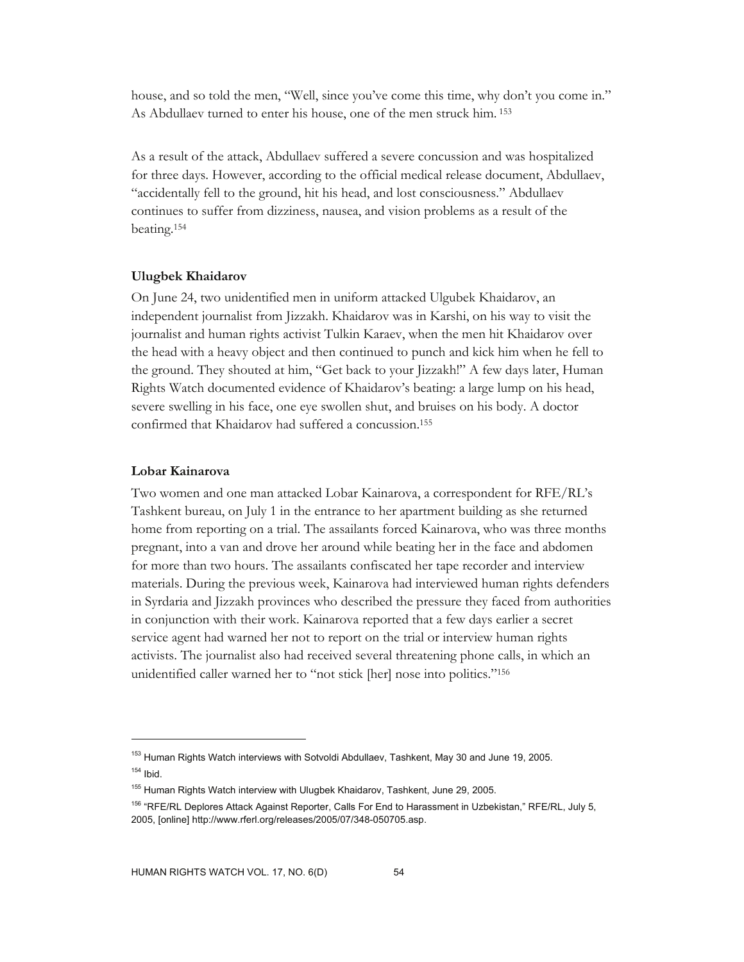house, and so told the men, "Well, since you've come this time, why don't you come in." As Abdullaev turned to enter his house, one of the men struck him. 153

As a result of the attack, Abdullaev suffered a severe concussion and was hospitalized for three days. However, according to the official medical release document, Abdullaev, "accidentally fell to the ground, hit his head, and lost consciousness." Abdullaev continues to suffer from dizziness, nausea, and vision problems as a result of the beating.154

#### **Ulugbek Khaidarov**

On June 24, two unidentified men in uniform attacked Ulgubek Khaidarov, an independent journalist from Jizzakh. Khaidarov was in Karshi, on his way to visit the journalist and human rights activist Tulkin Karaev, when the men hit Khaidarov over the head with a heavy object and then continued to punch and kick him when he fell to the ground. They shouted at him, "Get back to your Jizzakh!" A few days later, Human Rights Watch documented evidence of Khaidarov's beating: a large lump on his head, severe swelling in his face, one eye swollen shut, and bruises on his body. A doctor confirmed that Khaidarov had suffered a concussion.155

#### **Lobar Kainarova**

 $\overline{a}$ 

Two women and one man attacked Lobar Kainarova, a correspondent for RFE/RL's Tashkent bureau, on July 1 in the entrance to her apartment building as she returned home from reporting on a trial. The assailants forced Kainarova, who was three months pregnant, into a van and drove her around while beating her in the face and abdomen for more than two hours. The assailants confiscated her tape recorder and interview materials. During the previous week, Kainarova had interviewed human rights defenders in Syrdaria and Jizzakh provinces who described the pressure they faced from authorities in conjunction with their work. Kainarova reported that a few days earlier a secret service agent had warned her not to report on the trial or interview human rights activists. The journalist also had received several threatening phone calls, in which an unidentified caller warned her to "not stick [her] nose into politics."156

<sup>&</sup>lt;sup>153</sup> Human Rights Watch interviews with Sotvoldi Abdullaev, Tashkent, May 30 and June 19, 2005.  $154$  Ibid.

<sup>&</sup>lt;sup>155</sup> Human Rights Watch interview with Ulugbek Khaidarov, Tashkent, June 29, 2005.

<sup>&</sup>lt;sup>156</sup> "RFE/RL Deplores Attack Against Reporter, Calls For End to Harassment in Uzbekistan," RFE/RL, July 5, 2005, [online] http://www.rferl.org/releases/2005/07/348-050705.asp.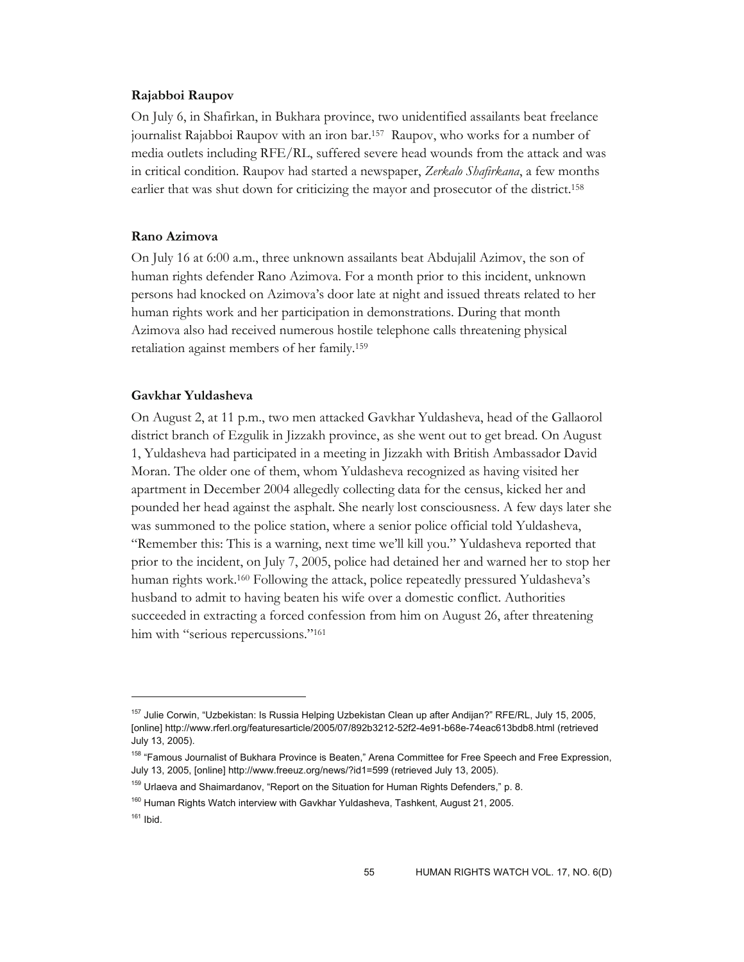#### **Rajabboi Raupov**

On July 6, in Shafirkan, in Bukhara province, two unidentified assailants beat freelance journalist Rajabboi Raupov with an iron bar.157 Raupov, who works for a number of media outlets including RFE/RL, suffered severe head wounds from the attack and was in critical condition. Raupov had started a newspaper, *Zerkalo Shafirkana*, a few months earlier that was shut down for criticizing the mayor and prosecutor of the district.<sup>158</sup>

#### **Rano Azimova**

On July 16 at 6:00 a.m., three unknown assailants beat Abdujalil Azimov, the son of human rights defender Rano Azimova. For a month prior to this incident, unknown persons had knocked on Azimova's door late at night and issued threats related to her human rights work and her participation in demonstrations. During that month Azimova also had received numerous hostile telephone calls threatening physical retaliation against members of her family.159

### **Gavkhar Yuldasheva**

On August 2, at 11 p.m., two men attacked Gavkhar Yuldasheva, head of the Gallaorol district branch of Ezgulik in Jizzakh province, as she went out to get bread. On August 1, Yuldasheva had participated in a meeting in Jizzakh with British Ambassador David Moran. The older one of them, whom Yuldasheva recognized as having visited her apartment in December 2004 allegedly collecting data for the census, kicked her and pounded her head against the asphalt. She nearly lost consciousness. A few days later she was summoned to the police station, where a senior police official told Yuldasheva, "Remember this: This is a warning, next time we'll kill you." Yuldasheva reported that prior to the incident, on July 7, 2005, police had detained her and warned her to stop her human rights work.160 Following the attack, police repeatedly pressured Yuldasheva's husband to admit to having beaten his wife over a domestic conflict. Authorities succeeded in extracting a forced confession from him on August 26, after threatening him with "serious repercussions."<sup>161</sup>

<sup>&</sup>lt;sup>157</sup> Julie Corwin, "Uzbekistan: Is Russia Helping Uzbekistan Clean up after Andijan?" RFE/RL, July 15, 2005, [online] http://www.rferl.org/featuresarticle/2005/07/892b3212-52f2-4e91-b68e-74eac613bdb8.html (retrieved July 13, 2005).

<sup>&</sup>lt;sup>158</sup> "Famous Journalist of Bukhara Province is Beaten," Arena Committee for Free Speech and Free Expression, July 13, 2005, [online] http://www.freeuz.org/news/?id1=599 (retrieved July 13, 2005).

<sup>&</sup>lt;sup>159</sup> Urlaeva and Shaimardanov, "Report on the Situation for Human Rights Defenders," p. 8.

 $160$  Human Rights Watch interview with Gavkhar Yuldasheva, Tashkent, August 21, 2005.

 $161$  Ibid.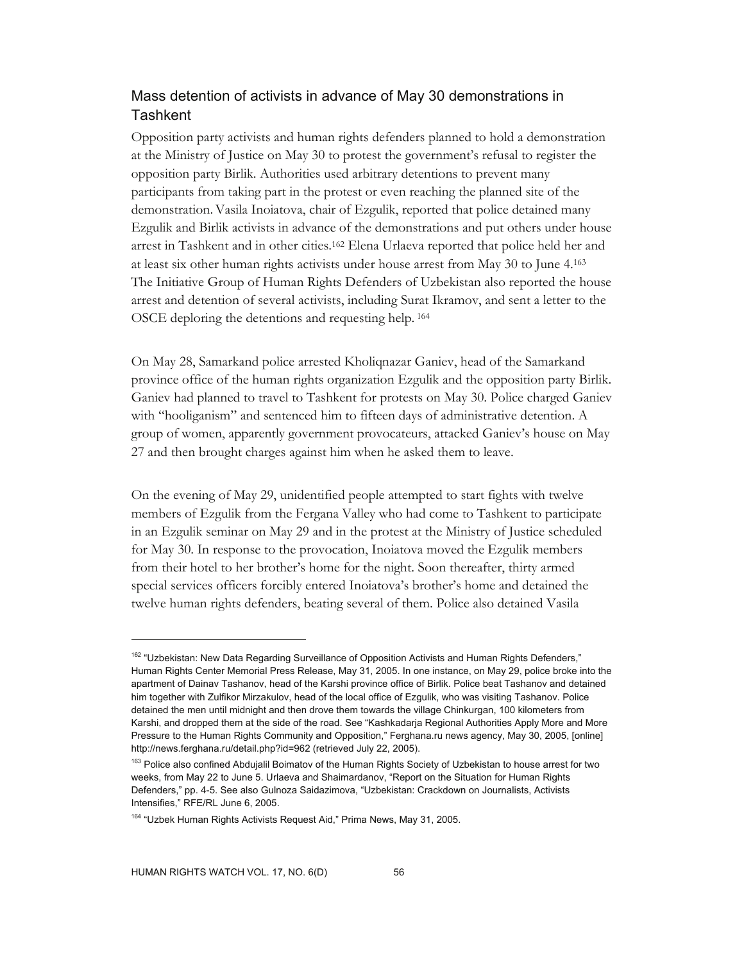# Mass detention of activists in advance of May 30 demonstrations in **Tashkent**

Opposition party activists and human rights defenders planned to hold a demonstration at the Ministry of Justice on May 30 to protest the government's refusal to register the opposition party Birlik. Authorities used arbitrary detentions to prevent many participants from taking part in the protest or even reaching the planned site of the demonstration.Vasila Inoiatova, chair of Ezgulik, reported that police detained many Ezgulik and Birlik activists in advance of the demonstrations and put others under house arrest in Tashkent and in other cities.162 Elena Urlaeva reported that police held her and at least six other human rights activists under house arrest from May 30 to June 4.163 The Initiative Group of Human Rights Defenders of Uzbekistan also reported the house arrest and detention of several activists, including Surat Ikramov, and sent a letter to the OSCE deploring the detentions and requesting help. 164

On May 28, Samarkand police arrested Kholiqnazar Ganiev, head of the Samarkand province office of the human rights organization Ezgulik and the opposition party Birlik. Ganiev had planned to travel to Tashkent for protests on May 30. Police charged Ganiev with "hooliganism" and sentenced him to fifteen days of administrative detention. A group of women, apparently government provocateurs, attacked Ganiev's house on May 27 and then brought charges against him when he asked them to leave.

On the evening of May 29, unidentified people attempted to start fights with twelve members of Ezgulik from the Fergana Valley who had come to Tashkent to participate in an Ezgulik seminar on May 29 and in the protest at the Ministry of Justice scheduled for May 30. In response to the provocation, Inoiatova moved the Ezgulik members from their hotel to her brother's home for the night. Soon thereafter, thirty armed special services officers forcibly entered Inoiatova's brother's home and detained the twelve human rights defenders, beating several of them. Police also detained Vasila

<sup>&</sup>lt;sup>162</sup> "Uzbekistan: New Data Regarding Surveillance of Opposition Activists and Human Rights Defenders," Human Rights Center Memorial Press Release, May 31, 2005. In one instance, on May 29, police broke into the apartment of Dainav Tashanov, head of the Karshi province office of Birlik. Police beat Tashanov and detained him together with Zulfikor Mirzakulov, head of the local office of Ezgulik, who was visiting Tashanov. Police detained the men until midnight and then drove them towards the village Chinkurgan, 100 kilometers from Karshi, and dropped them at the side of the road. See "Kashkadarja Regional Authorities Apply More and More Pressure to the Human Rights Community and Opposition," Ferghana.ru news agency, May 30, 2005, [online] http://news.ferghana.ru/detail.php?id=962 (retrieved July 22, 2005).

<sup>&</sup>lt;sup>163</sup> Police also confined Abdujalil Boimatov of the Human Rights Society of Uzbekistan to house arrest for two weeks, from May 22 to June 5. Urlaeva and Shaimardanov, "Report on the Situation for Human Rights Defenders," pp. 4-5. See also Gulnoza Saidazimova, "Uzbekistan: Crackdown on Journalists, Activists Intensifies," RFE/RL June 6, 2005.

<sup>&</sup>lt;sup>164</sup> "Uzbek Human Rights Activists Request Aid," Prima News, May 31, 2005.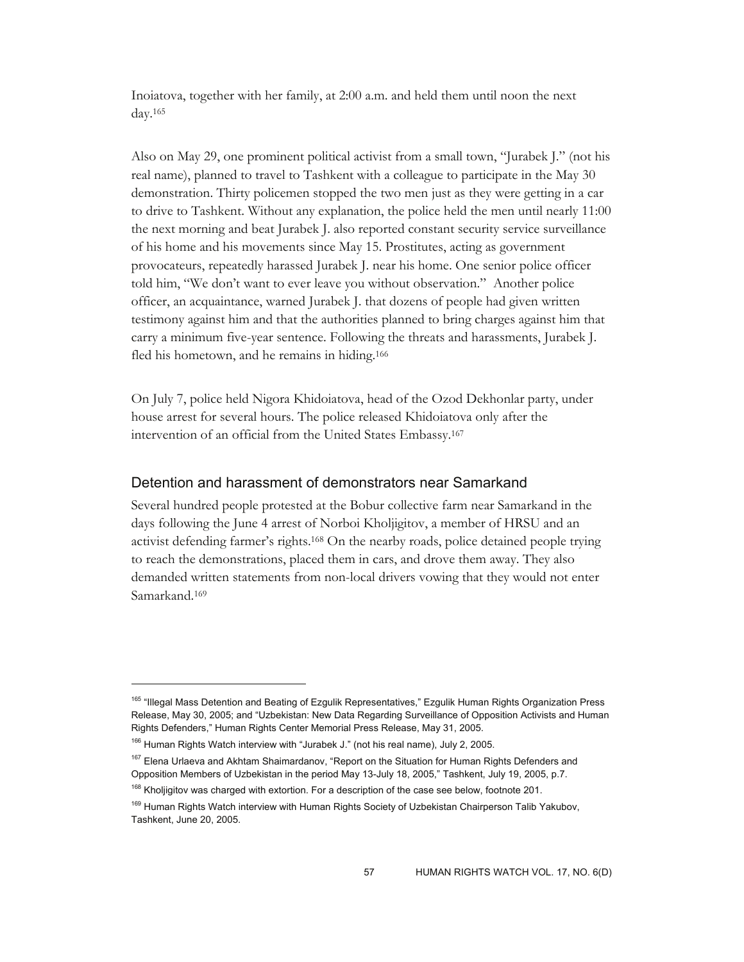Inoiatova, together with her family, at 2:00 a.m. and held them until noon the next day.165

Also on May 29, one prominent political activist from a small town, "Jurabek J." (not his real name), planned to travel to Tashkent with a colleague to participate in the May 30 demonstration. Thirty policemen stopped the two men just as they were getting in a car to drive to Tashkent. Without any explanation, the police held the men until nearly 11:00 the next morning and beat Jurabek J. also reported constant security service surveillance of his home and his movements since May 15. Prostitutes, acting as government provocateurs, repeatedly harassed Jurabek J. near his home. One senior police officer told him, "We don't want to ever leave you without observation." Another police officer, an acquaintance, warned Jurabek J. that dozens of people had given written testimony against him and that the authorities planned to bring charges against him that carry a minimum five-year sentence. Following the threats and harassments, Jurabek J. fled his hometown, and he remains in hiding.<sup>166</sup>

On July 7, police held Nigora Khidoiatova, head of the Ozod Dekhonlar party, under house arrest for several hours. The police released Khidoiatova only after the intervention of an official from the United States Embassy.167

## Detention and harassment of demonstrators near Samarkand

Several hundred people protested at the Bobur collective farm near Samarkand in the days following the June 4 arrest of Norboi Kholjigitov, a member of HRSU and an activist defending farmer's rights.168 On the nearby roads, police detained people trying to reach the demonstrations, placed them in cars, and drove them away. They also demanded written statements from non-local drivers vowing that they would not enter Samarkand.169

-

<sup>&</sup>lt;sup>165</sup> "Illegal Mass Detention and Beating of Ezgulik Representatives," Ezgulik Human Rights Organization Press Release, May 30, 2005; and "Uzbekistan: New Data Regarding Surveillance of Opposition Activists and Human Rights Defenders," Human Rights Center Memorial Press Release, May 31, 2005.

<sup>&</sup>lt;sup>166</sup> Human Rights Watch interview with "Jurabek J." (not his real name), July 2, 2005.

<sup>&</sup>lt;sup>167</sup> Elena Urlaeva and Akhtam Shaimardanov, "Report on the Situation for Human Rights Defenders and Opposition Members of Uzbekistan in the period May 13-July 18, 2005," Tashkent, July 19, 2005, p.7.

<sup>&</sup>lt;sup>168</sup> Kholjigitov was charged with extortion. For a description of the case see below, footnote 201.

<sup>&</sup>lt;sup>169</sup> Human Rights Watch interview with Human Rights Society of Uzbekistan Chairperson Talib Yakubov, Tashkent, June 20, 2005.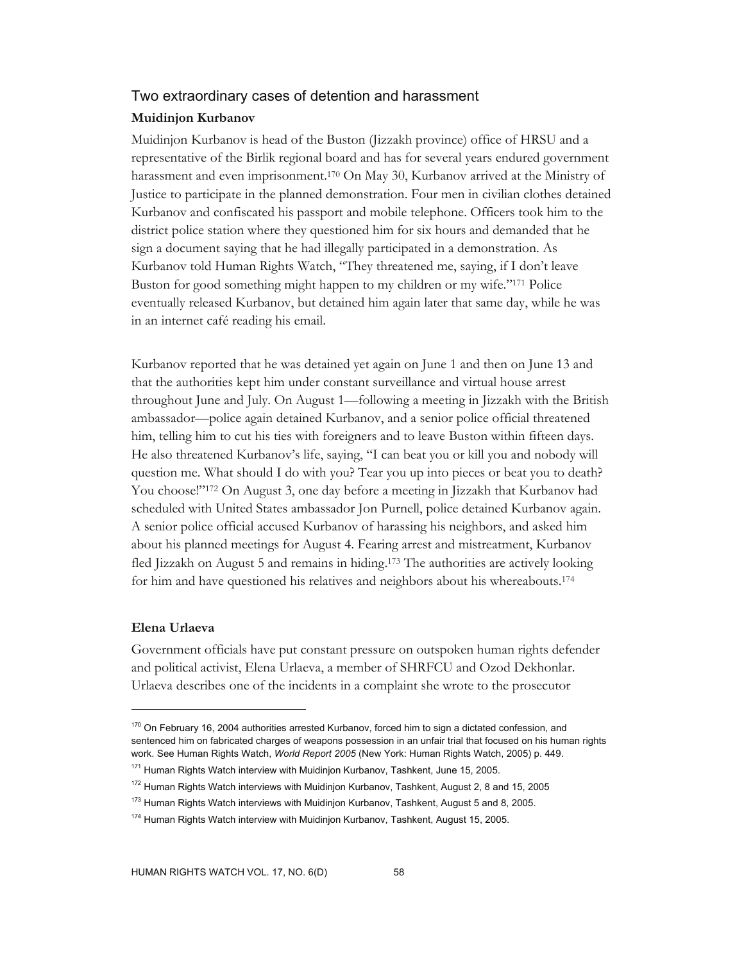### Two extraordinary cases of detention and harassment

### **Muidinjon Kurbanov**

Muidinjon Kurbanov is head of the Buston (Jizzakh province) office of HRSU and a representative of the Birlik regional board and has for several years endured government harassment and even imprisonment.170 On May 30, Kurbanov arrived at the Ministry of Justice to participate in the planned demonstration. Four men in civilian clothes detained Kurbanov and confiscated his passport and mobile telephone. Officers took him to the district police station where they questioned him for six hours and demanded that he sign a document saying that he had illegally participated in a demonstration. As Kurbanov told Human Rights Watch, "They threatened me, saying, if I don't leave Buston for good something might happen to my children or my wife."171 Police eventually released Kurbanov, but detained him again later that same day, while he was in an internet café reading his email.

Kurbanov reported that he was detained yet again on June 1 and then on June 13 and that the authorities kept him under constant surveillance and virtual house arrest throughout June and July. On August 1—following a meeting in Jizzakh with the British ambassador—police again detained Kurbanov, and a senior police official threatened him, telling him to cut his ties with foreigners and to leave Buston within fifteen days. He also threatened Kurbanov's life, saying, "I can beat you or kill you and nobody will question me. What should I do with you? Tear you up into pieces or beat you to death? You choose!"172 On August 3, one day before a meeting in Jizzakh that Kurbanov had scheduled with United States ambassador Jon Purnell, police detained Kurbanov again. A senior police official accused Kurbanov of harassing his neighbors, and asked him about his planned meetings for August 4. Fearing arrest and mistreatment, Kurbanov fled Jizzakh on August 5 and remains in hiding.173 The authorities are actively looking for him and have questioned his relatives and neighbors about his whereabouts.174

### **Elena Urlaeva**

-

Government officials have put constant pressure on outspoken human rights defender and political activist, Elena Urlaeva, a member of SHRFCU and Ozod Dekhonlar. Urlaeva describes one of the incidents in a complaint she wrote to the prosecutor

<sup>&</sup>lt;sup>170</sup> On February 16, 2004 authorities arrested Kurbanov, forced him to sign a dictated confession, and sentenced him on fabricated charges of weapons possession in an unfair trial that focused on his human rights work. See Human Rights Watch, *World Report 2005* (New York: Human Rights Watch, 2005) p. 449.

<sup>&</sup>lt;sup>171</sup> Human Rights Watch interview with Muidinjon Kurbanov, Tashkent, June 15, 2005.

 $172$  Human Rights Watch interviews with Muidinjon Kurbanov, Tashkent, August 2, 8 and 15, 2005

<sup>&</sup>lt;sup>173</sup> Human Rights Watch interviews with Muidinjon Kurbanov, Tashkent, August 5 and 8, 2005.

<sup>&</sup>lt;sup>174</sup> Human Rights Watch interview with Muidinjon Kurbanov, Tashkent, August 15, 2005.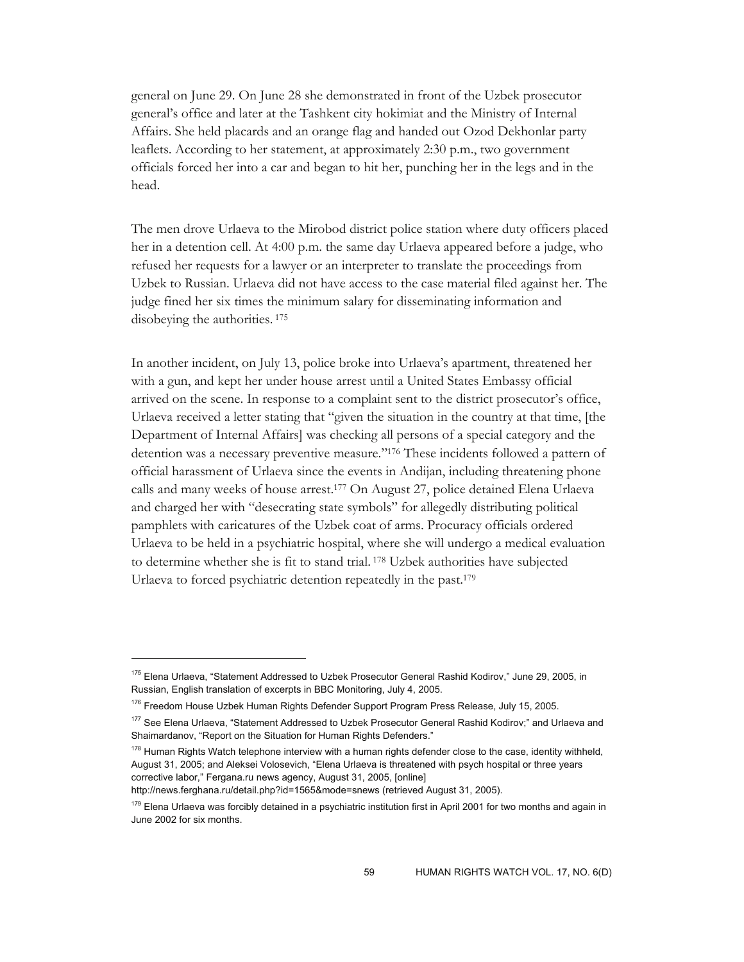general on June 29. On June 28 she demonstrated in front of the Uzbek prosecutor general's office and later at the Tashkent city hokimiat and the Ministry of Internal Affairs. She held placards and an orange flag and handed out Ozod Dekhonlar party leaflets. According to her statement, at approximately 2:30 p.m., two government officials forced her into a car and began to hit her, punching her in the legs and in the head.

The men drove Urlaeva to the Mirobod district police station where duty officers placed her in a detention cell. At 4:00 p.m. the same day Urlaeva appeared before a judge, who refused her requests for a lawyer or an interpreter to translate the proceedings from Uzbek to Russian. Urlaeva did not have access to the case material filed against her. The judge fined her six times the minimum salary for disseminating information and disobeying the authorities.  $175$ 

In another incident, on July 13, police broke into Urlaeva's apartment, threatened her with a gun, and kept her under house arrest until a United States Embassy official arrived on the scene. In response to a complaint sent to the district prosecutor's office, Urlaeva received a letter stating that "given the situation in the country at that time, [the Department of Internal Affairs] was checking all persons of a special category and the detention was a necessary preventive measure."176 These incidents followed a pattern of official harassment of Urlaeva since the events in Andijan, including threatening phone calls and many weeks of house arrest.177 On August 27, police detained Elena Urlaeva and charged her with "desecrating state symbols" for allegedly distributing political pamphlets with caricatures of the Uzbek coat of arms. Procuracy officials ordered Urlaeva to be held in a psychiatric hospital, where she will undergo a medical evaluation to determine whether she is fit to stand trial. 178 Uzbek authorities have subjected Urlaeva to forced psychiatric detention repeatedly in the past.179

http://news.ferghana.ru/detail.php?id=1565&mode=snews (retrieved August 31, 2005).

<sup>175</sup> Elena Urlaeva, "Statement Addressed to Uzbek Prosecutor General Rashid Kodirov," June 29, 2005, in Russian, English translation of excerpts in BBC Monitoring, July 4, 2005.

<sup>&</sup>lt;sup>176</sup> Freedom House Uzbek Human Rights Defender Support Program Press Release, July 15, 2005.

<sup>&</sup>lt;sup>177</sup> See Elena Urlaeva, "Statement Addressed to Uzbek Prosecutor General Rashid Kodirov;" and Urlaeva and Shaimardanov, "Report on the Situation for Human Rights Defenders."

<sup>&</sup>lt;sup>178</sup> Human Rights Watch telephone interview with a human rights defender close to the case, identity withheld, August 31, 2005; and Aleksei Volosevich, "Elena Urlaeva is threatened with psych hospital or three years corrective labor," Fergana.ru news agency, August 31, 2005, [online]

 $179$  Elena Urlaeva was forcibly detained in a psychiatric institution first in April 2001 for two months and again in June 2002 for six months.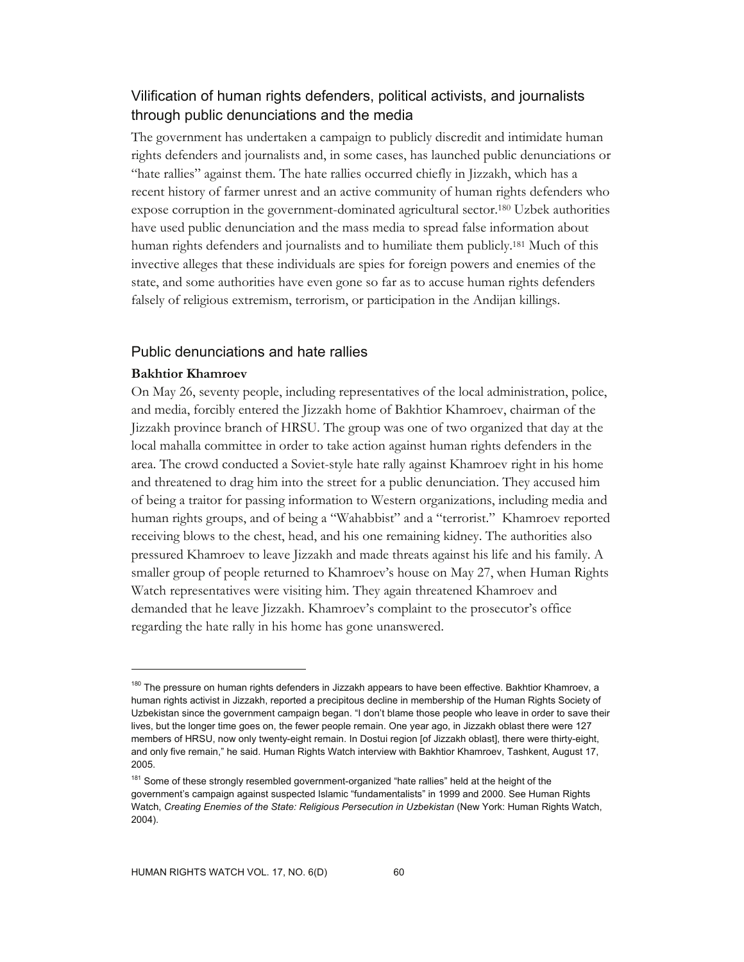# Vilification of human rights defenders, political activists, and journalists through public denunciations and the media

The government has undertaken a campaign to publicly discredit and intimidate human rights defenders and journalists and, in some cases, has launched public denunciations or "hate rallies" against them. The hate rallies occurred chiefly in Jizzakh, which has a recent history of farmer unrest and an active community of human rights defenders who expose corruption in the government-dominated agricultural sector.180 Uzbek authorities have used public denunciation and the mass media to spread false information about human rights defenders and journalists and to humiliate them publicly.181 Much of this invective alleges that these individuals are spies for foreign powers and enemies of the state, and some authorities have even gone so far as to accuse human rights defenders falsely of religious extremism, terrorism, or participation in the Andijan killings.

## Public denunciations and hate rallies

## **Bakhtior Khamroev**

 $\overline{a}$ 

On May 26, seventy people, including representatives of the local administration, police, and media, forcibly entered the Jizzakh home of Bakhtior Khamroev, chairman of the Jizzakh province branch of HRSU. The group was one of two organized that day at the local mahalla committee in order to take action against human rights defenders in the area. The crowd conducted a Soviet-style hate rally against Khamroev right in his home and threatened to drag him into the street for a public denunciation. They accused him of being a traitor for passing information to Western organizations, including media and human rights groups, and of being a "Wahabbist" and a "terrorist." Khamroev reported receiving blows to the chest, head, and his one remaining kidney. The authorities also pressured Khamroev to leave Jizzakh and made threats against his life and his family. A smaller group of people returned to Khamroev's house on May 27, when Human Rights Watch representatives were visiting him. They again threatened Khamroev and demanded that he leave Jizzakh. Khamroev's complaint to the prosecutor's office regarding the hate rally in his home has gone unanswered.

<sup>&</sup>lt;sup>180</sup> The pressure on human rights defenders in Jizzakh appears to have been effective. Bakhtior Khamroev, a human rights activist in Jizzakh, reported a precipitous decline in membership of the Human Rights Society of Uzbekistan since the government campaign began. "I don't blame those people who leave in order to save their lives, but the longer time goes on, the fewer people remain. One year ago, in Jizzakh oblast there were 127 members of HRSU, now only twenty-eight remain. In Dostui region [of Jizzakh oblast], there were thirty-eight, and only five remain," he said. Human Rights Watch interview with Bakhtior Khamroev, Tashkent, August 17, 2005.

<sup>&</sup>lt;sup>181</sup> Some of these strongly resembled government-organized "hate rallies" held at the height of the government's campaign against suspected Islamic "fundamentalists" in 1999 and 2000. See Human Rights Watch, *Creating Enemies of the State: Religious Persecution in Uzbekistan* (New York: Human Rights Watch, 2004).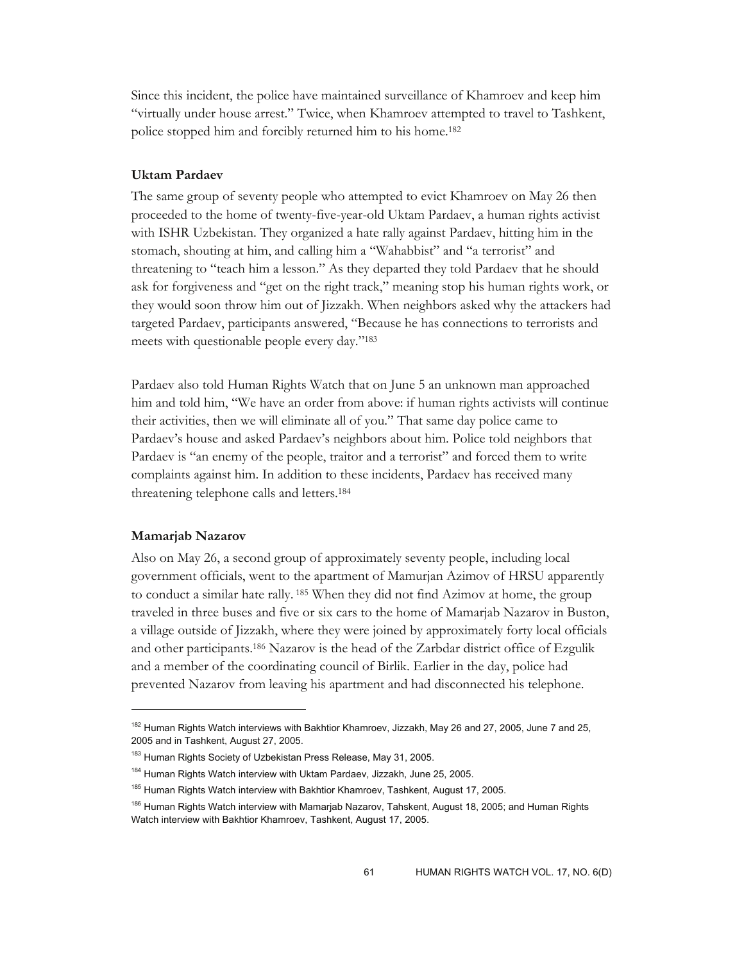Since this incident, the police have maintained surveillance of Khamroev and keep him "virtually under house arrest." Twice, when Khamroev attempted to travel to Tashkent, police stopped him and forcibly returned him to his home.182

### **Uktam Pardaev**

The same group of seventy people who attempted to evict Khamroev on May 26 then proceeded to the home of twenty-five-year-old Uktam Pardaev, a human rights activist with ISHR Uzbekistan. They organized a hate rally against Pardaev, hitting him in the stomach, shouting at him, and calling him a "Wahabbist" and "a terrorist" and threatening to "teach him a lesson." As they departed they told Pardaev that he should ask for forgiveness and "get on the right track," meaning stop his human rights work, or they would soon throw him out of Jizzakh. When neighbors asked why the attackers had targeted Pardaev, participants answered, "Because he has connections to terrorists and meets with questionable people every day."183

Pardaev also told Human Rights Watch that on June 5 an unknown man approached him and told him, "We have an order from above: if human rights activists will continue their activities, then we will eliminate all of you." That same day police came to Pardaev's house and asked Pardaev's neighbors about him. Police told neighbors that Pardaev is "an enemy of the people, traitor and a terrorist" and forced them to write complaints against him. In addition to these incidents, Pardaev has received many threatening telephone calls and letters.184

#### **Mamarjab Nazarov**

-

Also on May 26, a second group of approximately seventy people, including local government officials, went to the apartment of Mamurjan Azimov of HRSU apparently to conduct a similar hate rally. 185 When they did not find Azimov at home, the group traveled in three buses and five or six cars to the home of Mamarjab Nazarov in Buston, a village outside of Jizzakh, where they were joined by approximately forty local officials and other participants.186 Nazarov is the head of the Zarbdar district office of Ezgulik and a member of the coordinating council of Birlik. Earlier in the day, police had prevented Nazarov from leaving his apartment and had disconnected his telephone.

<sup>&</sup>lt;sup>182</sup> Human Rights Watch interviews with Bakhtior Khamroev, Jizzakh, May 26 and 27, 2005, June 7 and 25, 2005 and in Tashkent, August 27, 2005.

<sup>&</sup>lt;sup>183</sup> Human Rights Society of Uzbekistan Press Release, May 31, 2005.

<sup>&</sup>lt;sup>184</sup> Human Rights Watch interview with Uktam Pardaev, Jizzakh, June 25, 2005.

<sup>&</sup>lt;sup>185</sup> Human Rights Watch interview with Bakhtior Khamroev, Tashkent, August 17, 2005.

<sup>&</sup>lt;sup>186</sup> Human Rights Watch interview with Mamarjab Nazarov, Tahskent, August 18, 2005; and Human Rights Watch interview with Bakhtior Khamroev, Tashkent, August 17, 2005.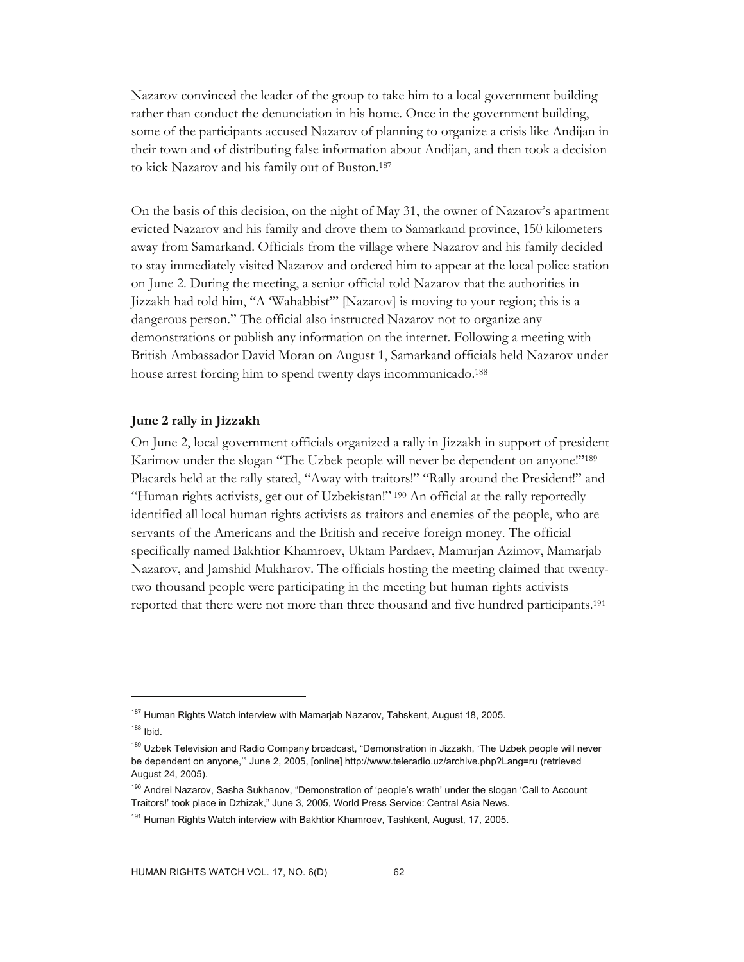Nazarov convinced the leader of the group to take him to a local government building rather than conduct the denunciation in his home. Once in the government building, some of the participants accused Nazarov of planning to organize a crisis like Andijan in their town and of distributing false information about Andijan, and then took a decision to kick Nazarov and his family out of Buston.187

On the basis of this decision, on the night of May 31, the owner of Nazarov's apartment evicted Nazarov and his family and drove them to Samarkand province, 150 kilometers away from Samarkand. Officials from the village where Nazarov and his family decided to stay immediately visited Nazarov and ordered him to appear at the local police station on June 2. During the meeting, a senior official told Nazarov that the authorities in Jizzakh had told him, "A 'Wahabbist'" [Nazarov] is moving to your region; this is a dangerous person." The official also instructed Nazarov not to organize any demonstrations or publish any information on the internet. Following a meeting with British Ambassador David Moran on August 1, Samarkand officials held Nazarov under house arrest forcing him to spend twenty days incommunicado.188

#### **June 2 rally in Jizzakh**

On June 2, local government officials organized a rally in Jizzakh in support of president Karimov under the slogan "The Uzbek people will never be dependent on anyone!"<sup>189</sup> Placards held at the rally stated, "Away with traitors!" "Rally around the President!" and "Human rights activists, get out of Uzbekistan!" 190 An official at the rally reportedly identified all local human rights activists as traitors and enemies of the people, who are servants of the Americans and the British and receive foreign money. The official specifically named Bakhtior Khamroev, Uktam Pardaev, Mamurjan Azimov, Mamarjab Nazarov, and Jamshid Mukharov. The officials hosting the meeting claimed that twentytwo thousand people were participating in the meeting but human rights activists reported that there were not more than three thousand and five hundred participants.191

-

<sup>&</sup>lt;sup>187</sup> Human Rights Watch interview with Mamarjab Nazarov, Tahskent, August 18, 2005.

<sup>188</sup> Ibid.

<sup>189</sup> Uzbek Television and Radio Company broadcast, "Demonstration in Jizzakh, 'The Uzbek people will never be dependent on anyone,'" June 2, 2005, [online] http://www.teleradio.uz/archive.php?Lang=ru (retrieved August 24, 2005).

<sup>&</sup>lt;sup>190</sup> Andrei Nazarov, Sasha Sukhanov, "Demonstration of 'people's wrath' under the slogan 'Call to Account Traitors!' took place in Dzhizak," June 3, 2005, World Press Service: Central Asia News.

<sup>&</sup>lt;sup>191</sup> Human Rights Watch interview with Bakhtior Khamroev, Tashkent, August, 17, 2005.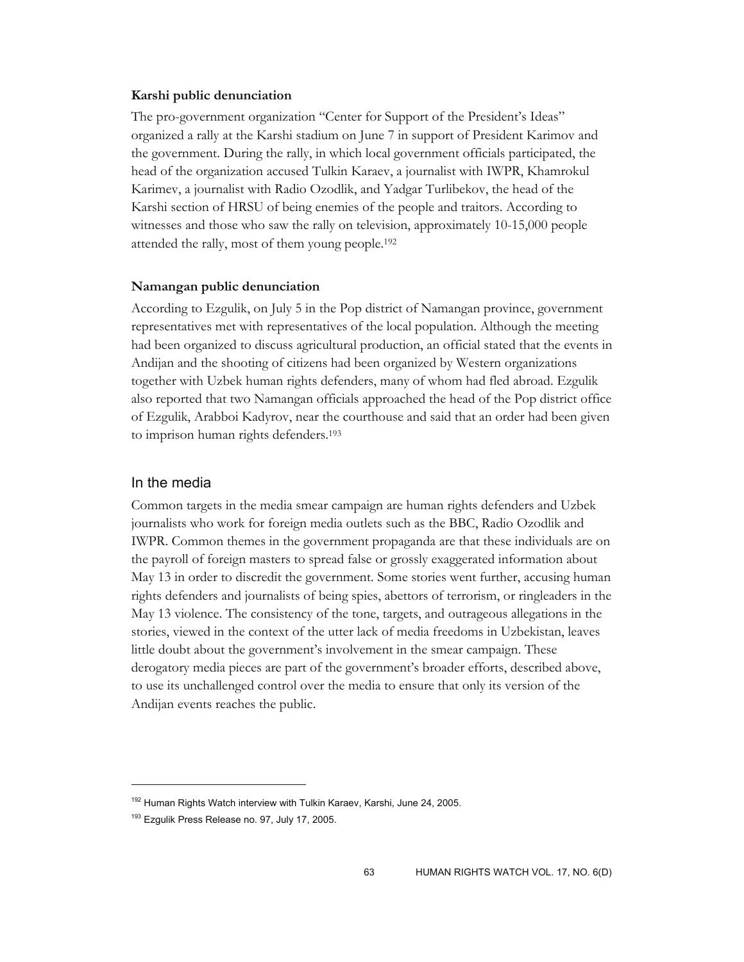#### **Karshi public denunciation**

The pro-government organization "Center for Support of the President's Ideas" organized a rally at the Karshi stadium on June 7 in support of President Karimov and the government. During the rally, in which local government officials participated, the head of the organization accused Tulkin Karaev, a journalist with IWPR, Khamrokul Karimev, a journalist with Radio Ozodlik, and Yadgar Turlibekov, the head of the Karshi section of HRSU of being enemies of the people and traitors. According to witnesses and those who saw the rally on television, approximately 10-15,000 people attended the rally, most of them young people.192

#### **Namangan public denunciation**

According to Ezgulik, on July 5 in the Pop district of Namangan province, government representatives met with representatives of the local population. Although the meeting had been organized to discuss agricultural production, an official stated that the events in Andijan and the shooting of citizens had been organized by Western organizations together with Uzbek human rights defenders, many of whom had fled abroad. Ezgulik also reported that two Namangan officials approached the head of the Pop district office of Ezgulik, Arabboi Kadyrov, near the courthouse and said that an order had been given to imprison human rights defenders.193

### In the media

 $\overline{a}$ 

Common targets in the media smear campaign are human rights defenders and Uzbek journalists who work for foreign media outlets such as the BBC, Radio Ozodlik and IWPR. Common themes in the government propaganda are that these individuals are on the payroll of foreign masters to spread false or grossly exaggerated information about May 13 in order to discredit the government. Some stories went further, accusing human rights defenders and journalists of being spies, abettors of terrorism, or ringleaders in the May 13 violence. The consistency of the tone, targets, and outrageous allegations in the stories, viewed in the context of the utter lack of media freedoms in Uzbekistan, leaves little doubt about the government's involvement in the smear campaign. These derogatory media pieces are part of the government's broader efforts, described above, to use its unchallenged control over the media to ensure that only its version of the Andijan events reaches the public.

<sup>&</sup>lt;sup>192</sup> Human Rights Watch interview with Tulkin Karaev, Karshi, June 24, 2005.

<sup>&</sup>lt;sup>193</sup> Ezgulik Press Release no. 97, July 17, 2005.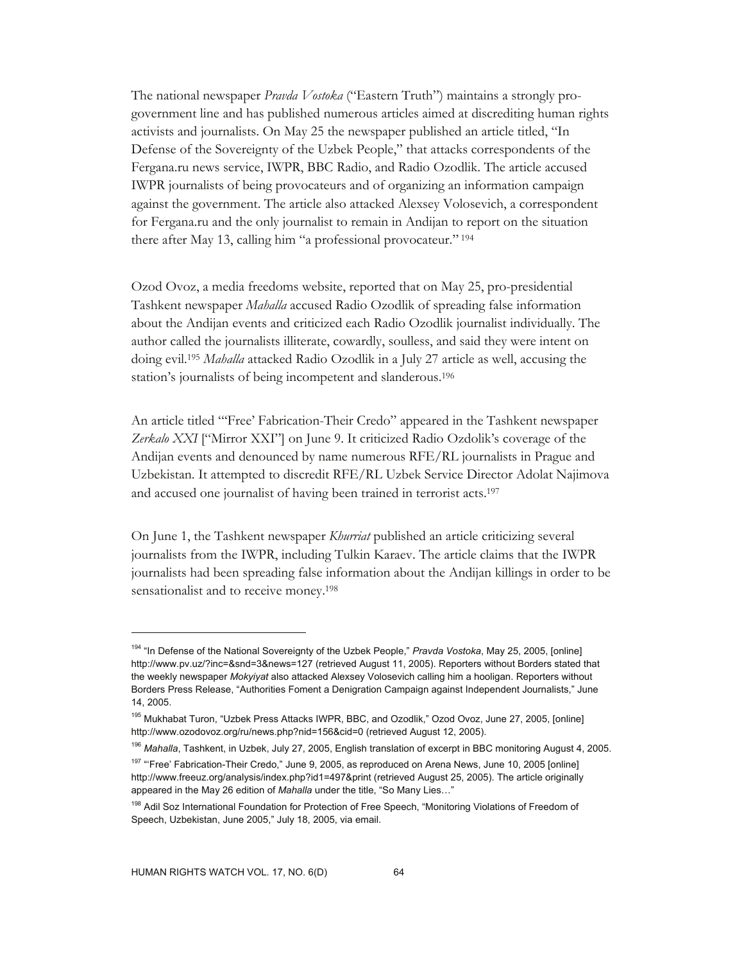The national newspaper *Pravda Vostoka* ("Eastern Truth") maintains a strongly progovernment line and has published numerous articles aimed at discrediting human rights activists and journalists. On May 25 the newspaper published an article titled, "In Defense of the Sovereignty of the Uzbek People," that attacks correspondents of the Fergana.ru news service, IWPR, BBC Radio, and Radio Ozodlik. The article accused IWPR journalists of being provocateurs and of organizing an information campaign against the government. The article also attacked Alexsey Volosevich, a correspondent for Fergana.ru and the only journalist to remain in Andijan to report on the situation there after May 13, calling him "a professional provocateur." 194

Ozod Ovoz, a media freedoms website, reported that on May 25, pro-presidential Tashkent newspaper *Mahalla* accused Radio Ozodlik of spreading false information about the Andijan events and criticized each Radio Ozodlik journalist individually. The author called the journalists illiterate, cowardly, soulless, and said they were intent on doing evil.195 *Mahalla* attacked Radio Ozodlik in a July 27 article as well, accusing the station's journalists of being incompetent and slanderous.196

An article titled "'Free' Fabrication-Their Credo" appeared in the Tashkent newspaper *Zerkalo XXI* ["Mirror XXI"] on June 9. It criticized Radio Ozdolik's coverage of the Andijan events and denounced by name numerous RFE/RL journalists in Prague and Uzbekistan. It attempted to discredit RFE/RL Uzbek Service Director Adolat Najimova and accused one journalist of having been trained in terrorist acts.197

On June 1, the Tashkent newspaper *Khurriat* published an article criticizing several journalists from the IWPR, including Tulkin Karaev. The article claims that the IWPR journalists had been spreading false information about the Andijan killings in order to be sensationalist and to receive money.198

<sup>194 &</sup>quot;In Defense of the National Sovereignty of the Uzbek People," *Pravda Vostoka*, May 25, 2005, [online] http://www.pv.uz/?inc=&snd=3&news=127 (retrieved August 11, 2005). Reporters without Borders stated that the weekly newspaper *Mokyiyat* also attacked Alexsey Volosevich calling him a hooligan. Reporters without Borders Press Release, "Authorities Foment a Denigration Campaign against Independent Journalists," June 14, 2005.

<sup>195</sup> Mukhabat Turon, "Uzbek Press Attacks IWPR, BBC, and Ozodlik," Ozod Ovoz, June 27, 2005, [online] http://www.ozodovoz.org/ru/news.php?nid=156&cid=0 (retrieved August 12, 2005).

<sup>196</sup> *Mahalla*, Tashkent, in Uzbek, July 27, 2005, English translation of excerpt in BBC monitoring August 4, 2005.

<sup>&</sup>lt;sup>197</sup> "Free' Fabrication-Their Credo," June 9, 2005, as reproduced on Arena News, June 10, 2005 [online] http://www.freeuz.org/analysis/index.php?id1=497&print (retrieved August 25, 2005). The article originally appeared in the May 26 edition of *Mahalla* under the title, "So Many Lies…"

<sup>198</sup> Adil Soz International Foundation for Protection of Free Speech, "Monitoring Violations of Freedom of Speech, Uzbekistan, June 2005," July 18, 2005, via email.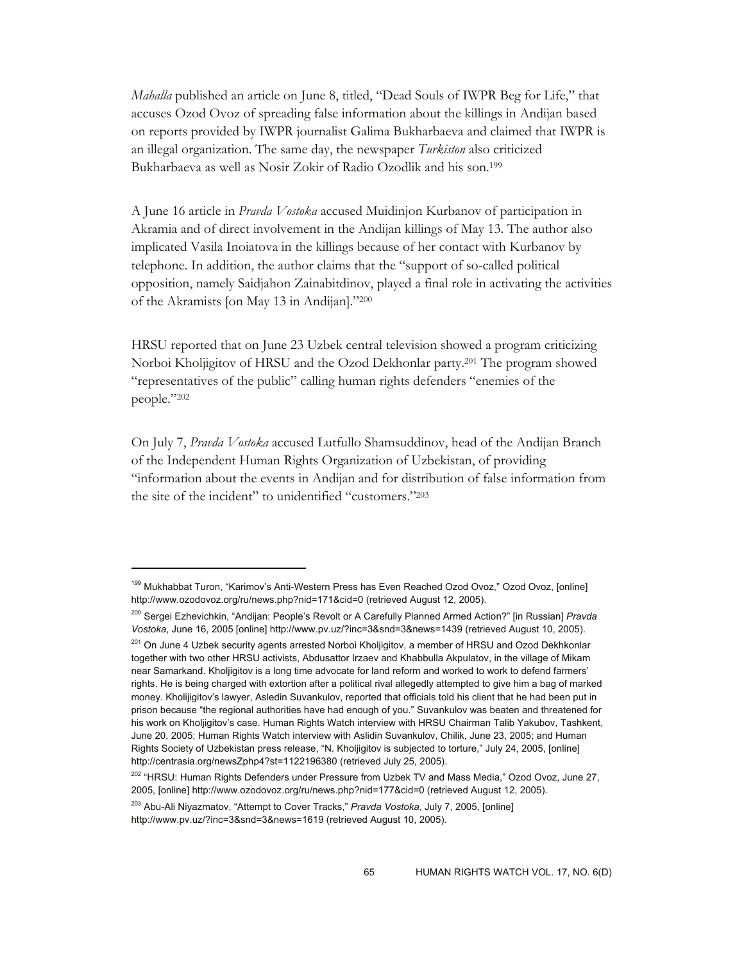*Mahalla* published an article on June 8, titled, "Dead Souls of IWPR Beg for Life," that accuses Ozod Ovoz of spreading false information about the killings in Andijan based on reports provided by IWPR journalist Galima Bukharbaeva and claimed that IWPR is an illegal organization. The same day, the newspaper *Turkiston* also criticized Bukharbaeva as well as Nosir Zokir of Radio Ozodlik and his son.199

A June 16 article in *Pravda Vostoka* accused Muidinjon Kurbanov of participation in Akramia and of direct involvement in the Andijan killings of May 13. The author also implicated Vasila Inoiatova in the killings because of her contact with Kurbanov by telephone. In addition, the author claims that the "support of so-called political opposition, namely Saidjahon Zainabitdinov, played a final role in activating the activities of the Akramists [on May 13 in Andijan]."200

HRSU reported that on June 23 Uzbek central television showed a program criticizing Norboi Kholjigitov of HRSU and the Ozod Dekhonlar party.201 The program showed "representatives of the public" calling human rights defenders "enemies of the people."202

On July 7, *Pravda Vostoka* accused Lutfullo Shamsuddinov, head of the Andijan Branch of the Independent Human Rights Organization of Uzbekistan, of providing "information about the events in Andijan and for distribution of false information from the site of the incident" to unidentified "customers."203

<sup>&</sup>lt;sup>199</sup> Mukhabbat Turon, "Karimov's Anti-Western Press has Even Reached Ozod Ovoz," Ozod Ovoz, [online] http://www.ozodovoz.org/ru/news.php?nid=171&cid=0 (retrieved August 12, 2005).

<sup>200</sup> Sergei Ezhevichkin, "Andijan: People's Revolt or A Carefully Planned Armed Action?" [in Russian] *Pravda Vostoka*, June 16, 2005 [online] http://www.pv.uz/?inc=3&snd=3&news=1439 (retrieved August 10, 2005).

<sup>&</sup>lt;sup>201</sup> On June 4 Uzbek security agents arrested Norboi Kholjigitov, a member of HRSU and Ozod Dekhkonlar together with two other HRSU activists, Abdusattor Irzaev and Khabbulla Akpulatov, in the village of Mikam near Samarkand. Kholjigitov is a long time advocate for land reform and worked to work to defend farmers' rights. He is being charged with extortion after a political rival allegedly attempted to give him a bag of marked money. Kholijigitov's lawyer, Asledin Suvankulov, reported that officials told his client that he had been put in prison because "the regional authorities have had enough of you." Suvankulov was beaten and threatened for his work on Kholjigitov's case. Human Rights Watch interview with HRSU Chairman Talib Yakubov, Tashkent, June 20, 2005; Human Rights Watch interview with Aslidin Suvankulov, Chilik, June 23, 2005; and Human Rights Society of Uzbekistan press release, "N. Kholjigitov is subjected to torture," July 24, 2005, [online] http://centrasia.org/newsZphp4?st=1122196380 (retrieved July 25, 2005).

<sup>&</sup>lt;sup>202</sup> "HRSU: Human Rights Defenders under Pressure from Uzbek TV and Mass Media," Ozod Ovoz, June 27, 2005, [online] http://www.ozodovoz.org/ru/news.php?nid=177&cid=0 (retrieved August 12, 2005).

<sup>203</sup> Abu-Ali Niyazmatov, "Attempt to Cover Tracks," *Pravda Vostoka*, July 7, 2005, [online] http://www.pv.uz/?inc=3&snd=3&news=1619 (retrieved August 10, 2005).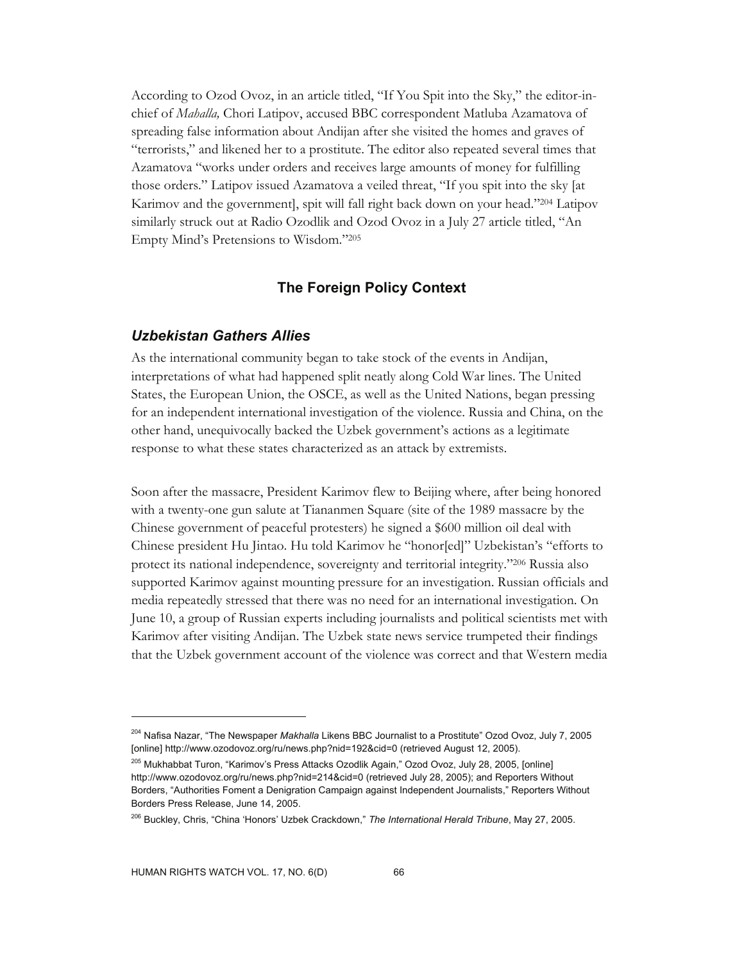According to Ozod Ovoz, in an article titled, "If You Spit into the Sky," the editor-inchief of *Mahalla,* Chori Latipov, accused BBC correspondent Matluba Azamatova of spreading false information about Andijan after she visited the homes and graves of "terrorists," and likened her to a prostitute. The editor also repeated several times that Azamatova "works under orders and receives large amounts of money for fulfilling those orders." Latipov issued Azamatova a veiled threat, "If you spit into the sky [at Karimov and the government], spit will fall right back down on your head."204 Latipov similarly struck out at Radio Ozodlik and Ozod Ovoz in a July 27 article titled, "An Empty Mind's Pretensions to Wisdom."205

# **The Foreign Policy Context**

### *Uzbekistan Gathers Allies*

As the international community began to take stock of the events in Andijan, interpretations of what had happened split neatly along Cold War lines. The United States, the European Union, the OSCE, as well as the United Nations, began pressing for an independent international investigation of the violence. Russia and China, on the other hand, unequivocally backed the Uzbek government's actions as a legitimate response to what these states characterized as an attack by extremists.

Soon after the massacre, President Karimov flew to Beijing where, after being honored with a twenty-one gun salute at Tiananmen Square (site of the 1989 massacre by the Chinese government of peaceful protesters) he signed a \$600 million oil deal with Chinese president Hu Jintao. Hu told Karimov he "honor[ed]" Uzbekistan's "efforts to protect its national independence, sovereignty and territorial integrity."206 Russia also supported Karimov against mounting pressure for an investigation. Russian officials and media repeatedly stressed that there was no need for an international investigation. On June 10, a group of Russian experts including journalists and political scientists met with Karimov after visiting Andijan. The Uzbek state news service trumpeted their findings that the Uzbek government account of the violence was correct and that Western media

<sup>204</sup> Nafisa Nazar, "The Newspaper *Makhalla* Likens BBC Journalist to a Prostitute" Ozod Ovoz, July 7, 2005 [online] http://www.ozodovoz.org/ru/news.php?nid=192&cid=0 (retrieved August 12, 2005).

<sup>205</sup> Mukhabbat Turon, "Karimov's Press Attacks Ozodlik Again," Ozod Ovoz, July 28, 2005, [online] http://www.ozodovoz.org/ru/news.php?nid=214&cid=0 (retrieved July 28, 2005); and Reporters Without Borders, "Authorities Foment a Denigration Campaign against Independent Journalists," Reporters Without Borders Press Release, June 14, 2005.

<sup>206</sup> Buckley, Chris, "China 'Honors' Uzbek Crackdown," *The International Herald Tribune*, May 27, 2005.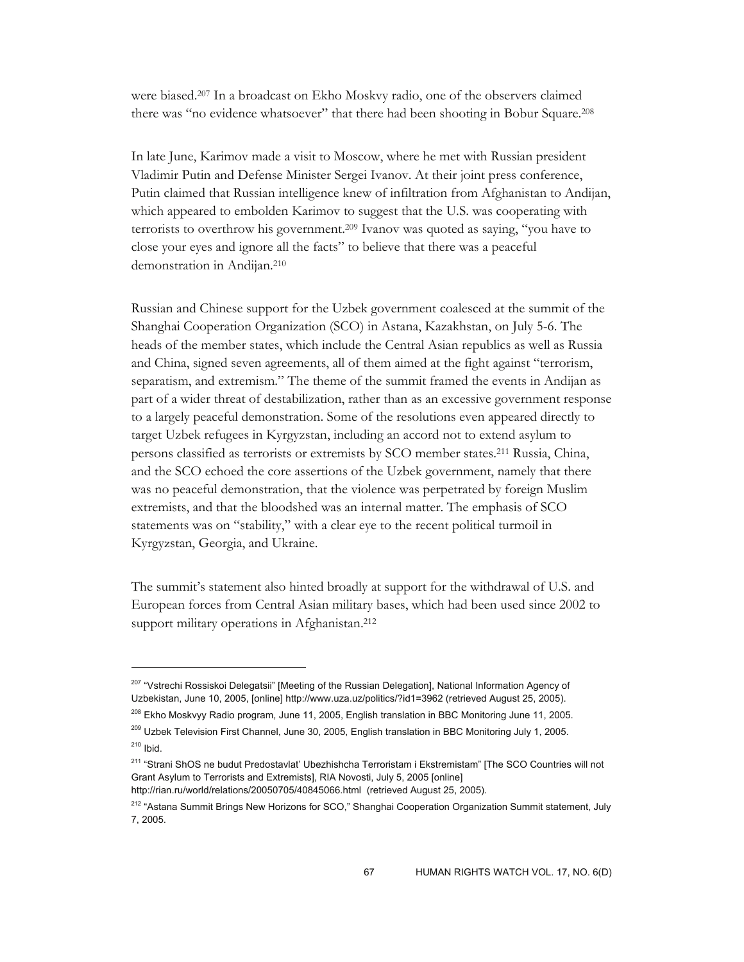were biased.207 In a broadcast on Ekho Moskvy radio, one of the observers claimed there was "no evidence whatsoever" that there had been shooting in Bobur Square.208

In late June, Karimov made a visit to Moscow, where he met with Russian president Vladimir Putin and Defense Minister Sergei Ivanov. At their joint press conference, Putin claimed that Russian intelligence knew of infiltration from Afghanistan to Andijan, which appeared to embolden Karimov to suggest that the U.S. was cooperating with terrorists to overthrow his government.209 Ivanov was quoted as saying, "you have to close your eyes and ignore all the facts" to believe that there was a peaceful demonstration in Andijan.210

Russian and Chinese support for the Uzbek government coalesced at the summit of the Shanghai Cooperation Organization (SCO) in Astana, Kazakhstan, on July 5-6. The heads of the member states, which include the Central Asian republics as well as Russia and China, signed seven agreements, all of them aimed at the fight against "terrorism, separatism, and extremism." The theme of the summit framed the events in Andijan as part of a wider threat of destabilization, rather than as an excessive government response to a largely peaceful demonstration. Some of the resolutions even appeared directly to target Uzbek refugees in Kyrgyzstan, including an accord not to extend asylum to persons classified as terrorists or extremists by SCO member states.211 Russia, China, and the SCO echoed the core assertions of the Uzbek government, namely that there was no peaceful demonstration, that the violence was perpetrated by foreign Muslim extremists, and that the bloodshed was an internal matter. The emphasis of SCO statements was on "stability," with a clear eye to the recent political turmoil in Kyrgyzstan, Georgia, and Ukraine.

The summit's statement also hinted broadly at support for the withdrawal of U.S. and European forces from Central Asian military bases, which had been used since 2002 to support military operations in Afghanistan.<sup>212</sup>

 $\overline{a}$ 

http://rian.ru/world/relations/20050705/40845066.html (retrieved August 25, 2005).

<sup>&</sup>lt;sup>207</sup> "Vstrechi Rossiskoi Delegatsii" [Meeting of the Russian Delegation], National Information Agency of Uzbekistan, June 10, 2005, [online] http://www.uza.uz/politics/?id1=3962 (retrieved August 25, 2005).

<sup>&</sup>lt;sup>208</sup> Ekho Moskvyy Radio program, June 11, 2005, English translation in BBC Monitoring June 11, 2005.

<sup>&</sup>lt;sup>209</sup> Uzbek Television First Channel, June 30, 2005, English translation in BBC Monitoring July 1, 2005.

 $210$  Ibid.

<sup>&</sup>lt;sup>211</sup> "Strani ShOS ne budut Predostavlat' Ubezhishcha Terroristam i Ekstremistam" [The SCO Countries will not Grant Asylum to Terrorists and Extremists], RIA Novosti, July 5, 2005 [online]

<sup>&</sup>lt;sup>212</sup> "Astana Summit Brings New Horizons for SCO," Shanghai Cooperation Organization Summit statement, July 7, 2005.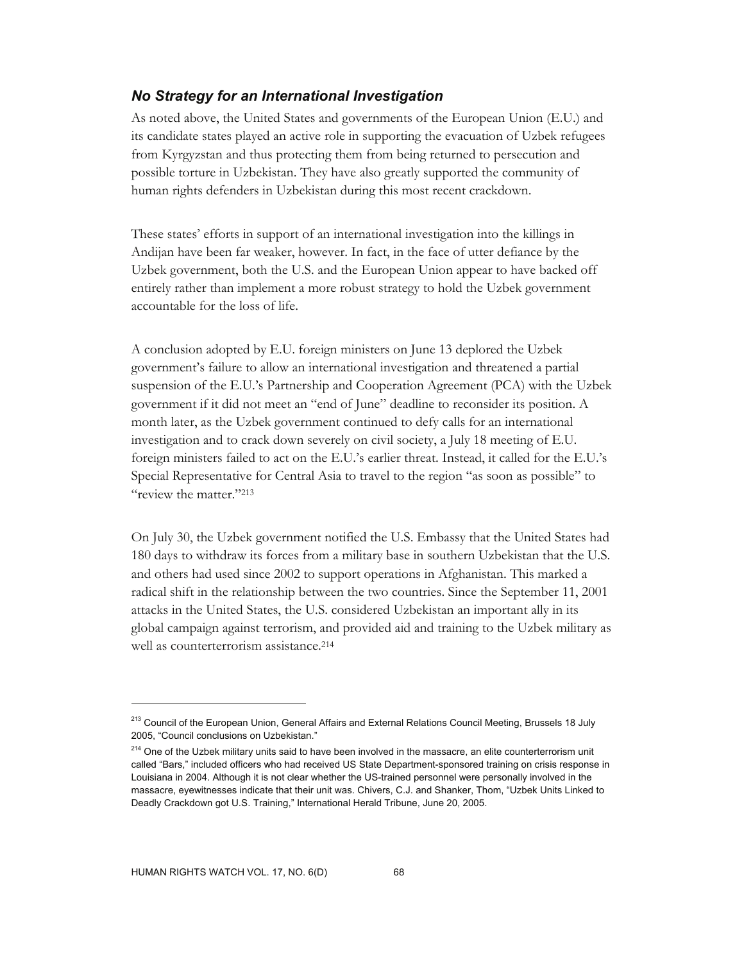# *No Strategy for an International Investigation*

As noted above, the United States and governments of the European Union (E.U.) and its candidate states played an active role in supporting the evacuation of Uzbek refugees from Kyrgyzstan and thus protecting them from being returned to persecution and possible torture in Uzbekistan. They have also greatly supported the community of human rights defenders in Uzbekistan during this most recent crackdown.

These states' efforts in support of an international investigation into the killings in Andijan have been far weaker, however. In fact, in the face of utter defiance by the Uzbek government, both the U.S. and the European Union appear to have backed off entirely rather than implement a more robust strategy to hold the Uzbek government accountable for the loss of life.

A conclusion adopted by E.U. foreign ministers on June 13 deplored the Uzbek government's failure to allow an international investigation and threatened a partial suspension of the E.U.'s Partnership and Cooperation Agreement (PCA) with the Uzbek government if it did not meet an "end of June" deadline to reconsider its position. A month later, as the Uzbek government continued to defy calls for an international investigation and to crack down severely on civil society, a July 18 meeting of E.U. foreign ministers failed to act on the E.U.'s earlier threat. Instead, it called for the E.U.'s Special Representative for Central Asia to travel to the region "as soon as possible" to "review the matter."213

On July 30, the Uzbek government notified the U.S. Embassy that the United States had 180 days to withdraw its forces from a military base in southern Uzbekistan that the U.S. and others had used since 2002 to support operations in Afghanistan. This marked a radical shift in the relationship between the two countries. Since the September 11, 2001 attacks in the United States, the U.S. considered Uzbekistan an important ally in its global campaign against terrorism, and provided aid and training to the Uzbek military as well as counterterrorism assistance.<sup>214</sup>

<sup>&</sup>lt;sup>213</sup> Council of the European Union, General Affairs and External Relations Council Meeting, Brussels 18 July 2005, "Council conclusions on Uzbekistan."

<sup>&</sup>lt;sup>214</sup> One of the Uzbek military units said to have been involved in the massacre, an elite counterterrorism unit called "Bars," included officers who had received US State Department-sponsored training on crisis response in Louisiana in 2004. Although it is not clear whether the US-trained personnel were personally involved in the massacre, eyewitnesses indicate that their unit was. Chivers, C.J. and Shanker, Thom, "Uzbek Units Linked to Deadly Crackdown got U.S. Training," International Herald Tribune, June 20, 2005.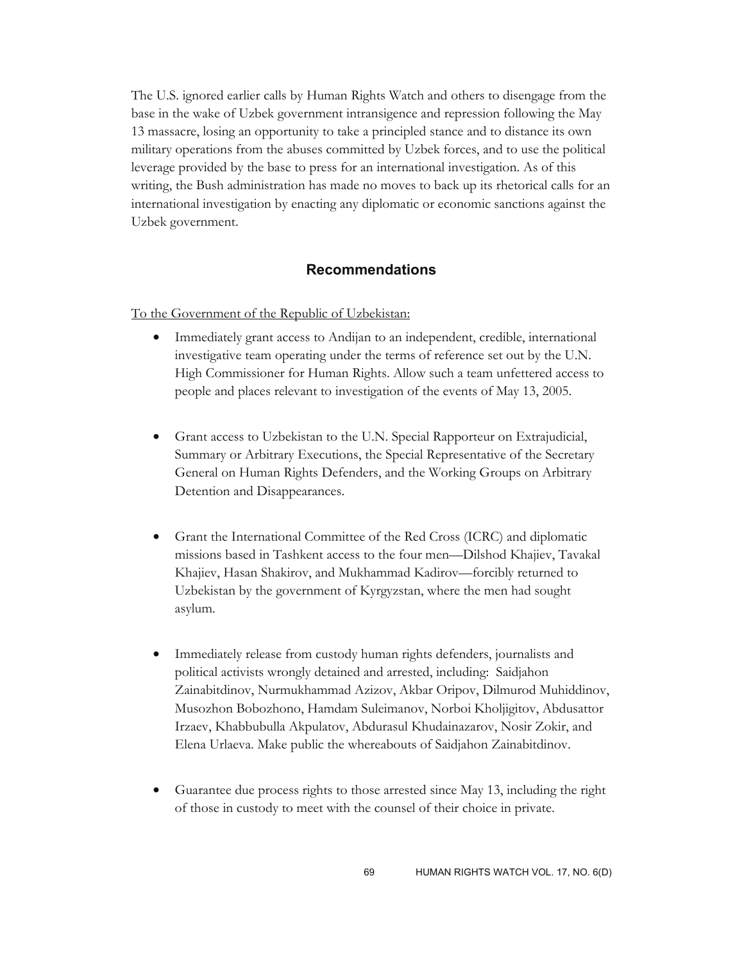The U.S. ignored earlier calls by Human Rights Watch and others to disengage from the base in the wake of Uzbek government intransigence and repression following the May 13 massacre, losing an opportunity to take a principled stance and to distance its own military operations from the abuses committed by Uzbek forces, and to use the political leverage provided by the base to press for an international investigation. As of this writing, the Bush administration has made no moves to back up its rhetorical calls for an international investigation by enacting any diplomatic or economic sanctions against the Uzbek government.

## **Recommendations**

To the Government of the Republic of Uzbekistan:

- Immediately grant access to Andijan to an independent, credible, international investigative team operating under the terms of reference set out by the U.N. High Commissioner for Human Rights. Allow such a team unfettered access to people and places relevant to investigation of the events of May 13, 2005.
- Grant access to Uzbekistan to the U.N. Special Rapporteur on Extrajudicial, Summary or Arbitrary Executions, the Special Representative of the Secretary General on Human Rights Defenders, and the Working Groups on Arbitrary Detention and Disappearances.
- Grant the International Committee of the Red Cross (ICRC) and diplomatic missions based in Tashkent access to the four men—Dilshod Khajiev, Tavakal Khajiev, Hasan Shakirov, and Mukhammad Kadirov—forcibly returned to Uzbekistan by the government of Kyrgyzstan, where the men had sought asylum.
- Immediately release from custody human rights defenders, journalists and political activists wrongly detained and arrested, including: Saidjahon Zainabitdinov, Nurmukhammad Azizov, Akbar Oripov, Dilmurod Muhiddinov, Musozhon Bobozhono, Hamdam Suleimanov, Norboi Kholjigitov, Abdusattor Irzaev, Khabbubulla Akpulatov, Abdurasul Khudainazarov, Nosir Zokir, and Elena Urlaeva. Make public the whereabouts of Saidjahon Zainabitdinov.
- Guarantee due process rights to those arrested since May 13, including the right of those in custody to meet with the counsel of their choice in private.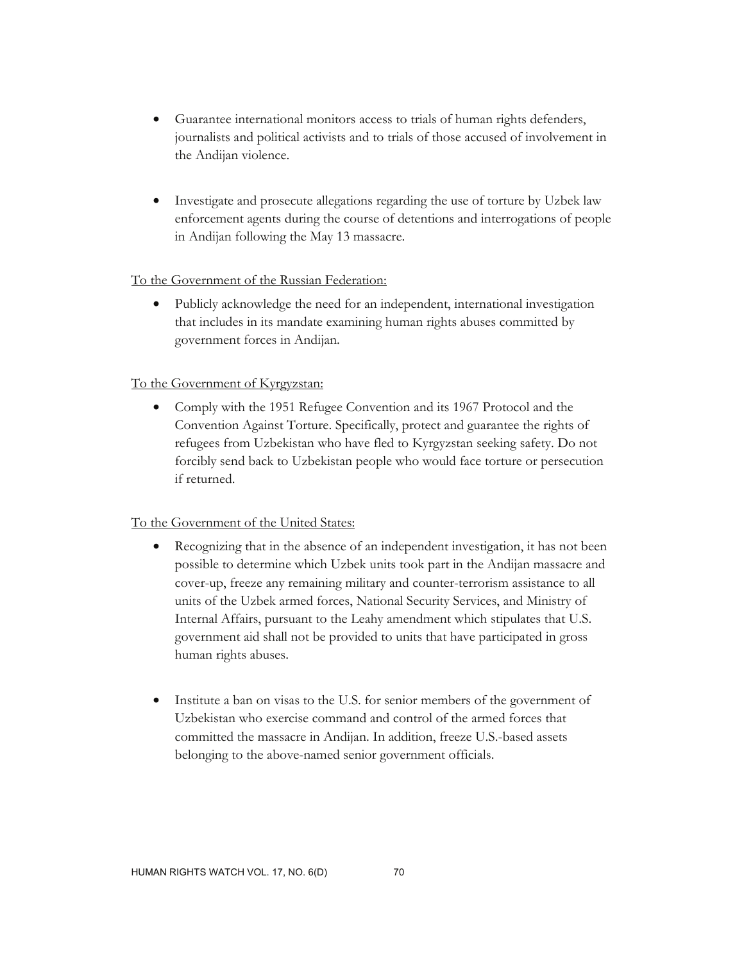- Guarantee international monitors access to trials of human rights defenders, journalists and political activists and to trials of those accused of involvement in the Andijan violence.
- Investigate and prosecute allegations regarding the use of torture by Uzbek law enforcement agents during the course of detentions and interrogations of people in Andijan following the May 13 massacre.

# To the Government of the Russian Federation:

• Publicly acknowledge the need for an independent, international investigation that includes in its mandate examining human rights abuses committed by government forces in Andijan.

# To the Government of Kyrgyzstan:

• Comply with the 1951 Refugee Convention and its 1967 Protocol and the Convention Against Torture. Specifically, protect and guarantee the rights of refugees from Uzbekistan who have fled to Kyrgyzstan seeking safety. Do not forcibly send back to Uzbekistan people who would face torture or persecution if returned.

# To the Government of the United States:

- Recognizing that in the absence of an independent investigation, it has not been possible to determine which Uzbek units took part in the Andijan massacre and cover-up, freeze any remaining military and counter-terrorism assistance to all units of the Uzbek armed forces, National Security Services, and Ministry of Internal Affairs, pursuant to the Leahy amendment which stipulates that U.S. government aid shall not be provided to units that have participated in gross human rights abuses.
- Institute a ban on visas to the U.S. for senior members of the government of Uzbekistan who exercise command and control of the armed forces that committed the massacre in Andijan. In addition, freeze U.S.-based assets belonging to the above-named senior government officials.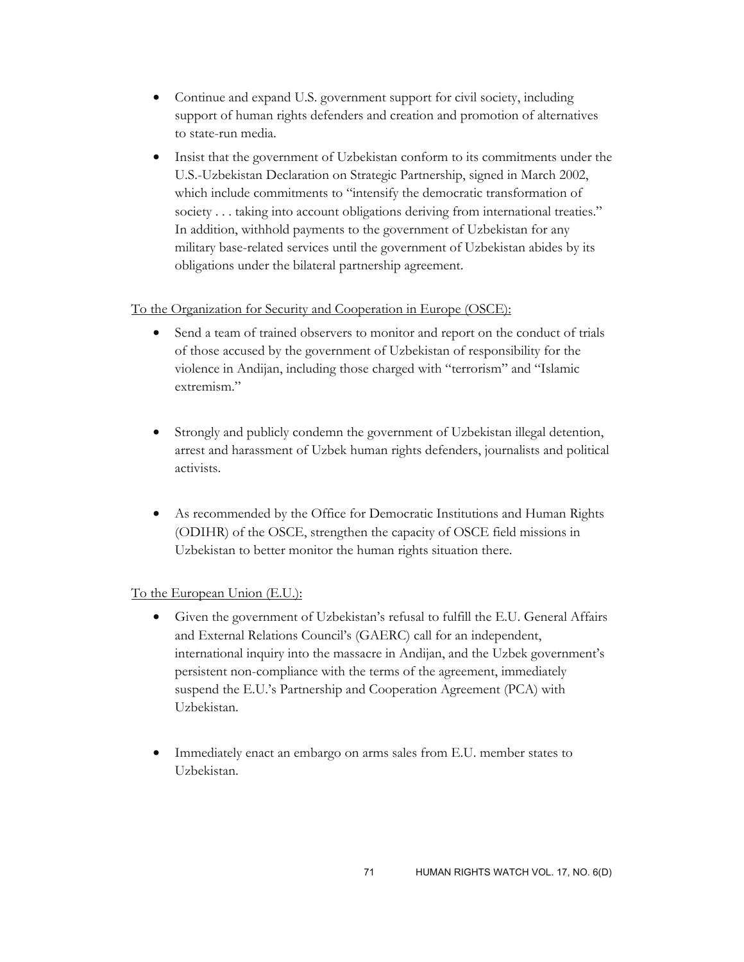- Continue and expand U.S. government support for civil society, including support of human rights defenders and creation and promotion of alternatives to state-run media.
- Insist that the government of Uzbekistan conform to its commitments under the U.S.-Uzbekistan Declaration on Strategic Partnership, signed in March 2002, which include commitments to "intensify the democratic transformation of society . . . taking into account obligations deriving from international treaties." In addition, withhold payments to the government of Uzbekistan for any military base-related services until the government of Uzbekistan abides by its obligations under the bilateral partnership agreement.

## To the Organization for Security and Cooperation in Europe (OSCE):

- Send a team of trained observers to monitor and report on the conduct of trials of those accused by the government of Uzbekistan of responsibility for the violence in Andijan, including those charged with "terrorism" and "Islamic extremism."
- Strongly and publicly condemn the government of Uzbekistan illegal detention, arrest and harassment of Uzbek human rights defenders, journalists and political activists.
- As recommended by the Office for Democratic Institutions and Human Rights (ODIHR) of the OSCE, strengthen the capacity of OSCE field missions in Uzbekistan to better monitor the human rights situation there.

# To the European Union (E.U.):

- Given the government of Uzbekistan's refusal to fulfill the E.U. General Affairs and External Relations Council's (GAERC) call for an independent, international inquiry into the massacre in Andijan, and the Uzbek government's persistent non-compliance with the terms of the agreement, immediately suspend the E.U.'s Partnership and Cooperation Agreement (PCA) with Uzbekistan.
- Immediately enact an embargo on arms sales from E.U. member states to Uzbekistan.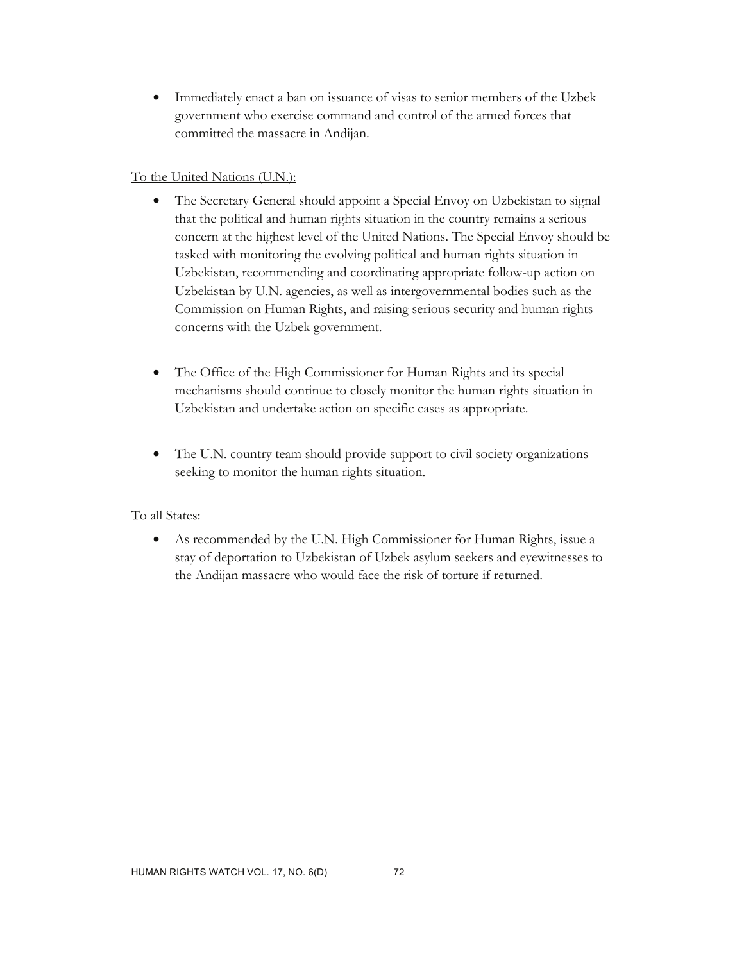• Immediately enact a ban on issuance of visas to senior members of the Uzbek government who exercise command and control of the armed forces that committed the massacre in Andijan.

## To the United Nations (U.N.):

- The Secretary General should appoint a Special Envoy on Uzbekistan to signal that the political and human rights situation in the country remains a serious concern at the highest level of the United Nations. The Special Envoy should be tasked with monitoring the evolving political and human rights situation in Uzbekistan, recommending and coordinating appropriate follow-up action on Uzbekistan by U.N. agencies, as well as intergovernmental bodies such as the Commission on Human Rights, and raising serious security and human rights concerns with the Uzbek government.
- The Office of the High Commissioner for Human Rights and its special mechanisms should continue to closely monitor the human rights situation in Uzbekistan and undertake action on specific cases as appropriate.
- The U.N. country team should provide support to civil society organizations seeking to monitor the human rights situation.

#### To all States:

• As recommended by the U.N. High Commissioner for Human Rights, issue a stay of deportation to Uzbekistan of Uzbek asylum seekers and eyewitnesses to the Andijan massacre who would face the risk of torture if returned.